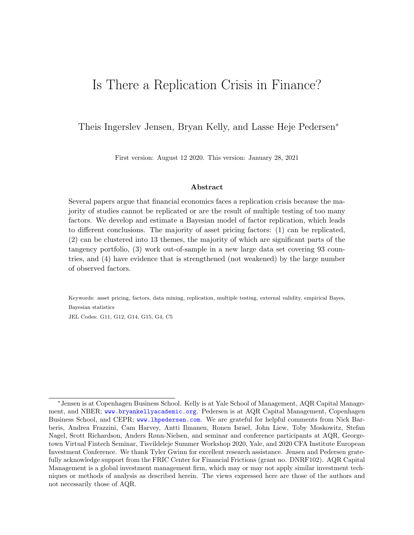# Is There a Replication Crisis in Finance?

Theis Ingerslev Jensen, Bryan Kelly, and Lasse Heje Pedersen<sup>∗</sup>

First version: August 12 2020. This version: January 28, 2021

#### Abstract

Several papers argue that financial economics faces a replication crisis because the majority of studies cannot be replicated or are the result of multiple testing of too many factors. We develop and estimate a Bayesian model of factor replication, which leads to different conclusions. The majority of asset pricing factors: (1) can be replicated, (2) can be clustered into 13 themes, the majority of which are significant parts of the tangency portfolio, (3) work out-of-sample in a new large data set covering 93 countries, and (4) have evidence that is strengthened (not weakened) by the large number of observed factors.

Keywords: asset pricing, factors, data mining, replication, multiple testing, external validity, empirical Bayes, Bayesian statistics

JEL Codes: G11, G12, G14, G15, G4, C5

<sup>∗</sup>Jensen is at Copenhagen Business School. Kelly is at Yale School of Management, AQR Capital Management, and NBER; <www.bryankellyacademic.org>. Pedersen is at AQR Capital Management, Copenhagen Business School, and CEPR; <www.lhpedersen.com>. We are grateful for helpful comments from Nick Barberis, Andrea Frazzini, Cam Harvey, Antti Ilmanen, Ronen Israel, John Liew, Toby Moskowitz, Stefan Nagel, Scott Richardson, Anders Rønn-Nielsen, and seminar and conference participants at AQR, Georgetown Virtual Fintech Seminar, Tisvildeleje Summer Workshop 2020, Yale, and 2020 CFA Institute European Investment Conference. We thank Tyler Gwinn for excellent research assistance. Jensen and Pedersen gratefully acknowledge support from the FRIC Center for Financial Frictions (grant no. DNRF102). AQR Capital Management is a global investment management firm, which may or may not apply similar investment techniques or methods of analysis as described herein. The views expressed here are those of the authors and not necessarily those of AQR.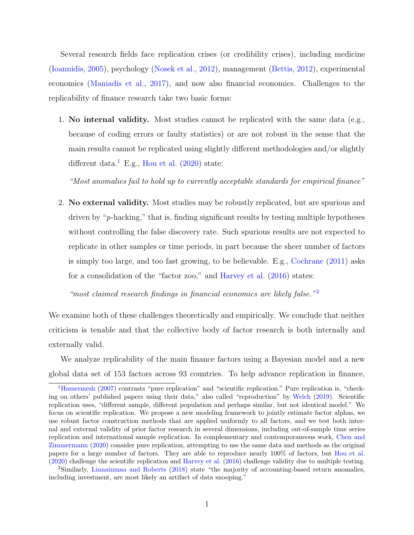Several research fields face replication crises (or credibility crises), including medicine [\(Ioannidis,](#page-51-0) [2005\)](#page-51-0), psychology [\(Nosek et al.,](#page-52-0) [2012\)](#page-52-0), management [\(Bettis,](#page-50-0) [2012\)](#page-50-0), experimental economics [\(Maniadis et al.,](#page-52-1) [2017\)](#page-52-1), and now also financial economics. Challenges to the replicability of finance research take two basic forms:

1. No internal validity. Most studies cannot be replicated with the same data (e.g., because of coding errors or faulty statistics) or are not robust in the sense that the main results cannot be replicated using slightly different methodologies and/or slightly different data.<sup>[1](#page-1-0)</sup> E.g., [Hou et al.](#page-51-1)  $(2020)$  state:

"Most anomalies fail to hold up to currently acceptable standards for empirical finance"

2. No external validity. Most studies may be robustly replicated, but are spurious and driven by "p-hacking," that is, finding significant results by testing multiple hypotheses without controlling the false discovery rate. Such spurious results are not expected to replicate in other samples or time periods, in part because the sheer number of factors is simply too large, and too fast growing, to be believable. E.g., [Cochrane](#page-50-1) [\(2011\)](#page-50-1) asks for a consolidation of the "factor zoo," and [Harvey et al.](#page-51-2) [\(2016\)](#page-51-2) states:

"most claimed research findings in financial economics are likely false." $2$ 

We examine both of these challenges theoretically and empirically. We conclude that neither criticism is tenable and that the collective body of factor research is both internally and externally valid.

We analyze replicability of the main finance factors using a Bayesian model and a new global data set of 153 factors across 93 countries. To help advance replication in finance,

<span id="page-1-0"></span><sup>&</sup>lt;sup>1</sup>[Hamermesh](#page-51-3) [\(2007\)](#page-51-3) contrasts "pure replication" and "scientific replication." Pure replication is, "checking on others' published papers using their data," also called "reproduction" by [Welch](#page-52-2) [\(2019\)](#page-52-2). Scientific replication uses, "different sample, different population and perhaps similar, but not identical model." We focus on scientific replication. We propose a new modeling framework to jointly estimate factor alphas, we use robust factor construction methods that are applied uniformly to all factors, and we test both internal and external validity of prior factor research in several dimensions, including out-of-sample time series replication and international sample replication. In complementary and contemporaneous work, [Chen and](#page-50-2) [Zimmermann](#page-50-2) [\(2020\)](#page-50-2) consider pure replication, attempting to use the same data and methods as the original papers for a large number of factors. They are able to reproduce nearly 100% of factors, but [Hou et al.](#page-51-1) [\(2020\)](#page-51-1) challenge the scientific replication and [Harvey et al.](#page-51-2) [\(2016\)](#page-51-2) challenge validity due to multiple testing.

<span id="page-1-1"></span><sup>2</sup>Similarly, [Linnainmaa and Roberts](#page-52-3) [\(2018\)](#page-52-3) state "the majority of accounting-based return anomalies, including investment, are most likely an artifact of data snooping."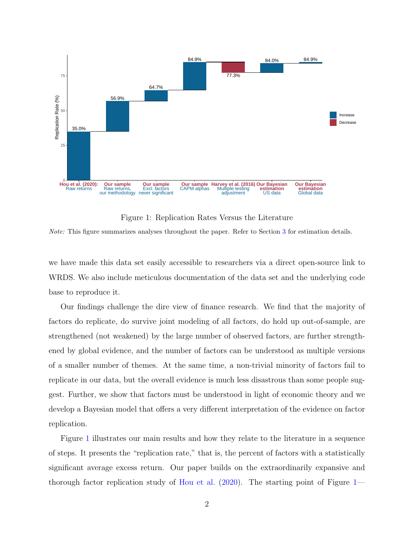<span id="page-2-0"></span>

Figure 1: Replication Rates Versus the Literature

Note: This figure summarizes analyses throughout the paper. Refer to Section [3](#page-29-0) for estimation details.

we have made this data set easily accessible to researchers via a direct open-source link to WRDS. We also include meticulous documentation of the data set and the underlying code base to reproduce it.

Our findings challenge the dire view of finance research. We find that the majority of factors do replicate, do survive joint modeling of all factors, do hold up out-of-sample, are strengthened (not weakened) by the large number of observed factors, are further strengthened by global evidence, and the number of factors can be understood as multiple versions of a smaller number of themes. At the same time, a non-trivial minority of factors fail to replicate in our data, but the overall evidence is much less disastrous than some people suggest. Further, we show that factors must be understood in light of economic theory and we develop a Bayesian model that offers a very different interpretation of the evidence on factor replication.

Figure [1](#page-2-0) illustrates our main results and how they relate to the literature in a sequence of steps. It presents the "replication rate," that is, the percent of factors with a statistically significant average excess return. Our paper builds on the extraordinarily expansive and thorough factor replication study of [Hou et al.](#page-51-1) [\(2020\)](#page-51-1). The starting point of Figure [1—](#page-2-0)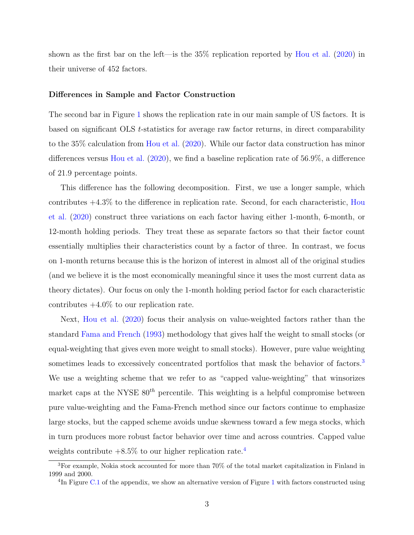shown as the first bar on the left—is the 35% replication reported by [Hou et al.](#page-51-1) [\(2020\)](#page-51-1) in their universe of 452 factors.

#### Differences in Sample and Factor Construction

The second bar in Figure [1](#page-2-0) shows the replication rate in our main sample of US factors. It is based on significant OLS t-statistics for average raw factor returns, in direct comparability to the 35% calculation from [Hou et al.](#page-51-1) [\(2020\)](#page-51-1). While our factor data construction has minor differences versus [Hou et al.](#page-51-1) [\(2020\)](#page-51-1), we find a baseline replication rate of 56.9%, a difference of 21.9 percentage points.

This difference has the following decomposition. First, we use a longer sample, which contributes  $+4.3\%$  to the difference in replication rate. Second, for each characteristic, [Hou](#page-51-1) [et al.](#page-51-1) [\(2020\)](#page-51-1) construct three variations on each factor having either 1-month, 6-month, or 12-month holding periods. They treat these as separate factors so that their factor count essentially multiplies their characteristics count by a factor of three. In contrast, we focus on 1-month returns because this is the horizon of interest in almost all of the original studies (and we believe it is the most economically meaningful since it uses the most current data as theory dictates). Our focus on only the 1-month holding period factor for each characteristic contributes  $+4.0\%$  to our replication rate.

Next, [Hou et al.](#page-51-1) [\(2020\)](#page-51-1) focus their analysis on value-weighted factors rather than the standard [Fama and French](#page-51-4) [\(1993\)](#page-51-4) methodology that gives half the weight to small stocks (or equal-weighting that gives even more weight to small stocks). However, pure value weighting sometimes leads to excessively concentrated portfolios that mask the behavior of factors.<sup>[3](#page-3-0)</sup> We use a weighting scheme that we refer to as "capped value-weighting" that winsorizes market caps at the NYSE  $80<sup>th</sup>$  percentile. This weighting is a helpful compromise between pure value-weighting and the Fama-French method since our factors continue to emphasize large stocks, but the capped scheme avoids undue skewness toward a few mega stocks, which in turn produces more robust factor behavior over time and across countries. Capped value weights contribute  $+8.5\%$  to our higher replication rate.<sup>[4](#page-3-1)</sup>

<span id="page-3-0"></span><sup>3</sup>For example, Nokia stock accounted for more than 70% of the total market capitalization in Finland in 1999 and 2000.

<span id="page-3-1"></span><sup>&</sup>lt;sup>4</sup>In Figure [C.1](#page-62-0) of the appendix, we show an alternative version of Figure [1](#page-2-0) with factors constructed using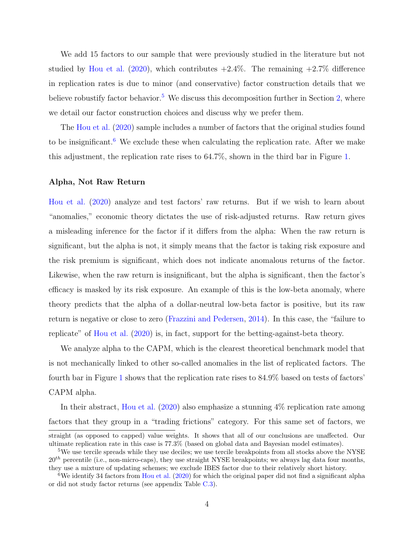We add 15 factors to our sample that were previously studied in the literature but not studied by [Hou et al.](#page-51-1) [\(2020\)](#page-51-1), which contributes  $+2.4\%$ . The remaining  $+2.7\%$  difference in replication rates is due to minor (and conservative) factor construction details that we believe robustify factor behavior.<sup>[5](#page-4-0)</sup> We discuss this decomposition further in Section [2,](#page-26-0) where we detail our factor construction choices and discuss why we prefer them.

The [Hou et al.](#page-51-1) [\(2020\)](#page-51-1) sample includes a number of factors that the original studies found to be insignificant.<sup>[6](#page-4-1)</sup> We exclude these when calculating the replication rate. After we make this adjustment, the replication rate rises to 64.7%, shown in the third bar in Figure [1.](#page-2-0)

### Alpha, Not Raw Return

[Hou et al.](#page-51-1) [\(2020\)](#page-51-1) analyze and test factors' raw returns. But if we wish to learn about "anomalies," economic theory dictates the use of risk-adjusted returns. Raw return gives a misleading inference for the factor if it differs from the alpha: When the raw return is significant, but the alpha is not, it simply means that the factor is taking risk exposure and the risk premium is significant, which does not indicate anomalous returns of the factor. Likewise, when the raw return is insignificant, but the alpha is significant, then the factor's efficacy is masked by its risk exposure. An example of this is the low-beta anomaly, where theory predicts that the alpha of a dollar-neutral low-beta factor is positive, but its raw return is negative or close to zero [\(Frazzini and Pedersen,](#page-51-5) [2014\)](#page-51-5). In this case, the "failure to replicate" of [Hou et al.](#page-51-1) [\(2020\)](#page-51-1) is, in fact, support for the betting-against-beta theory.

We analyze alpha to the CAPM, which is the clearest theoretical benchmark model that is not mechanically linked to other so-called anomalies in the list of replicated factors. The fourth bar in Figure [1](#page-2-0) shows that the replication rate rises to 84.9% based on tests of factors' CAPM alpha.

In their abstract, [Hou et al.](#page-51-1)  $(2020)$  also emphasize a stunning  $4\%$  replication rate among factors that they group in a "trading frictions" category. For this same set of factors, we

straight (as opposed to capped) value weights. It shows that all of our conclusions are unaffected. Our ultimate replication rate in this case is 77.3% (based on global data and Bayesian model estimates).

<span id="page-4-0"></span><sup>&</sup>lt;sup>5</sup>We use tercile spreads while they use deciles; we use tercile breakpoints from all stocks above the NYSE  $20<sup>th</sup>$  percentile (i.e., non-micro-caps), they use straight NYSE breakpoints; we always lag data four months, they use a mixture of updating schemes; we exclude IBES factor due to their relatively short history.

<span id="page-4-1"></span><sup>&</sup>lt;sup>6</sup>We identify 34 factors from [Hou et al.](#page-51-1)  $(2020)$  for which the original paper did not find a significant alpha or did not study factor returns (see appendix Table [C.3\)](#page-72-0).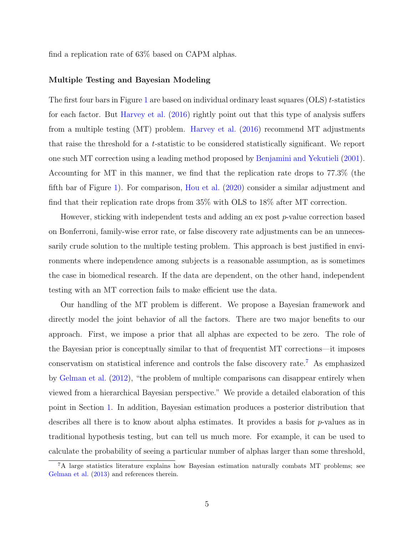find a replication rate of 63% based on CAPM alphas.

### Multiple Testing and Bayesian Modeling

The first four bars in Figure [1](#page-2-0) are based on individual ordinary least squares (OLS) t-statistics for each factor. But [Harvey et al.](#page-51-2) [\(2016\)](#page-51-2) rightly point out that this type of analysis suffers from a multiple testing (MT) problem. [Harvey et al.](#page-51-2) [\(2016\)](#page-51-2) recommend MT adjustments that raise the threshold for a t-statistic to be considered statistically significant. We report one such MT correction using a leading method proposed by [Benjamini and Yekutieli](#page-50-3) [\(2001\)](#page-50-3). Accounting for MT in this manner, we find that the replication rate drops to 77.3% (the fifth bar of Figure [1\)](#page-2-0). For comparison, [Hou et al.](#page-51-1) [\(2020\)](#page-51-1) consider a similar adjustment and find that their replication rate drops from 35% with OLS to 18% after MT correction.

However, sticking with independent tests and adding an ex post p-value correction based on Bonferroni, family-wise error rate, or false discovery rate adjustments can be an unnecessarily crude solution to the multiple testing problem. This approach is best justified in environments where independence among subjects is a reasonable assumption, as is sometimes the case in biomedical research. If the data are dependent, on the other hand, independent testing with an MT correction fails to make efficient use the data.

Our handling of the MT problem is different. We propose a Bayesian framework and directly model the joint behavior of all the factors. There are two major benefits to our approach. First, we impose a prior that all alphas are expected to be zero. The role of the Bayesian prior is conceptually similar to that of frequentist MT corrections—it imposes conservatism on statistical inference and controls the false discovery rate.[7](#page-5-0) As emphasized by [Gelman et al.](#page-51-6) [\(2012\)](#page-51-6), "the problem of multiple comparisons can disappear entirely when viewed from a hierarchical Bayesian perspective." We provide a detailed elaboration of this point in Section [1.](#page-9-0) In addition, Bayesian estimation produces a posterior distribution that describes all there is to know about alpha estimates. It provides a basis for p-values as in traditional hypothesis testing, but can tell us much more. For example, it can be used to calculate the probability of seeing a particular number of alphas larger than some threshold,

<span id="page-5-0"></span><sup>7</sup>A large statistics literature explains how Bayesian estimation naturally combats MT problems; see [Gelman et al.](#page-51-7) [\(2013\)](#page-51-7) and references therein.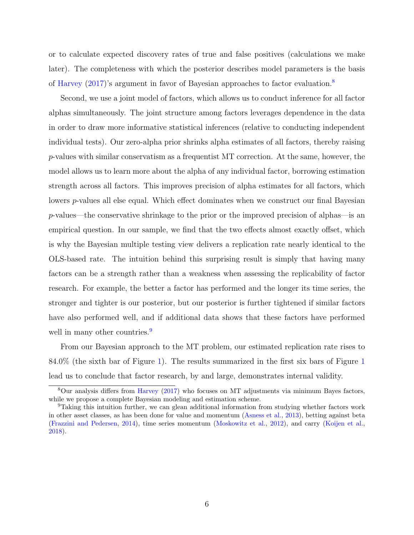or to calculate expected discovery rates of true and false positives (calculations we make later). The completeness with which the posterior describes model parameters is the basis of [Harvey](#page-51-8) [\(2017\)](#page-51-8)'s argument in favor of Bayesian approaches to factor evaluation.[8](#page-6-0)

Second, we use a joint model of factors, which allows us to conduct inference for all factor alphas simultaneously. The joint structure among factors leverages dependence in the data in order to draw more informative statistical inferences (relative to conducting independent individual tests). Our zero-alpha prior shrinks alpha estimates of all factors, thereby raising p-values with similar conservatism as a frequentist MT correction. At the same, however, the model allows us to learn more about the alpha of any individual factor, borrowing estimation strength across all factors. This improves precision of alpha estimates for all factors, which lowers p-values all else equal. Which effect dominates when we construct our final Bayesian p-values—the conservative shrinkage to the prior or the improved precision of alphas—is an empirical question. In our sample, we find that the two effects almost exactly offset, which is why the Bayesian multiple testing view delivers a replication rate nearly identical to the OLS-based rate. The intuition behind this surprising result is simply that having many factors can be a strength rather than a weakness when assessing the replicability of factor research. For example, the better a factor has performed and the longer its time series, the stronger and tighter is our posterior, but our posterior is further tightened if similar factors have also performed well, and if additional data shows that these factors have performed well in many other countries.<sup>[9](#page-6-1)</sup>

From our Bayesian approach to the MT problem, our estimated replication rate rises to 84.0% (the sixth bar of Figure [1\)](#page-2-0). The results summarized in the first six bars of Figure [1](#page-2-0) lead us to conclude that factor research, by and large, demonstrates internal validity.

<span id="page-6-0"></span> $8$ Our analysis differs from [Harvey](#page-51-8) [\(2017\)](#page-51-8) who focuses on MT adjustments via minimum Bayes factors, while we propose a complete Bayesian modeling and estimation scheme.

<span id="page-6-1"></span><sup>9</sup>Taking this intuition further, we can glean additional information from studying whether factors work in other asset classes, as has been done for value and momentum [\(Asness et al.,](#page-50-4) [2013\)](#page-50-4), betting against beta [\(Frazzini and Pedersen,](#page-51-5) [2014\)](#page-51-5), time series momentum [\(Moskowitz et al.,](#page-52-4) [2012\)](#page-52-4), and carry [\(Koijen et al.,](#page-51-9) [2018\)](#page-51-9).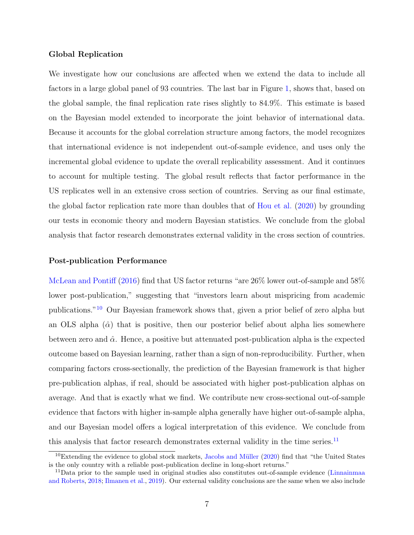### Global Replication

We investigate how our conclusions are affected when we extend the data to include all factors in a large global panel of 93 countries. The last bar in Figure [1,](#page-2-0) shows that, based on the global sample, the final replication rate rises slightly to 84.9%. This estimate is based on the Bayesian model extended to incorporate the joint behavior of international data. Because it accounts for the global correlation structure among factors, the model recognizes that international evidence is not independent out-of-sample evidence, and uses only the incremental global evidence to update the overall replicability assessment. And it continues to account for multiple testing. The global result reflects that factor performance in the US replicates well in an extensive cross section of countries. Serving as our final estimate, the global factor replication rate more than doubles that of [Hou et al.](#page-51-1) [\(2020\)](#page-51-1) by grounding our tests in economic theory and modern Bayesian statistics. We conclude from the global analysis that factor research demonstrates external validity in the cross section of countries.

### Post-publication Performance

[McLean and Pontiff](#page-52-5) [\(2016\)](#page-52-5) find that US factor returns "are 26% lower out-of-sample and 58% lower post-publication," suggesting that "investors learn about mispricing from academic publications."[10](#page-7-0) Our Bayesian framework shows that, given a prior belief of zero alpha but an OLS alpha  $(\hat{\alpha})$  that is positive, then our posterior belief about alpha lies somewhere between zero and  $\hat{\alpha}$ . Hence, a positive but attenuated post-publication alpha is the expected outcome based on Bayesian learning, rather than a sign of non-reproducibility. Further, when comparing factors cross-sectionally, the prediction of the Bayesian framework is that higher pre-publication alphas, if real, should be associated with higher post-publication alphas on average. And that is exactly what we find. We contribute new cross-sectional out-of-sample evidence that factors with higher in-sample alpha generally have higher out-of-sample alpha, and our Bayesian model offers a logical interpretation of this evidence. We conclude from this analysis that factor research demonstrates external validity in the time series. $^{11}$  $^{11}$  $^{11}$ 

<span id="page-7-0"></span> $10$ Extending the evidence to global stock markets, Jacobs and Müller [\(2020\)](#page-51-10) find that "the United States is the only country with a reliable post-publication decline in long-short returns."

<span id="page-7-1"></span><sup>11</sup>Data prior to the sample used in original studies also constitutes out-of-sample evidence [\(Linnainmaa](#page-52-3) [and Roberts,](#page-52-3) [2018;](#page-52-3) [Ilmanen et al.,](#page-51-11) [2019\)](#page-51-11). Our external validity conclusions are the same when we also include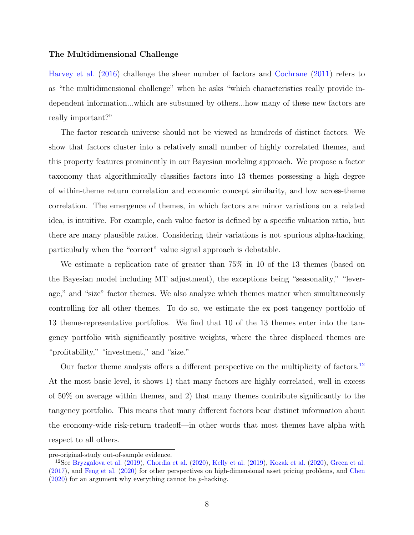### The Multidimensional Challenge

[Harvey et al.](#page-51-2) [\(2016\)](#page-51-2) challenge the sheer number of factors and [Cochrane](#page-50-1) [\(2011\)](#page-50-1) refers to as "the multidimensional challenge" when he asks "which characteristics really provide independent information...which are subsumed by others...how many of these new factors are really important?"

The factor research universe should not be viewed as hundreds of distinct factors. We show that factors cluster into a relatively small number of highly correlated themes, and this property features prominently in our Bayesian modeling approach. We propose a factor taxonomy that algorithmically classifies factors into 13 themes possessing a high degree of within-theme return correlation and economic concept similarity, and low across-theme correlation. The emergence of themes, in which factors are minor variations on a related idea, is intuitive. For example, each value factor is defined by a specific valuation ratio, but there are many plausible ratios. Considering their variations is not spurious alpha-hacking, particularly when the "correct" value signal approach is debatable.

We estimate a replication rate of greater than 75% in 10 of the 13 themes (based on the Bayesian model including MT adjustment), the exceptions being "seasonality," "leverage," and "size" factor themes. We also analyze which themes matter when simultaneously controlling for all other themes. To do so, we estimate the ex post tangency portfolio of 13 theme-representative portfolios. We find that 10 of the 13 themes enter into the tangency portfolio with significantly positive weights, where the three displaced themes are "profitability," "investment," and "size."

Our factor theme analysis offers a different perspective on the multiplicity of factors.<sup>[12](#page-8-0)</sup> At the most basic level, it shows 1) that many factors are highly correlated, well in excess of 50% on average within themes, and 2) that many themes contribute significantly to the tangency portfolio. This means that many different factors bear distinct information about the economy-wide risk-return tradeoff—in other words that most themes have alpha with respect to all others.

pre-original-study out-of-sample evidence.

<span id="page-8-0"></span><sup>&</sup>lt;sup>12</sup>See [Bryzgalova et al.](#page-50-5) [\(2019\)](#page-51-12), [Chordia et al.](#page-50-6) [\(2020\)](#page-51-13), [Kelly et al.](#page-51-12) (2019), [Kozak et al.](#page-51-13) (2020), [Green et al.](#page-51-14) [\(2017\)](#page-51-14), and [Feng et al.](#page-51-15) [\(2020\)](#page-51-15) for other perspectives on high-dimensional asset pricing problems, and [Chen](#page-50-7)  $(2020)$  for an argument why everything cannot be *p*-hacking.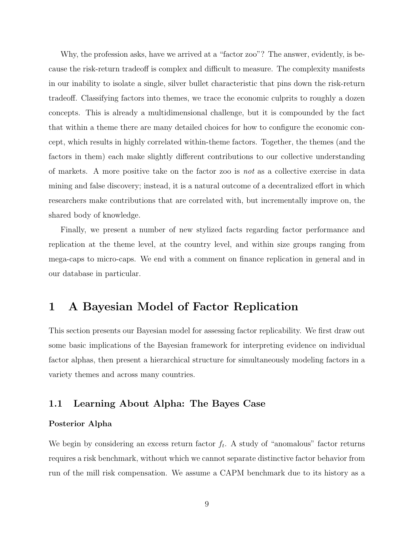Why, the profession asks, have we arrived at a "factor zoo"? The answer, evidently, is because the risk-return tradeoff is complex and difficult to measure. The complexity manifests in our inability to isolate a single, silver bullet characteristic that pins down the risk-return tradeoff. Classifying factors into themes, we trace the economic culprits to roughly a dozen concepts. This is already a multidimensional challenge, but it is compounded by the fact that within a theme there are many detailed choices for how to configure the economic concept, which results in highly correlated within-theme factors. Together, the themes (and the factors in them) each make slightly different contributions to our collective understanding of markets. A more positive take on the factor zoo is not as a collective exercise in data mining and false discovery; instead, it is a natural outcome of a decentralized effort in which researchers make contributions that are correlated with, but incrementally improve on, the shared body of knowledge.

Finally, we present a number of new stylized facts regarding factor performance and replication at the theme level, at the country level, and within size groups ranging from mega-caps to micro-caps. We end with a comment on finance replication in general and in our database in particular.

# <span id="page-9-0"></span>1 A Bayesian Model of Factor Replication

This section presents our Bayesian model for assessing factor replicability. We first draw out some basic implications of the Bayesian framework for interpreting evidence on individual factor alphas, then present a hierarchical structure for simultaneously modeling factors in a variety themes and across many countries.

### 1.1 Learning About Alpha: The Bayes Case

### Posterior Alpha

We begin by considering an excess return factor  $f_t$ . A study of "anomalous" factor returns requires a risk benchmark, without which we cannot separate distinctive factor behavior from run of the mill risk compensation. We assume a CAPM benchmark due to its history as a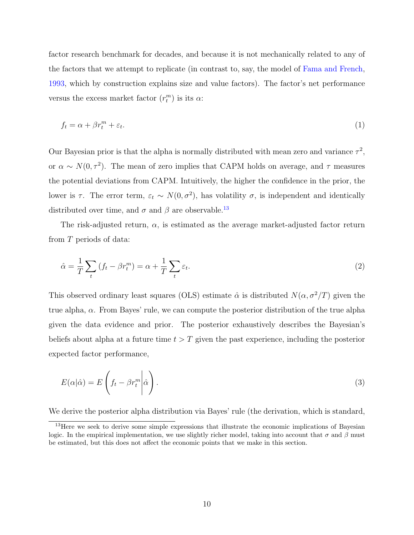factor research benchmark for decades, and because it is not mechanically related to any of the factors that we attempt to replicate (in contrast to, say, the model of [Fama and French,](#page-51-4) [1993,](#page-51-4) which by construction explains size and value factors). The factor's net performance versus the excess market factor  $(r_t^m)$  is its  $\alpha$ :

<span id="page-10-1"></span>
$$
f_t = \alpha + \beta r_t^m + \varepsilon_t. \tag{1}
$$

Our Bayesian prior is that the alpha is normally distributed with mean zero and variance  $\tau^2$ , or  $\alpha \sim N(0, \tau^2)$ . The mean of zero implies that CAPM holds on average, and  $\tau$  measures the potential deviations from CAPM. Intuitively, the higher the confidence in the prior, the lower is  $\tau$ . The error term,  $\varepsilon_t \sim N(0, \sigma^2)$ , has volatility  $\sigma$ , is independent and identically distributed over time, and  $\sigma$  and  $\beta$  are observable.<sup>[13](#page-10-0)</sup>

The risk-adjusted return,  $\alpha$ , is estimated as the average market-adjusted factor return from T periods of data:

$$
\hat{\alpha} = \frac{1}{T} \sum_{t} \left( f_t - \beta r_t^m \right) = \alpha + \frac{1}{T} \sum_{t} \varepsilon_t.
$$
\n(2)

This observed ordinary least squares (OLS) estimate  $\hat{\alpha}$  is distributed  $N(\alpha, \sigma^2/T)$  given the true alpha,  $\alpha$ . From Bayes' rule, we can compute the posterior distribution of the true alpha given the data evidence and prior. The posterior exhaustively describes the Bayesian's beliefs about alpha at a future time  $t > T$  given the past experience, including the posterior expected factor performance,

$$
E(\alpha|\hat{\alpha}) = E\left(f_t - \beta r_t^m \middle| \hat{\alpha}\right). \tag{3}
$$

We derive the posterior alpha distribution via Bayes' rule (the derivation, which is standard,

<span id="page-10-0"></span><sup>&</sup>lt;sup>13</sup>Here we seek to derive some simple expressions that illustrate the economic implications of Bayesian logic. In the empirical implementation, we use slightly richer model, taking into account that  $\sigma$  and  $\beta$  must be estimated, but this does not affect the economic points that we make in this section.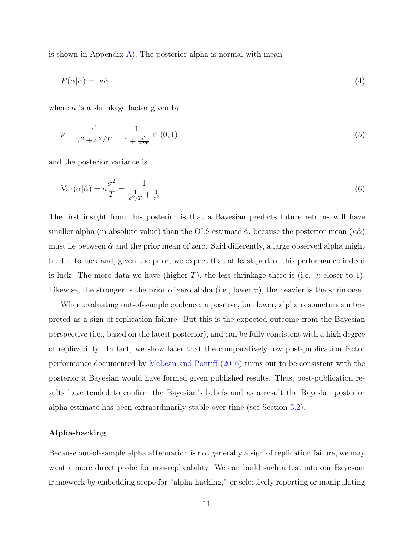is shown in Appendix [A\)](#page-53-0). The posterior alpha is normal with mean

<span id="page-11-0"></span>
$$
E(\alpha|\hat{\alpha}) = \kappa \hat{\alpha} \tag{4}
$$

where  $\kappa$  is a shrinkage factor given by

$$
\kappa = \frac{\tau^2}{\tau^2 + \sigma^2/T} = \frac{1}{1 + \frac{\sigma^2}{\tau^2 T}} \in (0, 1)
$$
\n(5)

and the posterior variance is

<span id="page-11-1"></span>
$$
Var(\alpha|\hat{\alpha}) = \kappa \frac{\sigma^2}{T} = \frac{1}{\frac{1}{\sigma^2/T} + \frac{1}{\tau^2}}.
$$
\n
$$
(6)
$$

The first insight from this posterior is that a Bayesian predicts future returns will have smaller alpha (in absolute value) than the OLS estimate  $\hat{\alpha}$ , because the posterior mean  $(\kappa \hat{\alpha})$ must lie between  $\hat{\alpha}$  and the prior mean of zero. Said differently, a large observed alpha might be due to luck and, given the prior, we expect that at least part of this performance indeed is luck. The more data we have (higher T), the less shrinkage there is (i.e.,  $\kappa$  closer to 1). Likewise, the stronger is the prior of zero alpha (i.e., lower  $\tau$ ), the heavier is the shrinkage.

When evaluating out-of-sample evidence, a positive, but lower, alpha is sometimes interpreted as a sign of replication failure. But this is the expected outcome from the Bayesian perspective (i.e., based on the latest posterior), and can be fully consistent with a high degree of replicability. In fact, we show later that the comparatively low post-publication factor performance documented by [McLean and Pontiff](#page-52-5) [\(2016\)](#page-52-5) turns out to be consistent with the posterior a Bayesian would have formed given published results. Thus, post-publication results have tended to confirm the Bayesian's beliefs and as a result the Bayesian posterior alpha estimate has been extraordinarily stable over time (see Section [3.2\)](#page-34-0).

### Alpha-hacking

Because out-of-sample alpha attenuation is not generally a sign of replication failure, we may want a more direct probe for non-replicability. We can build such a test into our Bayesian framework by embedding scope for "alpha-hacking," or selectively reporting or manipulating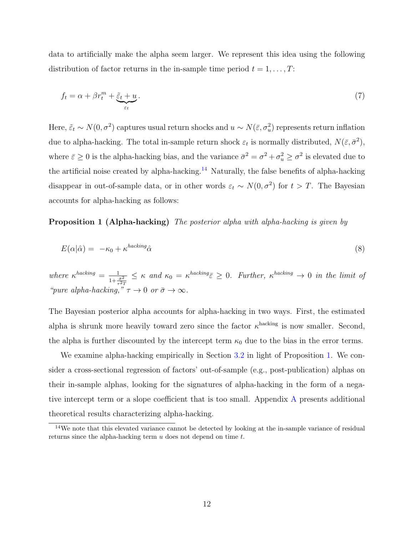data to artificially make the alpha seem larger. We represent this idea using the following distribution of factor returns in the in-sample time period  $t = 1, \ldots, T$ :

$$
f_t = \alpha + \beta r_t^m + \underbrace{\tilde{\varepsilon}_t + u}_{\varepsilon_t}.
$$
 (7)

Here,  $\tilde{\varepsilon}_t \sim N(0, \sigma^2)$  captures usual return shocks and  $u \sim N(\bar{\varepsilon}, \sigma_u^2)$  represents return inflation due to alpha-hacking. The total in-sample return shock  $\varepsilon_t$  is normally distributed,  $N(\bar{\varepsilon}, \bar{\sigma}^2)$ , where  $\bar{\varepsilon} \ge 0$  is the alpha-hacking bias, and the variance  $\bar{\sigma}^2 = \sigma^2 + \sigma_u^2 \ge \sigma^2$  is elevated due to the artificial noise created by alpha-hacking.<sup>[14](#page-12-0)</sup> Naturally, the false benefits of alpha-hacking disappear in out-of-sample data, or in other words  $\varepsilon_t \sim N(0, \sigma^2)$  for  $t > T$ . The Bayesian accounts for alpha-hacking as follows:

**Proposition 1 (Alpha-hacking)** The posterior alpha with alpha-hacking is given by

<span id="page-12-1"></span>
$$
E(\alpha|\hat{\alpha}) = -\kappa_0 + \kappa^{hacking}\hat{\alpha}
$$
\n(8)

where  $\kappa^{hacking} = \frac{1}{1 + \frac{\bar{\sigma}^2}{\tau^2 T}}$  $\leq \kappa$  and  $\kappa_0 = \kappa^{hacking} \bar{\varepsilon} \geq 0$ . Further,  $\kappa^{hacking} \to 0$  in the limit of "pure alpha-hacking,"  $\tau \to 0$  or  $\bar{\sigma} \to \infty$ .

The Bayesian posterior alpha accounts for alpha-hacking in two ways. First, the estimated alpha is shrunk more heavily toward zero since the factor  $\kappa^{\text{hacking}}$  is now smaller. Second, the alpha is further discounted by the intercept term  $\kappa_0$  due to the bias in the error terms.

We examine alpha-hacking empirically in Section [3.2](#page-34-0) in light of Proposition [1.](#page-12-1) We consider a cross-sectional regression of factors' out-of-sample (e.g., post-publication) alphas on their in-sample alphas, looking for the signatures of alpha-hacking in the form of a negative intercept term or a slope coefficient that is too small. Appendix [A](#page-53-0) presents additional theoretical results characterizing alpha-hacking.

<span id="page-12-0"></span><sup>&</sup>lt;sup>14</sup>We note that this elevated variance cannot be detected by looking at the in-sample variance of residual returns since the alpha-hacking term u does not depend on time t.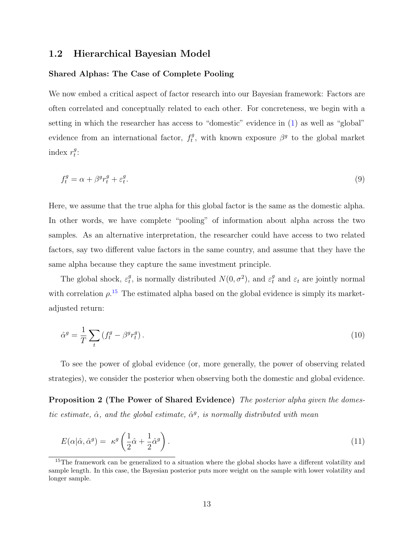### 1.2 Hierarchical Bayesian Model

### Shared Alphas: The Case of Complete Pooling

We now embed a critical aspect of factor research into our Bayesian framework: Factors are often correlated and conceptually related to each other. For concreteness, we begin with a setting in which the researcher has access to "domestic" evidence in  $(1)$  as well as "global" evidence from an international factor,  $f_t^g$ <sup>g</sup>, with known exposure  $\beta^g$  to the global market index  $r_t^g$  $\frac{g}{t}$ :

$$
f_t^g = \alpha + \beta^g r_t^g + \varepsilon_t^g. \tag{9}
$$

Here, we assume that the true alpha for this global factor is the same as the domestic alpha. In other words, we have complete "pooling" of information about alpha across the two samples. As an alternative interpretation, the researcher could have access to two related factors, say two different value factors in the same country, and assume that they have the same alpha because they capture the same investment principle.

The global shock,  $\varepsilon_t^g$ <sup>g</sup>, is normally distributed  $N(0, \sigma^2)$ , and  $\varepsilon_t^g$  and  $\varepsilon_t$  are jointly normal with correlation  $\rho$ <sup>[15](#page-13-0)</sup>. The estimated alpha based on the global evidence is simply its marketadjusted return:

<span id="page-13-1"></span>
$$
\hat{\alpha}^g = \frac{1}{T} \sum_t \left( f_t^g - \beta^g r_t^g \right). \tag{10}
$$

To see the power of global evidence (or, more generally, the power of observing related strategies), we consider the posterior when observing both the domestic and global evidence.

Proposition 2 (The Power of Shared Evidence) The posterior alpha given the domestic estimate,  $\hat{\alpha}$ , and the global estimate,  $\hat{\alpha}^g$ , is normally distributed with mean

$$
E(\alpha|\hat{\alpha}, \hat{\alpha}^g) = \kappa^g \left(\frac{1}{2}\hat{\alpha} + \frac{1}{2}\hat{\alpha}^g\right). \tag{11}
$$

<span id="page-13-0"></span><sup>&</sup>lt;sup>15</sup>The framework can be generalized to a situation where the global shocks have a different volatility and sample length. In this case, the Bayesian posterior puts more weight on the sample with lower volatility and longer sample.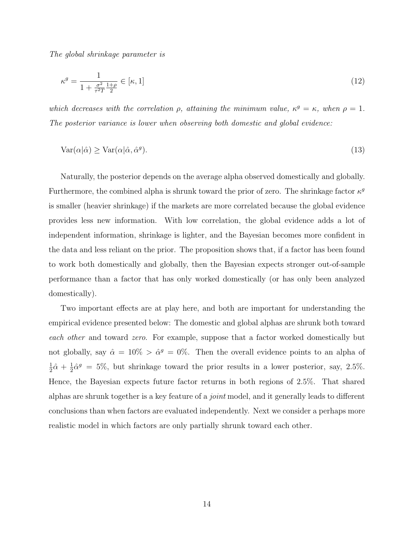The global shrinkage parameter is

$$
\kappa^g = \frac{1}{1 + \frac{\sigma^2}{\tau^2 T} \frac{1+\rho}{2}} \in [\kappa, 1] \tag{12}
$$

which decreases with the correlation  $\rho$ , attaining the minimum value,  $\kappa^g = \kappa$ , when  $\rho = 1$ . The posterior variance is lower when observing both domestic and global evidence:

$$
Var(\alpha|\hat{\alpha}) \ge Var(\alpha|\hat{\alpha}, \hat{\alpha}^g). \tag{13}
$$

Naturally, the posterior depends on the average alpha observed domestically and globally. Furthermore, the combined alpha is shrunk toward the prior of zero. The shrinkage factor  $\kappa^g$ is smaller (heavier shrinkage) if the markets are more correlated because the global evidence provides less new information. With low correlation, the global evidence adds a lot of independent information, shrinkage is lighter, and the Bayesian becomes more confident in the data and less reliant on the prior. The proposition shows that, if a factor has been found to work both domestically and globally, then the Bayesian expects stronger out-of-sample performance than a factor that has only worked domestically (or has only been analyzed domestically).

Two important effects are at play here, and both are important for understanding the empirical evidence presented below: The domestic and global alphas are shrunk both toward each other and toward zero. For example, suppose that a factor worked domestically but not globally, say  $\hat{\alpha} = 10\% > \hat{\alpha}^g = 0\%$ . Then the overall evidence points to an alpha of 1  $rac{1}{2}\hat{\alpha} + \frac{1}{2}$  $\frac{1}{2}\hat{\alpha}^g = 5\%$ , but shrinkage toward the prior results in a lower posterior, say, 2.5%. Hence, the Bayesian expects future factor returns in both regions of 2.5%. That shared alphas are shrunk together is a key feature of a joint model, and it generally leads to different conclusions than when factors are evaluated independently. Next we consider a perhaps more realistic model in which factors are only partially shrunk toward each other.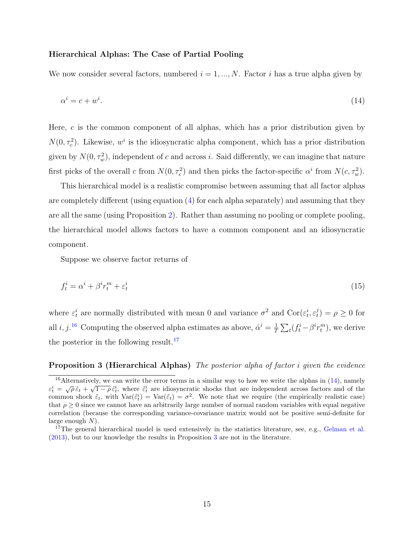### Hierarchical Alphas: The Case of Partial Pooling

We now consider several factors, numbered  $i = 1, ..., N$ . Factor i has a true alpha given by

<span id="page-15-2"></span>
$$
\alpha^i = c + w^i. \tag{14}
$$

Here, c is the common component of all alphas, which has a prior distribution given by  $N(0, \tau_c^2)$ . Likewise, w<sup>*i*</sup> is the idiosyncratic alpha component, which has a prior distribution given by  $N(0, \tau_w^2)$ , independent of c and across i. Said differently, we can imagine that nature first picks of the overall c from  $N(0, \tau_c^2)$  and then picks the factor-specific  $\alpha^i$  from  $N(c, \tau_w^2)$ .

This hierarchical model is a realistic compromise between assuming that all factor alphas are completely different (using equation  $(4)$  for each alpha separately) and assuming that they are all the same (using Proposition [2\)](#page-13-1). Rather than assuming no pooling or complete pooling, the hierarchical model allows factors to have a common component and an idiosyncratic component.

Suppose we observe factor returns of

$$
f_t^i = \alpha^i + \beta^i r_t^m + \varepsilon_t^i \tag{15}
$$

where  $\varepsilon_t^i$  are normally distributed with mean 0 and variance  $\sigma^2$  and  $\text{Cor}(\varepsilon_t^i, \varepsilon_t^j)$  $(t)$  =  $\rho \geq 0$  for all i, j.<sup>[16](#page-15-0)</sup> Computing the observed alpha estimates as above,  $\hat{\alpha}^i = \frac{1}{7}$  $\frac{1}{T} \sum_t (f_t^i - \beta^i r_t^m)$ , we derive the posterior in the following result.<sup>[17](#page-15-1)</sup>

### <span id="page-15-3"></span>Proposition 3 (Hierarchical Alphas) The posterior alpha of factor *i* given the evidence

<span id="page-15-0"></span><sup>&</sup>lt;sup>16</sup>Alternatively, we can write the error terms in a similar way to how we write the alphas in  $(14)$ , namely Extractively, we can write the error terms in a similar way to now we write the alphas in (14), halflely  $\varepsilon_t^i = \sqrt{\rho} \tilde{\varepsilon}_t + \sqrt{1-\rho} \tilde{\varepsilon}_t^i$ , where  $\tilde{\varepsilon}_t^i$  are idiosyncratic shocks that are independent across common shock  $\tilde{\varepsilon}_t$ , with  $\text{Var}(\tilde{\varepsilon}_t^i) = \text{Var}(\tilde{\varepsilon}_t) = \sigma^2$ . We note that we require (the empirically realistic case) that  $\rho \geq 0$  since we cannot have an arbitrarily large number of normal random variables with equal negative correlation (because the corresponding variance-covariance matrix would not be positive semi-definite for large enough  $N$ ).

<span id="page-15-1"></span><sup>&</sup>lt;sup>17</sup>The general hierarchical model is used extensively in the statistics literature, see, e.g., [Gelman et al.](#page-51-7) [\(2013\)](#page-51-7), but to our knowledge the results in Proposition [3](#page-15-3) are not in the literature.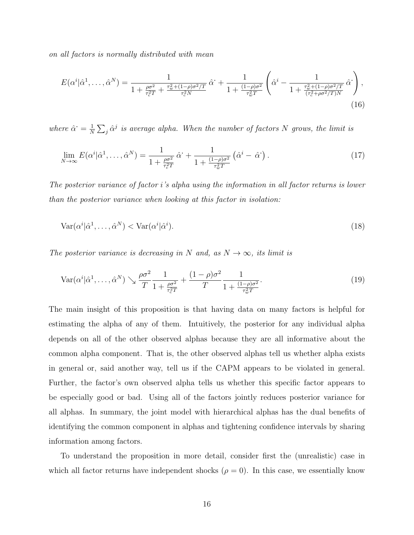on all factors is normally distributed with mean

$$
E(\alpha^{i}|\hat{\alpha}^{1},\ldots,\hat{\alpha}^{N}) = \frac{1}{1 + \frac{\rho\sigma^{2}}{\tau_{c}^{2}T} + \frac{\tau_{w}^{2} + (1-\rho)\sigma^{2}/T}{\tau_{c}^{2}N}}\hat{\alpha}^{i} + \frac{1}{1 + \frac{(1-\rho)\sigma^{2}}{\tau_{w}^{2}T}}\left(\hat{\alpha}^{i} - \frac{1}{1 + \frac{\tau_{w}^{2} + (1-\rho)\sigma^{2}/T}{(\tau_{c}^{2} + \rho\sigma^{2}/T)N}}\hat{\alpha}^{i}\right),
$$
\n(16)

where  $\hat{\alpha}^{\cdot} = \frac{1}{N}$  $\frac{1}{N}\sum_j \hat{\alpha}^j$  is average alpha. When the number of factors N grows, the limit is

<span id="page-16-0"></span>
$$
\lim_{N \to \infty} E(\alpha^i | \hat{\alpha}^1, \dots, \hat{\alpha}^N) = \frac{1}{1 + \frac{\rho \sigma^2}{\tau_c^2 T}} \hat{\alpha}^1 + \frac{1}{1 + \frac{(1 - \rho)\sigma^2}{\tau_w^2 T}} \left( \hat{\alpha}^i - \hat{\alpha}^1 \right). \tag{17}
$$

The posterior variance of factor i's alpha using the information in all factor returns is lower than the posterior variance when looking at this factor in isolation:

$$
Var(\alpha^i | \hat{\alpha}^1, \dots, \hat{\alpha}^N) < Var(\alpha^i | \hat{\alpha}^i). \tag{18}
$$

The posterior variance is decreasing in N and, as  $N \to \infty$ , its limit is

<span id="page-16-1"></span>
$$
\operatorname{Var}(\alpha^i|\hat{\alpha}^1,\ldots,\hat{\alpha}^N) \searrow \frac{\rho\sigma^2}{T} \frac{1}{1 + \frac{\rho\sigma^2}{\tau_c^2 T}} + \frac{(1-\rho)\sigma^2}{T} \frac{1}{1 + \frac{(1-\rho)\sigma^2}{\tau_w^2 T}}.
$$
\n(19)

The main insight of this proposition is that having data on many factors is helpful for estimating the alpha of any of them. Intuitively, the posterior for any individual alpha depends on all of the other observed alphas because they are all informative about the common alpha component. That is, the other observed alphas tell us whether alpha exists in general or, said another way, tell us if the CAPM appears to be violated in general. Further, the factor's own observed alpha tells us whether this specific factor appears to be especially good or bad. Using all of the factors jointly reduces posterior variance for all alphas. In summary, the joint model with hierarchical alphas has the dual benefits of identifying the common component in alphas and tightening confidence intervals by sharing information among factors.

To understand the proposition in more detail, consider first the (unrealistic) case in which all factor returns have independent shocks  $(\rho = 0)$ . In this case, we essentially know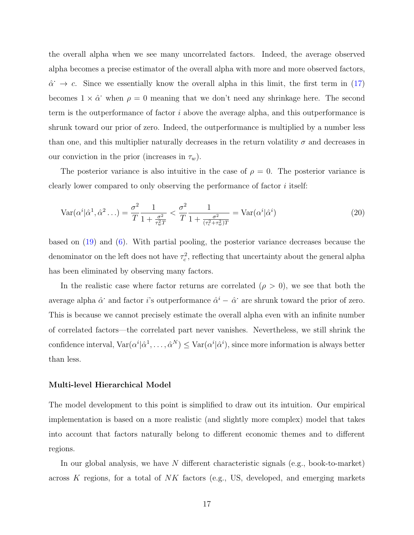the overall alpha when we see many uncorrelated factors. Indeed, the average observed alpha becomes a precise estimator of the overall alpha with more and more observed factors,  $\hat{\alpha}$   $\rightarrow$  c. Since we essentially know the overall alpha in this limit, the first term in [\(17\)](#page-16-0) becomes  $1 \times \hat{\alpha}$  when  $\rho = 0$  meaning that we don't need any shrinkage here. The second term is the outperformance of factor i above the average alpha, and this outperformance is shrunk toward our prior of zero. Indeed, the outperformance is multiplied by a number less than one, and this multiplier naturally decreases in the return volatility  $\sigma$  and decreases in our conviction in the prior (increases in  $\tau_w$ ).

The posterior variance is also intuitive in the case of  $\rho = 0$ . The posterior variance is clearly lower compared to only observing the performance of factor i itself:

$$
\text{Var}(\alpha^i|\hat{\alpha}^1,\hat{\alpha}^2\ldots) = \frac{\sigma^2}{T} \frac{1}{1 + \frac{\sigma^2}{\tau_w^2 T}} < \frac{\sigma^2}{T} \frac{1}{1 + \frac{\sigma^2}{(\tau_c^2 + \tau_w^2)T}} = \text{Var}(\alpha^i|\hat{\alpha}^i) \tag{20}
$$

based on [\(19\)](#page-16-1) and [\(6\)](#page-11-1). With partial pooling, the posterior variance decreases because the denominator on the left does not have  $\tau_c^2$ , reflecting that uncertainty about the general alpha has been eliminated by observing many factors.

In the realistic case where factor returns are correlated  $(\rho > 0)$ , we see that both the average alpha  $\hat{\alpha}$  and factor i's outperformance  $\hat{\alpha}^i - \hat{\alpha}$  are shrunk toward the prior of zero. This is because we cannot precisely estimate the overall alpha even with an infinite number of correlated factors—the correlated part never vanishes. Nevertheless, we still shrink the confidence interval,  $Var(\alpha^i | \hat{\alpha}^1, \dots, \hat{\alpha}^N) \leq Var(\alpha^i | \hat{\alpha}^i)$ , since more information is always better than less.

#### Multi-level Hierarchical Model

The model development to this point is simplified to draw out its intuition. Our empirical implementation is based on a more realistic (and slightly more complex) model that takes into account that factors naturally belong to different economic themes and to different regions.

In our global analysis, we have  $N$  different characteristic signals (e.g., book-to-market) across K regions, for a total of NK factors (e.g., US, developed, and emerging markets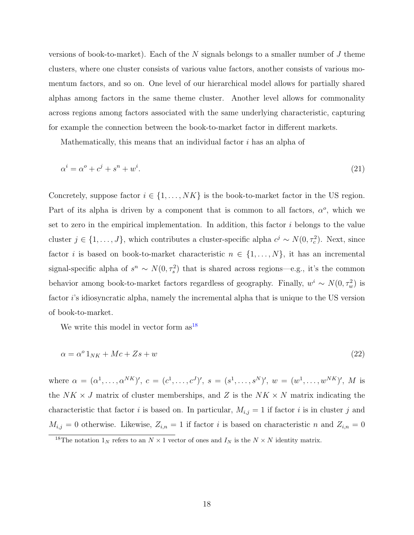versions of book-to-market). Each of the N signals belongs to a smaller number of J theme clusters, where one cluster consists of various value factors, another consists of various momentum factors, and so on. One level of our hierarchical model allows for partially shared alphas among factors in the same theme cluster. Another level allows for commonality across regions among factors associated with the same underlying characteristic, capturing for example the connection between the book-to-market factor in different markets.

<span id="page-18-1"></span>Mathematically, this means that an individual factor  $i$  has an alpha of

$$
\alpha^i = \alpha^o + c^j + s^n + w^i. \tag{21}
$$

Concretely, suppose factor  $i \in \{1, \ldots, NK\}$  is the book-to-market factor in the US region. Part of its alpha is driven by a component that is common to all factors,  $\alpha^o$ , which we set to zero in the empirical implementation. In addition, this factor  $i$  belongs to the value cluster  $j \in \{1, ..., J\}$ , which contributes a cluster-specific alpha  $c^j \sim N(0, \tau_c^2)$ . Next, since factor *i* is based on book-to-market characteristic  $n \in \{1, ..., N\}$ , it has an incremental signal-specific alpha of  $s^n \sim N(0, \tau_s^2)$  that is shared across regions—e.g., it's the common behavior among book-to-market factors regardless of geography. Finally,  $w^i \sim N(0, \tau_w^2)$  is factor i's idiosyncratic alpha, namely the incremental alpha that is unique to the US version of book-to-market.

We write this model in vector form  $as^{18}$  $as^{18}$  $as^{18}$ 

$$
\alpha = \alpha^o 1_{NK} + Mc + Zs + w \tag{22}
$$

where  $\alpha = (\alpha^1, \ldots, \alpha^{NK})'$ ,  $c = (c^1, \ldots, c^J)'$ ,  $s = (s^1, \ldots, s^N)'$ ,  $w = (w^1, \ldots, w^{NK})'$ , M is the  $NK \times J$  matrix of cluster memberships, and Z is the  $NK \times N$  matrix indicating the characteristic that factor i is based on. In particular,  $M_{i,j} = 1$  if factor i is in cluster j and  $M_{i,j} = 0$  otherwise. Likewise,  $Z_{i,n} = 1$  if factor i is based on characteristic n and  $Z_{i,n} = 0$ 

<span id="page-18-0"></span><sup>&</sup>lt;sup>18</sup>The notation  $1_N$  refers to an  $N \times 1$  vector of ones and  $I_N$  is the  $N \times N$  identity matrix.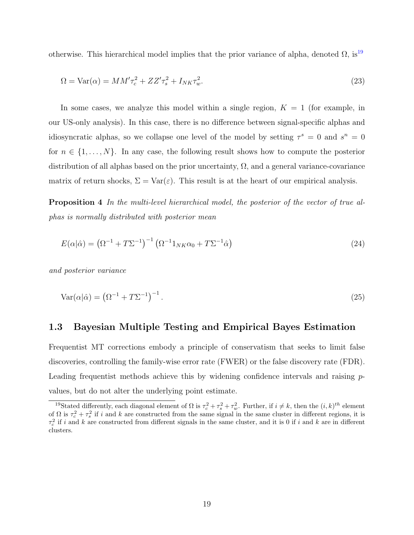otherwise. This hierarchical model implies that the prior variance of alpha, denoted  $\Omega$ , is<sup>[19](#page-19-0)</sup>

<span id="page-19-2"></span>
$$
\Omega = \text{Var}(\alpha) = MM'\tau_c^2 + ZZ'\tau_s^2 + I_{NK}\tau_w^2. \tag{23}
$$

In some cases, we analyze this model within a single region,  $K = 1$  (for example, in our US-only analysis). In this case, there is no difference between signal-specific alphas and idiosyncratic alphas, so we collapse one level of the model by setting  $\tau^s = 0$  and  $s^n = 0$ for  $n \in \{1, \ldots, N\}$ . In any case, the following result shows how to compute the posterior distribution of all alphas based on the prior uncertainty,  $\Omega$ , and a general variance-covariance matrix of return shocks,  $\Sigma = \text{Var}(\varepsilon)$ . This result is at the heart of our empirical analysis.

Proposition 4 In the multi-level hierarchical model, the posterior of the vector of true alphas is normally distributed with posterior mean

<span id="page-19-1"></span>
$$
E(\alpha|\hat{\alpha}) = \left(\Omega^{-1} + T\Sigma^{-1}\right)^{-1} \left(\Omega^{-1} \mathbb{1}_{NK}\alpha_0 + T\Sigma^{-1}\hat{\alpha}\right)
$$
\n(24)

and posterior variance

$$
Var(\alpha|\hat{\alpha}) = (\Omega^{-1} + T\Sigma^{-1})^{-1}.
$$
\n(25)

### 1.3 Bayesian Multiple Testing and Empirical Bayes Estimation

Frequentist MT corrections embody a principle of conservatism that seeks to limit false discoveries, controlling the family-wise error rate (FWER) or the false discovery rate (FDR). Leading frequentist methods achieve this by widening confidence intervals and raising  $p$ values, but do not alter the underlying point estimate.

<span id="page-19-0"></span><sup>&</sup>lt;sup>19</sup>Stated differently, each diagonal element of  $\Omega$  is  $\tau_c^2 + \tau_s^2 + \tau_w^2$ . Further, if  $i \neq k$ , then the  $(i, k)^{th}$  element of  $\Omega$  is  $\tau_c^2 + \tau_s^2$  if i and k are constructed from the same signal in the same cluster in different regions, it is  $\tau_c^2$  if i and k are constructed from different signals in the same cluster, and it is 0 if i and k are in different clusters.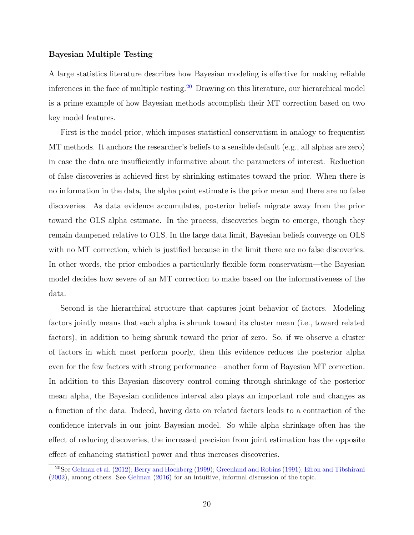### Bayesian Multiple Testing

A large statistics literature describes how Bayesian modeling is effective for making reliable inferences in the face of multiple testing.<sup>[20](#page-20-0)</sup> Drawing on this literature, our hierarchical model is a prime example of how Bayesian methods accomplish their MT correction based on two key model features.

First is the model prior, which imposes statistical conservatism in analogy to frequentist MT methods. It anchors the researcher's beliefs to a sensible default (e.g., all alphas are zero) in case the data are insufficiently informative about the parameters of interest. Reduction of false discoveries is achieved first by shrinking estimates toward the prior. When there is no information in the data, the alpha point estimate is the prior mean and there are no false discoveries. As data evidence accumulates, posterior beliefs migrate away from the prior toward the OLS alpha estimate. In the process, discoveries begin to emerge, though they remain dampened relative to OLS. In the large data limit, Bayesian beliefs converge on OLS with no MT correction, which is justified because in the limit there are no false discoveries. In other words, the prior embodies a particularly flexible form conservatism—the Bayesian model decides how severe of an MT correction to make based on the informativeness of the data.

Second is the hierarchical structure that captures joint behavior of factors. Modeling factors jointly means that each alpha is shrunk toward its cluster mean (i.e., toward related factors), in addition to being shrunk toward the prior of zero. So, if we observe a cluster of factors in which most perform poorly, then this evidence reduces the posterior alpha even for the few factors with strong performance—another form of Bayesian MT correction. In addition to this Bayesian discovery control coming through shrinkage of the posterior mean alpha, the Bayesian confidence interval also plays an important role and changes as a function of the data. Indeed, having data on related factors leads to a contraction of the confidence intervals in our joint Bayesian model. So while alpha shrinkage often has the effect of reducing discoveries, the increased precision from joint estimation has the opposite effect of enhancing statistical power and thus increases discoveries.

<span id="page-20-0"></span><sup>20</sup>See [Gelman et al.](#page-51-6) [\(2012\)](#page-51-6); [Berry and Hochberg](#page-50-8) [\(1999\)](#page-50-8); [Greenland and Robins](#page-51-16) [\(1991\)](#page-51-16); [Efron and Tibshirani](#page-50-9) [\(2002\)](#page-50-9), among others. See [Gelman](#page-51-17) [\(2016\)](#page-51-17) for an intuitive, informal discussion of the topic.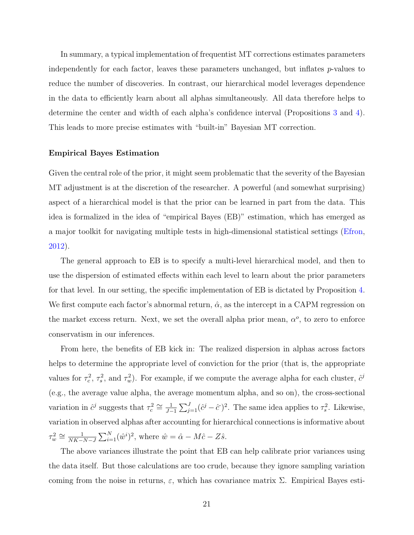In summary, a typical implementation of frequentist MT corrections estimates parameters independently for each factor, leaves these parameters unchanged, but inflates p-values to reduce the number of discoveries. In contrast, our hierarchical model leverages dependence in the data to efficiently learn about all alphas simultaneously. All data therefore helps to determine the center and width of each alpha's confidence interval (Propositions [3](#page-15-3) and [4\)](#page-19-1). This leads to more precise estimates with "built-in" Bayesian MT correction.

#### Empirical Bayes Estimation

Given the central role of the prior, it might seem problematic that the severity of the Bayesian MT adjustment is at the discretion of the researcher. A powerful (and somewhat surprising) aspect of a hierarchical model is that the prior can be learned in part from the data. This idea is formalized in the idea of "empirical Bayes (EB)" estimation, which has emerged as a major toolkit for navigating multiple tests in high-dimensional statistical settings [\(Efron,](#page-50-10) [2012\)](#page-50-10).

The general approach to EB is to specify a multi-level hierarchical model, and then to use the dispersion of estimated effects within each level to learn about the prior parameters for that level. In our setting, the specific implementation of EB is dictated by Proposition [4.](#page-19-1) We first compute each factor's abnormal return,  $\hat{\alpha}$ , as the intercept in a CAPM regression on the market excess return. Next, we set the overall alpha prior mean,  $\alpha^o$ , to zero to enforce conservatism in our inferences.

From here, the benefits of EB kick in: The realized dispersion in alphas across factors helps to determine the appropriate level of conviction for the prior (that is, the appropriate values for  $\tau_c^2$ ,  $\tau_s^2$ , and  $\tau_w^2$ ). For example, if we compute the average alpha for each cluster,  $\hat{c}^j$ (e.g., the average value alpha, the average momentum alpha, and so on), the cross-sectional variation in  $\hat{c}^j$  suggests that  $\tau_c^2 \cong \frac{1}{J}$  $\frac{1}{J-1}\sum_{j=1}^{J}(\hat{c}^j-\hat{c}^{\cdot})^2$ . The same idea applies to  $\tau_s^2$ . Likewise, variation in observed alphas after accounting for hierarchical connections is informative about  $\tau_w^2 \cong \frac{1}{NK-1}$  $\frac{1}{NK-N-J}\sum_{i=1}^{N}(\hat{w}^i)^2$ , where  $\hat{w} = \hat{\alpha} - M\hat{c} - Z\hat{s}$ .

The above variances illustrate the point that EB can help calibrate prior variances using the data itself. But those calculations are too crude, because they ignore sampling variation coming from the noise in returns,  $\varepsilon$ , which has covariance matrix  $\Sigma$ . Empirical Bayes esti-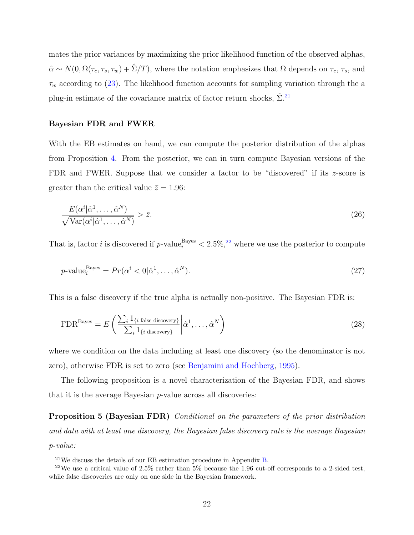mates the prior variances by maximizing the prior likelihood function of the observed alphas,  $\hat{\alpha} \sim N(0, \Omega(\tau_c, \tau_s, \tau_w) + \hat{\Sigma}/T)$ , where the notation emphasizes that  $\Omega$  depends on  $\tau_c$ ,  $\tau_s$ , and  $\tau_w$  according to [\(23\)](#page-19-2). The likelihood function accounts for sampling variation through the a plug-in estimate of the covariance matrix of factor return shocks,  $\hat{\Sigma}^{21}$  $\hat{\Sigma}^{21}$  $\hat{\Sigma}^{21}$ 

### Bayesian FDR and FWER

With the EB estimates on hand, we can compute the posterior distribution of the alphas from Proposition [4.](#page-19-1) From the posterior, we can in turn compute Bayesian versions of the FDR and FWER. Suppose that we consider a factor to be "discovered" if its z-score is greater than the critical value  $\bar{z} = 1.96$ :

<span id="page-22-2"></span>
$$
\frac{E(\alpha^i|\hat{\alpha}^1,\ldots,\hat{\alpha}^N)}{\sqrt{\text{Var}(\alpha^i|\hat{\alpha}^1,\ldots,\hat{\alpha}^N)}} > \bar{z}.\tag{26}
$$

That is, factor *i* is discovered if  $p$ -value<sup>Bayes</sup>  $\lt 2.5\%,^{22}$  $\lt 2.5\%,^{22}$  $\lt 2.5\%,^{22}$  where we use the posterior to compute

$$
p\text{-value}_{i}^{\text{Bayes}} = Pr(\alpha^{i} < 0 | \hat{\alpha}^{1}, \dots, \hat{\alpha}^{N}).
$$
\n
$$
(27)
$$

This is a false discovery if the true alpha is actually non-positive. The Bayesian FDR is:

<span id="page-22-3"></span>
$$
\text{FDR}^{\text{Bayes}} = E\left(\frac{\sum_{i} 1_{\{i \text{ false discovery}\}}}{\sum_{i} 1_{\{i \text{ discovery}\}}}\left|\hat{\alpha}^{1}, \ldots, \hat{\alpha}^{N}\right.\right) \tag{28}
$$

where we condition on the data including at least one discovery (so the denominator is not zero), otherwise FDR is set to zero (see [Benjamini and Hochberg,](#page-50-11) [1995\)](#page-50-11).

The following proposition is a novel characterization of the Bayesian FDR, and shows that it is the average Bayesian p-value across all discoveries:

Proposition 5 (Bayesian FDR) Conditional on the parameters of the prior distribution and data with at least one discovery, the Bayesian false discovery rate is the average Bayesian p-value:

<span id="page-22-1"></span><span id="page-22-0"></span> $21$ We discuss the details of our EB estimation procedure in Appendix [B.](#page-59-0)

<sup>&</sup>lt;sup>22</sup>We use a critical value of 2.5% rather than 5% because the 1.96 cut-off corresponds to a 2-sided test, while false discoveries are only on one side in the Bayesian framework.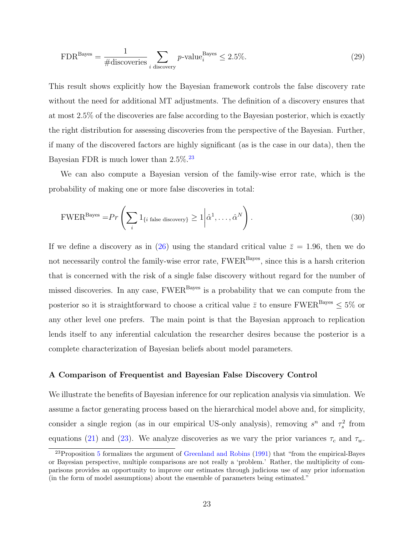$$
\text{FDR}^{\text{Bayes}} = \frac{1}{\# \text{discovering}} \sum_{i \text{ discovery}} p\text{-value}_i^{\text{Bayes}} \le 2.5\%. \tag{29}
$$

This result shows explicitly how the Bayesian framework controls the false discovery rate without the need for additional MT adjustments. The definition of a discovery ensures that at most 2.5% of the discoveries are false according to the Bayesian posterior, which is exactly the right distribution for assessing discoveries from the perspective of the Bayesian. Further, if many of the discovered factors are highly significant (as is the case in our data), then the Bayesian FDR is much lower than  $2.5\%$ .<sup>[23](#page-23-0)</sup>

We can also compute a Bayesian version of the family-wise error rate, which is the probability of making one or more false discoveries in total:

$$
\text{FWER}^{\text{Bayes}} = Pr\left(\sum_{i} 1_{\{i \text{ false discovery}\}} \ge 1 \middle| \hat{\alpha}^{1}, \dots, \hat{\alpha}^{N}\right). \tag{30}
$$

If we define a discovery as in [\(26\)](#page-22-2) using the standard critical value  $\bar{z} = 1.96$ , then we do not necessarily control the family-wise error rate, FWER<sup>Bayes</sup>, since this is a harsh criterion that is concerned with the risk of a single false discovery without regard for the number of missed discoveries. In any case,  $FWER<sup>Bayes</sup>$  is a probability that we can compute from the posterior so it is straightforward to choose a critical value  $\bar{z}$  to ensure FWER<sup>Bayes</sup>  $\leq 5\%$  or any other level one prefers. The main point is that the Bayesian approach to replication lends itself to any inferential calculation the researcher desires because the posterior is a complete characterization of Bayesian beliefs about model parameters.

#### A Comparison of Frequentist and Bayesian False Discovery Control

We illustrate the benefits of Bayesian inference for our replication analysis via simulation. We assume a factor generating process based on the hierarchical model above and, for simplicity, consider a single region (as in our empirical US-only analysis), removing  $s^n$  and  $\tau_s^2$  from equations [\(21\)](#page-18-1) and [\(23\)](#page-19-2). We analyze discoveries as we vary the prior variances  $\tau_c$  and  $\tau_w$ .

<span id="page-23-0"></span> $^{23}$ Proposition [5](#page-22-3) formalizes the argument of [Greenland and Robins](#page-51-16) [\(1991\)](#page-51-16) that "from the empirical-Bayes or Bayesian perspective, multiple comparisons are not really a 'problem.' Rather, the multiplicity of comparisons provides an opportunity to improve our estimates through judicious use of any prior information (in the form of model assumptions) about the ensemble of parameters being estimated."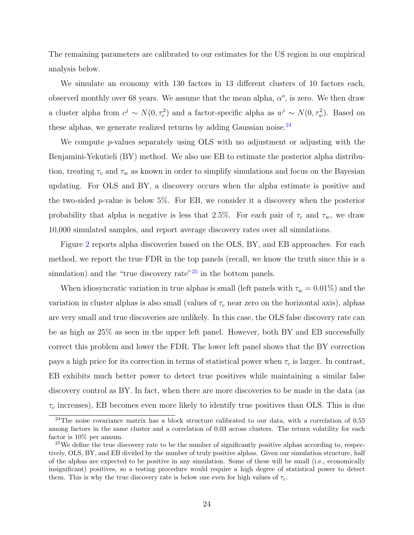The remaining parameters are calibrated to our estimates for the US region in our empirical analysis below.

We simulate an economy with 130 factors in 13 different clusters of 10 factors each, observed monthly over 68 years. We assume that the mean alpha,  $\alpha^o$ , is zero. We then draw a cluster alpha from  $c^j \sim N(0, \tau_c^2)$  and a factor-specific alpha as  $w^i \sim N(0, \tau_w^2)$ . Based on these alphas, we generate realized returns by adding Gaussian noise.<sup>[24](#page-24-0)</sup>

We compute p-values separately using OLS with no adjustment or adjusting with the Benjamini-Yekutieli (BY) method. We also use EB to estimate the posterior alpha distribution, treating  $\tau_c$  and  $\tau_w$  as known in order to simplify simulations and focus on the Bayesian updating. For OLS and BY, a discovery occurs when the alpha estimate is positive and the two-sided p-value is below 5%. For EB, we consider it a discovery when the posterior probability that alpha is negative is less that 2.5%. For each pair of  $\tau_c$  and  $\tau_w$ , we draw 10,000 simulated samples, and report average discovery rates over all simulations.

Figure [2](#page-25-0) reports alpha discoveries based on the OLS, BY, and EB approaches. For each method, we report the true FDR in the top panels (recall, we know the truth since this is a simulation) and the "true discovery rate"  $^{25}$  $^{25}$  $^{25}$  in the bottom panels.

When idiosyncratic variation in true alphas is small (left panels with  $\tau_w = 0.01\%$ ) and the variation in cluster alphas is also small (values of  $\tau_c$  near zero on the horizontal axis), alphas are very small and true discoveries are unlikely. In this case, the OLS false discovery rate can be as high as 25% as seen in the upper left panel. However, both BY and EB successfully correct this problem and lower the FDR. The lower left panel shows that the BY correction pays a high price for its correction in terms of statistical power when  $\tau_c$  is larger. In contrast, EB exhibits much better power to detect true positives while maintaining a similar false discovery control as BY. In fact, when there are more discoveries to be made in the data (as  $\tau_c$  increases), EB becomes even more likely to identify true positives than OLS. This is due

<span id="page-24-0"></span><sup>&</sup>lt;sup>24</sup>The noise covariance matrix has a block structure calibrated to our data, with a correlation of 0.55 among factors in the same cluster and a correlation of 0.03 across clusters. The return volatility for each factor is 10% per annum.

<span id="page-24-1"></span> $25$ We define the true discovery rate to be the number of significantly positive alphas according to, respectively, OLS, BY, and EB divided by the number of truly positive alphas. Given our simulation structure, half of the alphas are expected to be positive in any simulation. Some of these will be small (i.e., economically insignificant) positives, so a testing procedure would require a high degree of statistical power to detect them. This is why the true discovery rate is below one even for high values of  $\tau_c$ .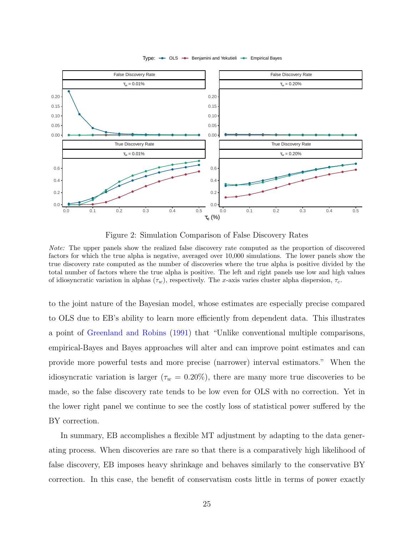<span id="page-25-0"></span>

Type:  $\rightarrow$  OLS  $\rightarrow$  Benjamini and Yekutieli  $\rightarrow$  Empirical Bayes

Figure 2: Simulation Comparison of False Discovery Rates

Note: The upper panels show the realized false discovery rate computed as the proportion of discovered factors for which the true alpha is negative, averaged over 10,000 simulations. The lower panels show the true discovery rate computed as the number of discoveries where the true alpha is positive divided by the total number of factors where the true alpha is positive. The left and right panels use low and high values of idiosyncratic variation in alphas  $(\tau_w)$ , respectively. The x-axis varies cluster alpha dispersion,  $\tau_c$ .

to the joint nature of the Bayesian model, whose estimates are especially precise compared to OLS due to EB's ability to learn more efficiently from dependent data. This illustrates a point of [Greenland and Robins](#page-51-16) [\(1991\)](#page-51-16) that "Unlike conventional multiple comparisons, empirical-Bayes and Bayes approaches will alter and can improve point estimates and can provide more powerful tests and more precise (narrower) interval estimators." When the idiosyncratic variation is larger ( $\tau_w = 0.20\%$ ), there are many more true discoveries to be made, so the false discovery rate tends to be low even for OLS with no correction. Yet in the lower right panel we continue to see the costly loss of statistical power suffered by the BY correction.

In summary, EB accomplishes a flexible MT adjustment by adapting to the data generating process. When discoveries are rare so that there is a comparatively high likelihood of false discovery, EB imposes heavy shrinkage and behaves similarly to the conservative BY correction. In this case, the benefit of conservatism costs little in terms of power exactly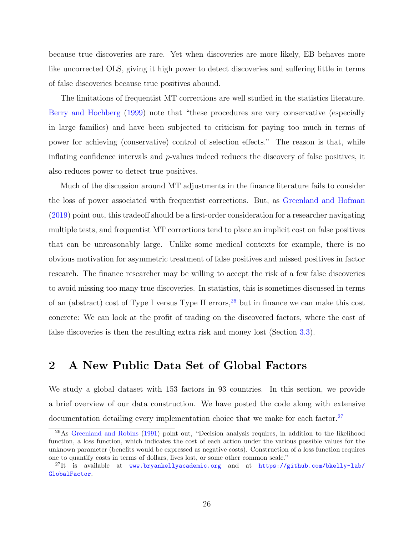because true discoveries are rare. Yet when discoveries are more likely, EB behaves more like uncorrected OLS, giving it high power to detect discoveries and suffering little in terms of false discoveries because true positives abound.

The limitations of frequentist MT corrections are well studied in the statistics literature. [Berry and Hochberg](#page-50-8) [\(1999\)](#page-50-8) note that "these procedures are very conservative (especially in large families) and have been subjected to criticism for paying too much in terms of power for achieving (conservative) control of selection effects." The reason is that, while inflating confidence intervals and p-values indeed reduces the discovery of false positives, it also reduces power to detect true positives.

Much of the discussion around MT adjustments in the finance literature fails to consider the loss of power associated with frequentist corrections. But, as [Greenland and Hofman](#page-51-18) [\(2019\)](#page-51-18) point out, this tradeoff should be a first-order consideration for a researcher navigating multiple tests, and frequentist MT corrections tend to place an implicit cost on false positives that can be unreasonably large. Unlike some medical contexts for example, there is no obvious motivation for asymmetric treatment of false positives and missed positives in factor research. The finance researcher may be willing to accept the risk of a few false discoveries to avoid missing too many true discoveries. In statistics, this is sometimes discussed in terms of an (abstract) cost of Type I versus Type II errors,  $26$  but in finance we can make this cost concrete: We can look at the profit of trading on the discovered factors, where the cost of false discoveries is then the resulting extra risk and money lost (Section [3.3\)](#page-40-0).

# <span id="page-26-0"></span>2 A New Public Data Set of Global Factors

We study a global dataset with 153 factors in 93 countries. In this section, we provide a brief overview of our data construction. We have posted the code along with extensive documentation detailing every implementation choice that we make for each factor.<sup>[27](#page-26-2)</sup>

<span id="page-26-1"></span><sup>26</sup>As [Greenland and Robins](#page-51-16) [\(1991\)](#page-51-16) point out, "Decision analysis requires, in addition to the likelihood function, a loss function, which indicates the cost of each action under the various possible values for the unknown parameter (benefits would be expressed as negative costs). Construction of a loss function requires one to quantify costs in terms of dollars, lives lost, or some other common scale."

<span id="page-26-2"></span> $^{27}$ It is available at <www.bryankellyacademic.org> and at [https://github.com/bkelly-lab/](https://github.com/bkelly-lab/GlobalFactor) [GlobalFactor](https://github.com/bkelly-lab/GlobalFactor).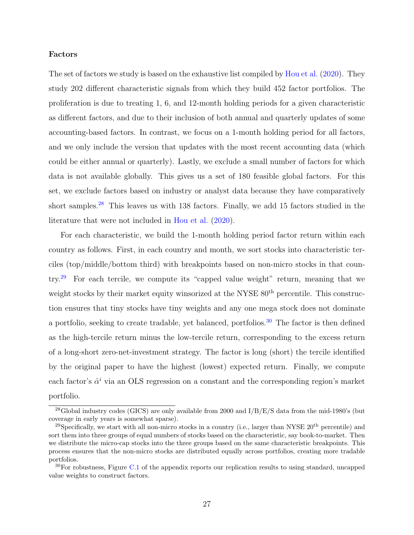### Factors

The set of factors we study is based on the exhaustive list compiled by [Hou et al.](#page-51-1) [\(2020\)](#page-51-1). They study 202 different characteristic signals from which they build 452 factor portfolios. The proliferation is due to treating 1, 6, and 12-month holding periods for a given characteristic as different factors, and due to their inclusion of both annual and quarterly updates of some accounting-based factors. In contrast, we focus on a 1-month holding period for all factors, and we only include the version that updates with the most recent accounting data (which could be either annual or quarterly). Lastly, we exclude a small number of factors for which data is not available globally. This gives us a set of 180 feasible global factors. For this set, we exclude factors based on industry or analyst data because they have comparatively short samples.<sup>[28](#page-27-0)</sup> This leaves us with 138 factors. Finally, we add 15 factors studied in the literature that were not included in [Hou et al.](#page-51-1) [\(2020\)](#page-51-1).

For each characteristic, we build the 1-month holding period factor return within each country as follows. First, in each country and month, we sort stocks into characteristic terciles (top/middle/bottom third) with breakpoints based on non-micro stocks in that country.[29](#page-27-1) For each tercile, we compute its "capped value weight" return, meaning that we weight stocks by their market equity winsorized at the NYSE  $80<sup>th</sup>$  percentile. This construction ensures that tiny stocks have tiny weights and any one mega stock does not dominate a portfolio, seeking to create tradable, yet balanced, portfolios.<sup>[30](#page-27-2)</sup> The factor is then defined as the high-tercile return minus the low-tercile return, corresponding to the excess return of a long-short zero-net-investment strategy. The factor is long (short) the tercile identified by the original paper to have the highest (lowest) expected return. Finally, we compute each factor's  $\hat{\alpha}^i$  via an OLS regression on a constant and the corresponding region's market portfolio.

<span id="page-27-0"></span><sup>&</sup>lt;sup>28</sup>Global industry codes (GICS) are only available from 2000 and  $I/B/E/S$  data from the mid-1980's (but coverage in early years is somewhat sparse).

<span id="page-27-1"></span><sup>&</sup>lt;sup>29</sup>Specifically, we start with all non-micro stocks in a country (i.e., larger than NYSE  $20<sup>th</sup>$  percentile) and sort them into three groups of equal numbers of stocks based on the characteristic, say book-to-market. Then we distribute the micro-cap stocks into the three groups based on the same characteristic breakpoints. This process ensures that the non-micro stocks are distributed equally across portfolios, creating more tradable portfolios.

<span id="page-27-2"></span> $30$ For robustness, Figure [C.1](#page-62-0) of the appendix reports our replication results to using standard, uncapped value weights to construct factors.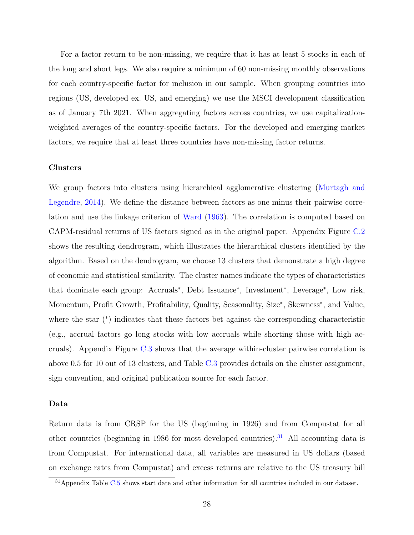For a factor return to be non-missing, we require that it has at least 5 stocks in each of the long and short legs. We also require a minimum of 60 non-missing monthly observations for each country-specific factor for inclusion in our sample. When grouping countries into regions (US, developed ex. US, and emerging) we use the MSCI development classification as of January 7th 2021. When aggregating factors across countries, we use capitalizationweighted averages of the country-specific factors. For the developed and emerging market factors, we require that at least three countries have non-missing factor returns.

### Clusters

We group factors into clusters using hierarchical agglomerative clustering [\(Murtagh and](#page-52-6) [Legendre,](#page-52-6) [2014\)](#page-52-6). We define the distance between factors as one minus their pairwise correlation and use the linkage criterion of [Ward](#page-52-7) [\(1963\)](#page-52-7). The correlation is computed based on CAPM-residual returns of US factors signed as in the original paper. Appendix Figure [C.2](#page-63-0) shows the resulting dendrogram, which illustrates the hierarchical clusters identified by the algorithm. Based on the dendrogram, we choose 13 clusters that demonstrate a high degree of economic and statistical similarity. The cluster names indicate the types of characteristics that dominate each group: Accruals<sup>∗</sup> , Debt Issuance<sup>∗</sup> , Investment<sup>∗</sup> , Leverage<sup>∗</sup> , Low risk, Momentum, Profit Growth, Profitability, Quality, Seasonality, Size<sup>\*</sup>, Skewness<sup>\*</sup>, and Value, where the star (\*) indicates that these factors bet against the corresponding characteristic (e.g., accrual factors go long stocks with low accruals while shorting those with high accruals). Appendix Figure [C.3](#page-64-0) shows that the average within-cluster pairwise correlation is above 0.5 for 10 out of 13 clusters, and Table [C.3](#page-72-0) provides details on the cluster assignment, sign convention, and original publication source for each factor.

### Data

Return data is from CRSP for the US (beginning in 1926) and from Compustat for all other countries (beginning in 1986 for most developed countries).<sup>[31](#page-28-0)</sup> All accounting data is from Compustat. For international data, all variables are measured in US dollars (based on exchange rates from Compustat) and excess returns are relative to the US treasury bill

<span id="page-28-0"></span><sup>31</sup>Appendix Table [C.5](#page-81-0) shows start date and other information for all countries included in our dataset.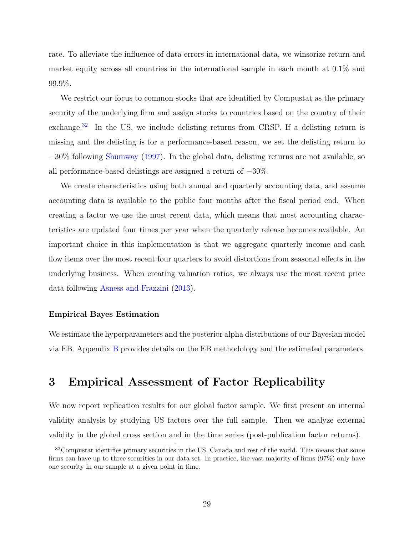rate. To alleviate the influence of data errors in international data, we winsorize return and market equity across all countries in the international sample in each month at 0.1% and 99.9%.

We restrict our focus to common stocks that are identified by Compustat as the primary security of the underlying firm and assign stocks to countries based on the country of their exchange.<sup>[32](#page-29-1)</sup> In the US, we include delisting returns from CRSP. If a delisting return is missing and the delisting is for a performance-based reason, we set the delisting return to −30% following [Shumway](#page-52-8) [\(1997\)](#page-52-8). In the global data, delisting returns are not available, so all performance-based delistings are assigned a return of −30%.

We create characteristics using both annual and quarterly accounting data, and assume accounting data is available to the public four months after the fiscal period end. When creating a factor we use the most recent data, which means that most accounting characteristics are updated four times per year when the quarterly release becomes available. An important choice in this implementation is that we aggregate quarterly income and cash flow items over the most recent four quarters to avoid distortions from seasonal effects in the underlying business. When creating valuation ratios, we always use the most recent price data following [Asness and Frazzini](#page-50-12) [\(2013\)](#page-50-12).

### Empirical Bayes Estimation

We estimate the hyperparameters and the posterior alpha distributions of our Bayesian model via EB. Appendix [B](#page-59-0) provides details on the EB methodology and the estimated parameters.

# <span id="page-29-0"></span>3 Empirical Assessment of Factor Replicability

We now report replication results for our global factor sample. We first present an internal validity analysis by studying US factors over the full sample. Then we analyze external validity in the global cross section and in the time series (post-publication factor returns).

<span id="page-29-1"></span><sup>&</sup>lt;sup>32</sup>Compustat identifies primary securities in the US, Canada and rest of the world. This means that some firms can have up to three securities in our data set. In practice, the vast majority of firms (97%) only have one security in our sample at a given point in time.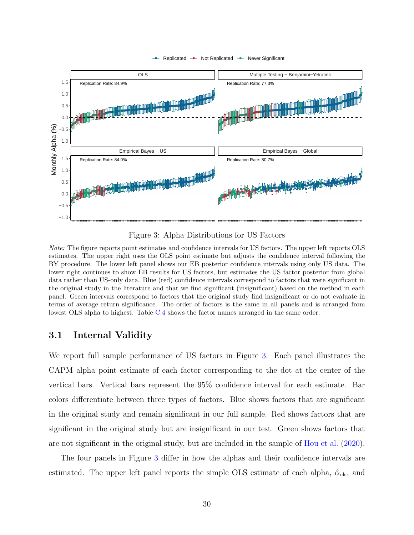<span id="page-30-0"></span>

Figure 3: Alpha Distributions for US Factors

Note: The figure reports point estimates and confidence intervals for US factors. The upper left reports OLS estimates. The upper right uses the OLS point estimate but adjusts the confidence interval following the BY procedure. The lower left panel shows our EB posterior confidence intervals using only US data. The lower right continues to show EB results for US factors, but estimates the US factor posterior from global data rather than US-only data. Blue (red) confidence intervals correspond to factors that were significant in the original study in the literature and that we find significant (insignificant) based on the method in each panel. Green intervals correspond to factors that the original study find insignificant or do not evaluate in terms of average return significance. The order of factors is the same in all panels and is arranged from lowest OLS alpha to highest. Table [C.4](#page-77-0) shows the factor names arranged in the same order.

### 3.1 Internal Validity

We report full sample performance of US factors in Figure [3.](#page-30-0) Each panel illustrates the CAPM alpha point estimate of each factor corresponding to the dot at the center of the vertical bars. Vertical bars represent the 95% confidence interval for each estimate. Bar colors differentiate between three types of factors. Blue shows factors that are significant in the original study and remain significant in our full sample. Red shows factors that are significant in the original study but are insignificant in our test. Green shows factors that are not significant in the original study, but are included in the sample of [Hou et al.](#page-51-1) [\(2020\)](#page-51-1).

The four panels in Figure [3](#page-30-0) differ in how the alphas and their confidence intervals are estimated. The upper left panel reports the simple OLS estimate of each alpha,  $\hat{\alpha}_{ols}$ , and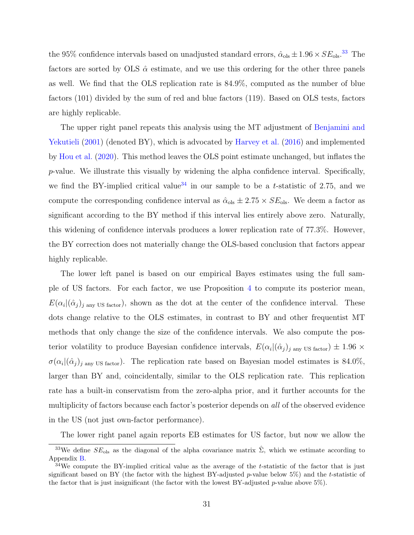the 95% confidence intervals based on unadjusted standard errors,  $\hat{\alpha}_{ols} \pm 1.96 \times SE_{ols}.$ <sup>[33](#page-31-0)</sup> The factors are sorted by OLS  $\hat{\alpha}$  estimate, and we use this ordering for the other three panels as well. We find that the OLS replication rate is 84.9%, computed as the number of blue factors (101) divided by the sum of red and blue factors (119). Based on OLS tests, factors are highly replicable.

The upper right panel repeats this analysis using the MT adjustment of [Benjamini and](#page-50-3) [Yekutieli](#page-50-3) [\(2001\)](#page-50-3) (denoted BY), which is advocated by [Harvey et al.](#page-51-2) [\(2016\)](#page-51-2) and implemented by [Hou et al.](#page-51-1) [\(2020\)](#page-51-1). This method leaves the OLS point estimate unchanged, but inflates the  $p$ -value. We illustrate this visually by widening the alpha confidence interval. Specifically, we find the BY-implied critical value<sup>[34](#page-31-1)</sup> in our sample to be a t-statistic of 2.75, and we compute the corresponding confidence interval as  $\hat{\alpha}_{ols} \pm 2.75 \times SE_{ols}$ . We deem a factor as significant according to the BY method if this interval lies entirely above zero. Naturally, this widening of confidence intervals produces a lower replication rate of 77.3%. However, the BY correction does not materially change the OLS-based conclusion that factors appear highly replicable.

The lower left panel is based on our empirical Bayes estimates using the full sample of US factors. For each factor, we use Proposition [4](#page-19-1) to compute its posterior mean,  $E(\alpha_i | (\hat{\alpha}_j)_{j \text{ any US factor}})$ , shown as the dot at the center of the confidence interval. These dots change relative to the OLS estimates, in contrast to BY and other frequentist MT methods that only change the size of the confidence intervals. We also compute the posterior volatility to produce Bayesian confidence intervals,  $E(\alpha_i | (\hat{\alpha}_j)_{j \text{ any US factor}}) \pm 1.96 \times$  $\sigma(\alpha_i | (\hat{\alpha}_j)_j)$  any US factor). The replication rate based on Bayesian model estimates is 84.0%, larger than BY and, coincidentally, similar to the OLS replication rate. This replication rate has a built-in conservatism from the zero-alpha prior, and it further accounts for the multiplicity of factors because each factor's posterior depends on *all* of the observed evidence in the US (not just own-factor performance).

The lower right panel again reports EB estimates for US factor, but now we allow the

<span id="page-31-0"></span><sup>&</sup>lt;sup>33</sup>We define  $SE_{ols}$  as the diagonal of the alpha covariance matrix  $\hat{\Sigma}$ , which we estimate according to Appendix [B.](#page-59-0)

<span id="page-31-1"></span> $34$ We compute the BY-implied critical value as the average of the t-statistic of the factor that is just significant based on BY (the factor with the highest BY-adjusted p-value below  $5\%$ ) and the t-statistic of the factor that is just insignificant (the factor with the lowest BY-adjusted  $p$ -value above 5%).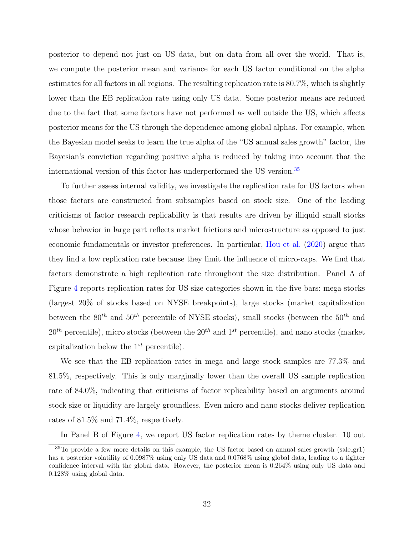posterior to depend not just on US data, but on data from all over the world. That is, we compute the posterior mean and variance for each US factor conditional on the alpha estimates for all factors in all regions. The resulting replication rate is 80.7%, which is slightly lower than the EB replication rate using only US data. Some posterior means are reduced due to the fact that some factors have not performed as well outside the US, which affects posterior means for the US through the dependence among global alphas. For example, when the Bayesian model seeks to learn the true alpha of the "US annual sales growth" factor, the Bayesian's conviction regarding positive alpha is reduced by taking into account that the international version of this factor has underperformed the US version.[35](#page-32-0)

To further assess internal validity, we investigate the replication rate for US factors when those factors are constructed from subsamples based on stock size. One of the leading criticisms of factor research replicability is that results are driven by illiquid small stocks whose behavior in large part reflects market frictions and microstructure as opposed to just economic fundamentals or investor preferences. In particular, [Hou et al.](#page-51-1) [\(2020\)](#page-51-1) argue that they find a low replication rate because they limit the influence of micro-caps. We find that factors demonstrate a high replication rate throughout the size distribution. Panel A of Figure [4](#page-33-0) reports replication rates for US size categories shown in the five bars: mega stocks (largest 20% of stocks based on NYSE breakpoints), large stocks (market capitalization between the  $80^{th}$  and  $50^{th}$  percentile of NYSE stocks), small stocks (between the  $50^{th}$  and  $20<sup>th</sup>$  percentile), micro stocks (between the  $20<sup>th</sup>$  and  $1<sup>st</sup>$  percentile), and nano stocks (market capitalization below the  $1^{st}$  percentile).

We see that the EB replication rates in mega and large stock samples are 77.3% and 81.5%, respectively. This is only marginally lower than the overall US sample replication rate of 84.0%, indicating that criticisms of factor replicability based on arguments around stock size or liquidity are largely groundless. Even micro and nano stocks deliver replication rates of 81.5% and 71.4%, respectively.

<span id="page-32-0"></span>In Panel B of Figure [4,](#page-33-0) we report US factor replication rates by theme cluster. 10 out

<sup>35</sup>To provide a few more details on this example, the US factor based on annual sales growth (sale gr1) has a posterior volatility of 0.0987% using only US data and 0.0768% using global data, leading to a tighter confidence interval with the global data. However, the posterior mean is 0.264% using only US data and 0.128% using global data.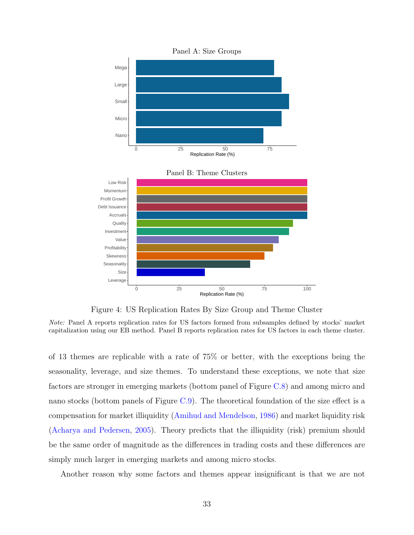<span id="page-33-0"></span>

Figure 4: US Replication Rates By Size Group and Theme Cluster

Note: Panel A reports replication rates for US factors formed from subsamples defined by stocks' market capitalization using our EB method. Panel B reports replication rates for US factors in each theme cluster.

of 13 themes are replicable with a rate of 75% or better, with the exceptions being the seasonality, leverage, and size themes. To understand these exceptions, we note that size factors are stronger in emerging markets (bottom panel of Figure [C.8\)](#page-67-0) and among micro and nano stocks (bottom panels of Figure  $C.9$ ). The theoretical foundation of the size effect is a compensation for market illiquidity [\(Amihud and Mendelson,](#page-50-13) [1986\)](#page-50-13) and market liquidity risk [\(Acharya and Pedersen,](#page-50-14) [2005\)](#page-50-14). Theory predicts that the illiquidity (risk) premium should be the same order of magnitude as the differences in trading costs and these differences are simply much larger in emerging markets and among micro stocks.

Another reason why some factors and themes appear insignificant is that we are not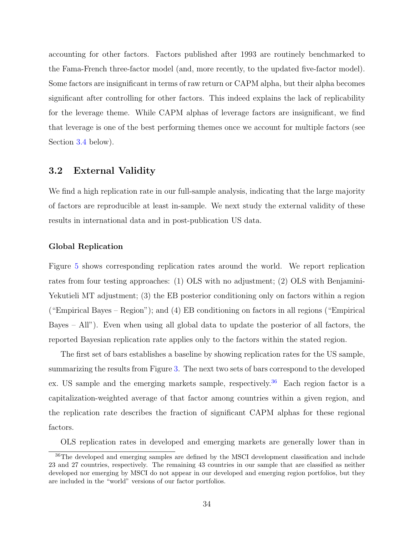accounting for other factors. Factors published after 1993 are routinely benchmarked to the Fama-French three-factor model (and, more recently, to the updated five-factor model). Some factors are insignificant in terms of raw return or CAPM alpha, but their alpha becomes significant after controlling for other factors. This indeed explains the lack of replicability for the leverage theme. While CAPM alphas of leverage factors are insignificant, we find that leverage is one of the best performing themes once we account for multiple factors (see Section [3.4](#page-44-0) below).

### <span id="page-34-0"></span>3.2 External Validity

We find a high replication rate in our full-sample analysis, indicating that the large majority of factors are reproducible at least in-sample. We next study the external validity of these results in international data and in post-publication US data.

### Global Replication

Figure [5](#page-35-0) shows corresponding replication rates around the world. We report replication rates from four testing approaches: (1) OLS with no adjustment; (2) OLS with Benjamini-Yekutieli MT adjustment; (3) the EB posterior conditioning only on factors within a region ("Empirical Bayes – Region"); and (4) EB conditioning on factors in all regions ("Empirical Bayes – All"). Even when using all global data to update the posterior of all factors, the reported Bayesian replication rate applies only to the factors within the stated region.

The first set of bars establishes a baseline by showing replication rates for the US sample, summarizing the results from Figure [3.](#page-30-0) The next two sets of bars correspond to the developed ex. US sample and the emerging markets sample, respectively.<sup>[36](#page-34-1)</sup> Each region factor is a capitalization-weighted average of that factor among countries within a given region, and the replication rate describes the fraction of significant CAPM alphas for these regional factors.

<span id="page-34-1"></span>OLS replication rates in developed and emerging markets are generally lower than in

<sup>&</sup>lt;sup>36</sup>The developed and emerging samples are defined by the MSCI development classification and include 23 and 27 countries, respectively. The remaining 43 countries in our sample that are classified as neither developed nor emerging by MSCI do not appear in our developed and emerging region portfolios, but they are included in the "world" versions of our factor portfolios.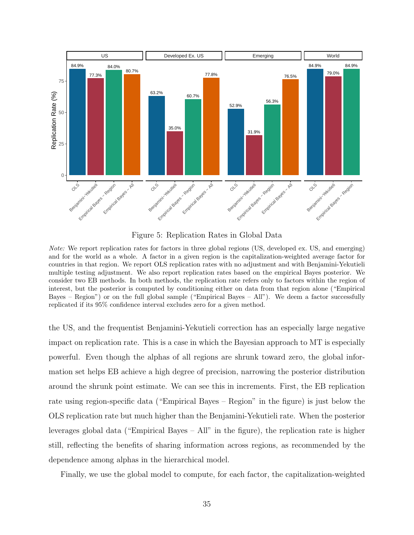<span id="page-35-0"></span>

Figure 5: Replication Rates in Global Data

Note: We report replication rates for factors in three global regions (US, developed ex. US, and emerging) and for the world as a whole. A factor in a given region is the capitalization-weighted average factor for countries in that region. We report OLS replication rates with no adjustment and with Benjamini-Yekutieli multiple testing adjustment. We also report replication rates based on the empirical Bayes posterior. We consider two EB methods. In both methods, the replication rate refers only to factors within the region of interest, but the posterior is computed by conditioning either on data from that region alone ("Empirical Bayes – Region") or on the full global sample ("Empirical Bayes – All"). We deem a factor successfully replicated if its 95% confidence interval excludes zero for a given method.

the US, and the frequentist Benjamini-Yekutieli correction has an especially large negative impact on replication rate. This is a case in which the Bayesian approach to MT is especially powerful. Even though the alphas of all regions are shrunk toward zero, the global information set helps EB achieve a high degree of precision, narrowing the posterior distribution around the shrunk point estimate. We can see this in increments. First, the EB replication rate using region-specific data ("Empirical Bayes – Region" in the figure) is just below the OLS replication rate but much higher than the Benjamini-Yekutieli rate. When the posterior leverages global data ("Empirical Bayes – All" in the figure), the replication rate is higher still, reflecting the benefits of sharing information across regions, as recommended by the dependence among alphas in the hierarchical model.

Finally, we use the global model to compute, for each factor, the capitalization-weighted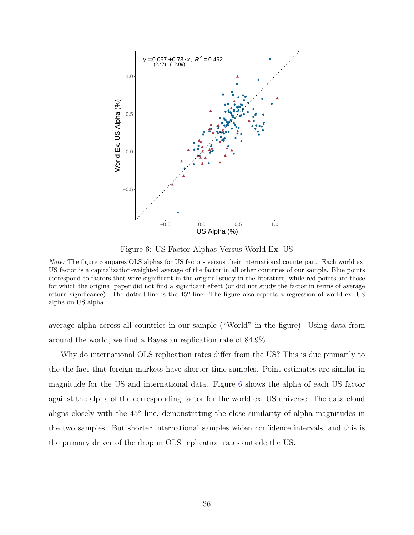<span id="page-36-0"></span>

Figure 6: US Factor Alphas Versus World Ex. US

average alpha across all countries in our sample ("World" in the figure). Using data from around the world, we find a Bayesian replication rate of 84.9%.

Why do international OLS replication rates differ from the US? This is due primarily to the the fact that foreign markets have shorter time samples. Point estimates are similar in magnitude for the US and international data. Figure [6](#page-36-0) shows the alpha of each US factor against the alpha of the corresponding factor for the world ex. US universe. The data cloud aligns closely with the 45<sup>°</sup> line, demonstrating the close similarity of alpha magnitudes in the two samples. But shorter international samples widen confidence intervals, and this is the primary driver of the drop in OLS replication rates outside the US.

Note: The figure compares OLS alphas for US factors versus their international counterpart. Each world ex. US factor is a capitalization-weighted average of the factor in all other countries of our sample. Blue points correspond to factors that were significant in the original study in the literature, while red points are those for which the original paper did not find a significant effect (or did not study the factor in terms of average return significance). The dotted line is the 45<sup>o</sup> line. The figure also reports a regression of world ex. US alpha on US alpha.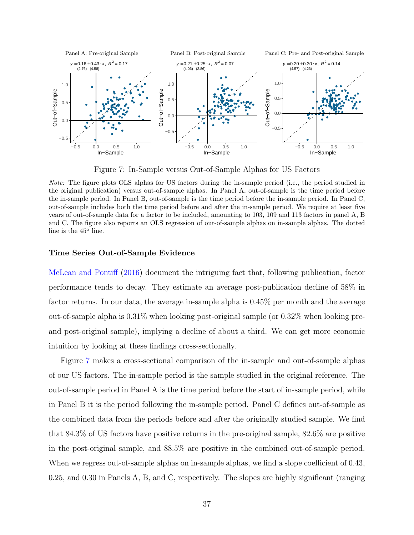<span id="page-37-0"></span>

Figure 7: In-Sample versus Out-of-Sample Alphas for US Factors

Note: The figure plots OLS alphas for US factors during the in-sample period (i.e., the period studied in the original publication) versus out-of-sample alphas. In Panel A, out-of-sample is the time period before the in-sample period. In Panel B, out-of-sample is the time period before the in-sample period. In Panel C, out-of-sample includes both the time period before and after the in-sample period. We require at least five years of out-of-sample data for a factor to be included, amounting to 103, 109 and 113 factors in panel A, B and C. The figure also reports an OLS regression of out-of-sample alphas on in-sample alphas. The dotted line is the  $45^{\circ}$  line.

#### Time Series Out-of-Sample Evidence

[McLean and Pontiff](#page-52-0) [\(2016\)](#page-52-0) document the intriguing fact that, following publication, factor performance tends to decay. They estimate an average post-publication decline of 58% in factor returns. In our data, the average in-sample alpha is 0.45% per month and the average out-of-sample alpha is  $0.31\%$  when looking post-original sample (or  $0.32\%$  when looking preand post-original sample), implying a decline of about a third. We can get more economic intuition by looking at these findings cross-sectionally.

Figure [7](#page-37-0) makes a cross-sectional comparison of the in-sample and out-of-sample alphas of our US factors. The in-sample period is the sample studied in the original reference. The out-of-sample period in Panel A is the time period before the start of in-sample period, while in Panel B it is the period following the in-sample period. Panel C defines out-of-sample as the combined data from the periods before and after the originally studied sample. We find that 84.3% of US factors have positive returns in the pre-original sample, 82.6% are positive in the post-original sample, and 88.5% are positive in the combined out-of-sample period. When we regress out-of-sample alphas on in-sample alphas, we find a slope coefficient of 0.43, 0.25, and 0.30 in Panels A, B, and C, respectively. The slopes are highly significant (ranging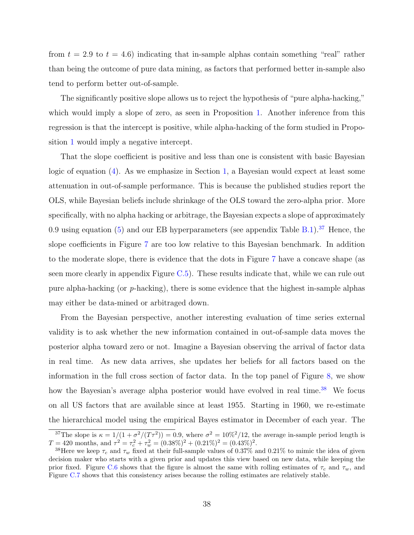from  $t = 2.9$  to  $t = 4.6$ ) indicating that in-sample alphas contain something "real" rather than being the outcome of pure data mining, as factors that performed better in-sample also tend to perform better out-of-sample.

The significantly positive slope allows us to reject the hypothesis of "pure alpha-hacking," which would imply a slope of zero, as seen in Proposition [1.](#page-12-0) Another inference from this regression is that the intercept is positive, while alpha-hacking of the form studied in Proposition [1](#page-12-0) would imply a negative intercept.

That the slope coefficient is positive and less than one is consistent with basic Bayesian logic of equation [\(4\)](#page-11-0). As we emphasize in Section [1,](#page-9-0) a Bayesian would expect at least some attenuation in out-of-sample performance. This is because the published studies report the OLS, while Bayesian beliefs include shrinkage of the OLS toward the zero-alpha prior. More specifically, with no alpha hacking or arbitrage, the Bayesian expects a slope of approximately 0.9 using equation  $(5)$  and our EB hyperparameters (see appendix Table [B.1\)](#page-61-0).<sup>[37](#page-38-0)</sup> Hence, the slope coefficients in Figure [7](#page-37-0) are too low relative to this Bayesian benchmark. In addition to the moderate slope, there is evidence that the dots in Figure [7](#page-37-0) have a concave shape (as seen more clearly in appendix Figure [C.5\)](#page-66-0). These results indicate that, while we can rule out pure alpha-hacking (or p-hacking), there is some evidence that the highest in-sample alphas may either be data-mined or arbitraged down.

From the Bayesian perspective, another interesting evaluation of time series external validity is to ask whether the new information contained in out-of-sample data moves the posterior alpha toward zero or not. Imagine a Bayesian observing the arrival of factor data in real time. As new data arrives, she updates her beliefs for all factors based on the information in the full cross section of factor data. In the top panel of Figure [8,](#page-39-0) we show how the Bayesian's average alpha posterior would have evolved in real time.<sup>[38](#page-38-1)</sup> We focus on all US factors that are available since at least 1955. Starting in 1960, we re-estimate the hierarchical model using the empirical Bayes estimator in December of each year. The

<span id="page-38-0"></span><sup>&</sup>lt;sup>37</sup>The slope is  $\kappa = 1/(1 + \sigma^2/(T\tau^2)) = 0.9$ , where  $\sigma^2 = 10\%^2/12$ , the average in-sample period length is  $T = 420$  months, and  $\tau^2 = \tau_c^2 + \tau_w^2 = (0.38\%)^2 + (0.21\%)^2 = (0.43\%)^2$ .

<span id="page-38-1"></span><sup>&</sup>lt;sup>38</sup>Here we keep  $\tau_c$  and  $\tau_w$  fixed at their full-sample values of 0.37% and 0.21% to mimic the idea of given decision maker who starts with a given prior and updates this view based on new data, while keeping the prior fixed. Figure [C.6](#page-66-1) shows that the figure is almost the same with rolling estimates of  $\tau_c$  and  $\tau_w$ , and Figure [C.7](#page-67-0) shows that this consistency arises because the rolling estimates are relatively stable.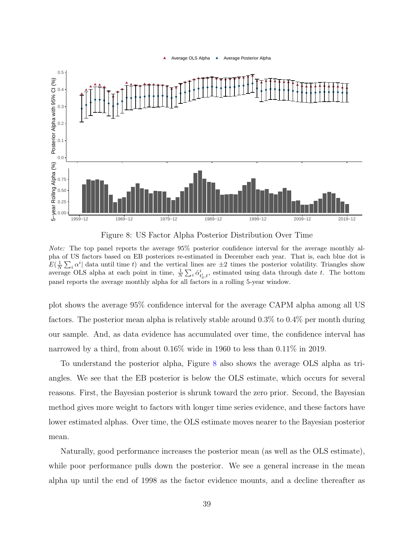

<span id="page-39-0"></span>

Figure 8: US Factor Alpha Posterior Distribution Over Time

Note: The top panel reports the average 95% posterior confidence interval for the average monthly alpha of US factors based on EB posteriors re-estimated in December each year. That is, each blue dot is  $E(\frac{1}{N}\sum_i \alpha^i)$  data until time t) and the vertical lines are  $\pm 2$  times the posterior volatility. Triangles show average OLS alpha at each point in time,  $\frac{1}{N} \sum_i \hat{\alpha}^i_{t_0,t}$ , estimated using data through date t. The bottom panel reports the average monthly alpha for all factors in a rolling 5-year window.

plot shows the average 95% confidence interval for the average CAPM alpha among all US factors. The posterior mean alpha is relatively stable around 0.3% to 0.4% per month during our sample. And, as data evidence has accumulated over time, the confidence interval has narrowed by a third, from about 0.16% wide in 1960 to less than 0.11% in 2019.

To understand the posterior alpha, Figure [8](#page-39-0) also shows the average OLS alpha as triangles. We see that the EB posterior is below the OLS estimate, which occurs for several reasons. First, the Bayesian posterior is shrunk toward the zero prior. Second, the Bayesian method gives more weight to factors with longer time series evidence, and these factors have lower estimated alphas. Over time, the OLS estimate moves nearer to the Bayesian posterior mean.

Naturally, good performance increases the posterior mean (as well as the OLS estimate), while poor performance pulls down the posterior. We see a general increase in the mean alpha up until the end of 1998 as the factor evidence mounts, and a decline thereafter as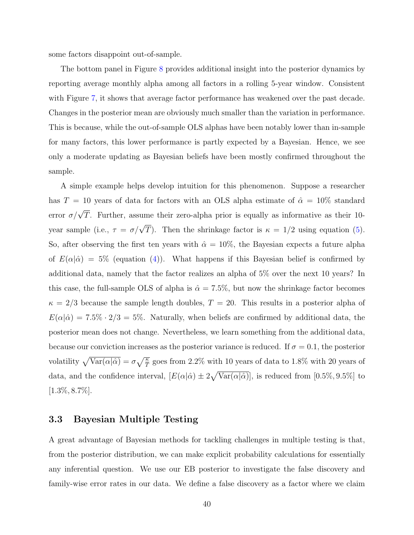some factors disappoint out-of-sample.

The bottom panel in Figure [8](#page-39-0) provides additional insight into the posterior dynamics by reporting average monthly alpha among all factors in a rolling 5-year window. Consistent with Figure [7,](#page-37-0) it shows that average factor performance has weakened over the past decade. Changes in the posterior mean are obviously much smaller than the variation in performance. This is because, while the out-of-sample OLS alphas have been notably lower than in-sample for many factors, this lower performance is partly expected by a Bayesian. Hence, we see only a moderate updating as Bayesian beliefs have been mostly confirmed throughout the sample.

A simple example helps develop intuition for this phenomenon. Suppose a researcher has T = 10 years of data for factors with an OLS alpha estimate of  $\hat{\alpha} = 10\%$  standard error  $\sigma/\sqrt{T}$ . Further, assume their zero-alpha prior is equally as informative as their 10year sample (i.e.,  $\tau = \sigma/\sqrt{T}$ ). Then the shrinkage factor is  $\kappa = 1/2$  using equation [\(5\)](#page-11-1). So, after observing the first ten years with  $\hat{\alpha} = 10\%$ , the Bayesian expects a future alpha of  $E(\alpha|\hat{\alpha}) = 5\%$  (equation [\(4\)](#page-11-0)). What happens if this Bayesian belief is confirmed by additional data, namely that the factor realizes an alpha of 5% over the next 10 years? In this case, the full-sample OLS of alpha is  $\hat{\alpha} = 7.5\%$ , but now the shrinkage factor becomes  $\kappa = 2/3$  because the sample length doubles,  $T = 20$ . This results in a posterior alpha of  $E(\alpha|\hat{\alpha}) = 7.5\% \cdot 2/3 = 5\%.$  Naturally, when beliefs are confirmed by additional data, the posterior mean does not change. Nevertheless, we learn something from the additional data, because our conviction increases as the posterior variance is reduced. If  $\sigma = 0.1$ , the posterior volatility  $\sqrt{\text{Var}(\alpha|\hat{\alpha})} = \sigma \sqrt{\frac{\kappa}{T}}$  goes from 2.2% with 10 years of data to 1.8% with 20 years of data, and the confidence interval,  $[E(\alpha|\hat{\alpha}) \pm 2\sqrt{\text{Var}(\alpha|\hat{\alpha})}]$ , is reduced from  $[0.5\%, 9.5\%]$  to [1.3%, 8.7%].

### 3.3 Bayesian Multiple Testing

A great advantage of Bayesian methods for tackling challenges in multiple testing is that, from the posterior distribution, we can make explicit probability calculations for essentially any inferential question. We use our EB posterior to investigate the false discovery and family-wise error rates in our data. We define a false discovery as a factor where we claim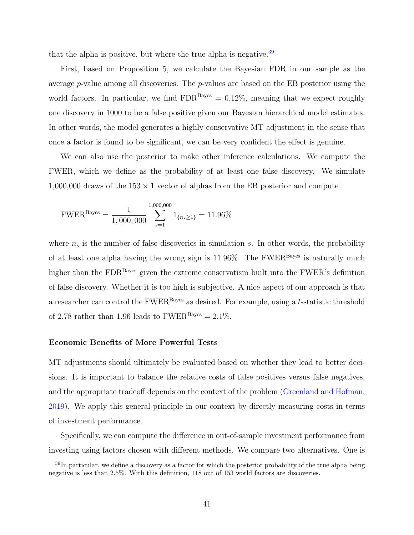that the alpha is positive, but where the true alpha is negative.<sup>[39](#page-41-0)</sup>

First, based on Proposition [5,](#page-22-0) we calculate the Bayesian FDR in our sample as the average  $p$ -value among all discoveries. The  $p$ -values are based on the EB posterior using the world factors. In particular, we find  $FDR<sup>Bayes</sup> = 0.12\%$ , meaning that we expect roughly one discovery in 1000 to be a false positive given our Bayesian hierarchical model estimates. In other words, the model generates a highly conservative MT adjustment in the sense that once a factor is found to be significant, we can be very confident the effect is genuine.

We can also use the posterior to make other inference calculations. We compute the FWER, which we define as the probability of at least one false discovery. We simulate 1,000,000 draws of the  $153 \times 1$  vector of alphas from the EB posterior and compute

FWER<sup>Bayes</sup> = 
$$
\frac{1}{1,000,000} \sum_{s=1}^{1,000,000} 1_{\{n_s \ge 1\}} = 11.96\%
$$

where  $n<sub>s</sub>$  is the number of false discoveries in simulation s. In other words, the probability of at least one alpha having the wrong sign is  $11.96\%$ . The FWER<sup>Bayes</sup> is naturally much higher than the FDR<sup>Bayes</sup> given the extreme conservatism built into the FWER's definition of false discovery. Whether it is too high is subjective. A nice aspect of our approach is that a researcher can control the  $FWER<sup>Bayes</sup>$  as desired. For example, using a t-statistic threshold of 2.78 rather than 1.96 leads to  $FWER<sup>Bayes</sup> = 2.1\%$ .

#### Economic Benefits of More Powerful Tests

MT adjustments should ultimately be evaluated based on whether they lead to better decisions. It is important to balance the relative costs of false positives versus false negatives, and the appropriate tradeoff depends on the context of the problem [\(Greenland and Hofman,](#page-51-0) [2019\)](#page-51-0). We apply this general principle in our context by directly measuring costs in terms of investment performance.

Specifically, we can compute the difference in out-of-sample investment performance from investing using factors chosen with different methods. We compare two alternatives. One is

<span id="page-41-0"></span> $39$ In particular, we define a discovery as a factor for which the posterior probability of the true alpha being negative is less than 2.5%. With this definition, 118 out of 153 world factors are discoveries.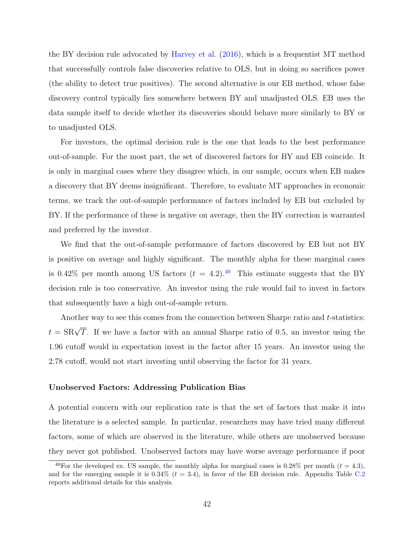the BY decision rule advocated by [Harvey et al.](#page-51-1) [\(2016\)](#page-51-1), which is a frequentist MT method that successfully controls false discoveries relative to OLS, but in doing so sacrifices power (the ability to detect true positives). The second alternative is our EB method, whose false discovery control typically lies somewhere between BY and unadjusted OLS. EB uses the data sample itself to decide whether its discoveries should behave more similarly to BY or to unadjusted OLS.

For investors, the optimal decision rule is the one that leads to the best performance out-of-sample. For the most part, the set of discovered factors for BY and EB coincide. It is only in marginal cases where they disagree which, in our sample, occurs when EB makes a discovery that BY deems insignificant. Therefore, to evaluate MT approaches in economic terms, we track the out-of-sample performance of factors included by EB but excluded by BY. If the performance of these is negative on average, then the BY correction is warranted and preferred by the investor.

We find that the out-of-sample performance of factors discovered by EB but not BY is positive on average and highly significant. The monthly alpha for these marginal cases is 0.42% per month among US factors  $(t = 4.2)$ .<sup>[40](#page-42-0)</sup> This estimate suggests that the BY decision rule is too conservative. An investor using the rule would fail to invest in factors that subsequently have a high out-of-sample return.

Another way to see this comes from the connection between Sharpe ratio and t-statistics:  $t = \text{SR}\sqrt{T}$ . If we have a factor with an annual Sharpe ratio of 0.5, an investor using the 1.96 cutoff would in expectation invest in the factor after 15 years. An investor using the 2.78 cutoff, would not start investing until observing the factor for 31 years.

#### Unobserved Factors: Addressing Publication Bias

A potential concern with our replication rate is that the set of factors that make it into the literature is a selected sample. In particular, researchers may have tried many different factors, some of which are observed in the literature, while others are unobserved because they never got published. Unobserved factors may have worse average performance if poor

<span id="page-42-0"></span><sup>&</sup>lt;sup>40</sup>For the developed ex. US sample, the monthly alpha for marginal cases is 0.28% per month ( $t = 4.3$ ). and for the emerging sample it is  $0.34\%$  ( $t = 3.4$ ), in favor of the EB decision rule. Appendix Table [C.2](#page-71-0) reports additional details for this analysis.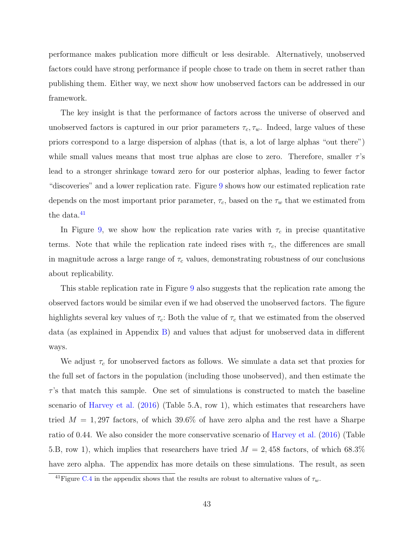performance makes publication more difficult or less desirable. Alternatively, unobserved factors could have strong performance if people chose to trade on them in secret rather than publishing them. Either way, we next show how unobserved factors can be addressed in our framework.

The key insight is that the performance of factors across the universe of observed and unobserved factors is captured in our prior parameters  $\tau_c$ ,  $\tau_w$ . Indeed, large values of these priors correspond to a large dispersion of alphas (that is, a lot of large alphas "out there") while small values means that most true alphas are close to zero. Therefore, smaller  $\tau$ 's lead to a stronger shrinkage toward zero for our posterior alphas, leading to fewer factor "discoveries" and a lower replication rate. Figure [9](#page-44-0) shows how our estimated replication rate depends on the most important prior parameter,  $\tau_c$ , based on the  $\tau_w$  that we estimated from the data.<sup>[41](#page-43-0)</sup>

In Figure [9,](#page-44-0) we show how the replication rate varies with  $\tau_c$  in precise quantitative terms. Note that while the replication rate indeed rises with  $\tau_c$ , the differences are small in magnitude across a large range of  $\tau_c$  values, demonstrating robustness of our conclusions about replicability.

This stable replication rate in Figure [9](#page-44-0) also suggests that the replication rate among the observed factors would be similar even if we had observed the unobserved factors. The figure highlights several key values of  $\tau_c$ : Both the value of  $\tau_c$  that we estimated from the observed data (as explained in Appendix [B\)](#page-59-0) and values that adjust for unobserved data in different ways.

We adjust  $\tau_c$  for unobserved factors as follows. We simulate a data set that proxies for the full set of factors in the population (including those unobserved), and then estimate the  $\tau$ 's that match this sample. One set of simulations is constructed to match the baseline scenario of [Harvey et al.](#page-51-1) [\(2016\)](#page-51-1) (Table 5.A, row 1), which estimates that researchers have tried  $M = 1,297$  factors, of which 39.6% of have zero alpha and the rest have a Sharpe ratio of 0.44. We also consider the more conservative scenario of [Harvey et al.](#page-51-1) [\(2016\)](#page-51-1) (Table 5.B, row 1), which implies that researchers have tried  $M = 2,458$  factors, of which 68.3% have zero alpha. The appendix has more details on these simulations. The result, as seen

<span id="page-43-0"></span><sup>&</sup>lt;sup>41</sup>Figure [C.4](#page-65-0) in the appendix shows that the results are robust to alternative values of  $\tau_w$ .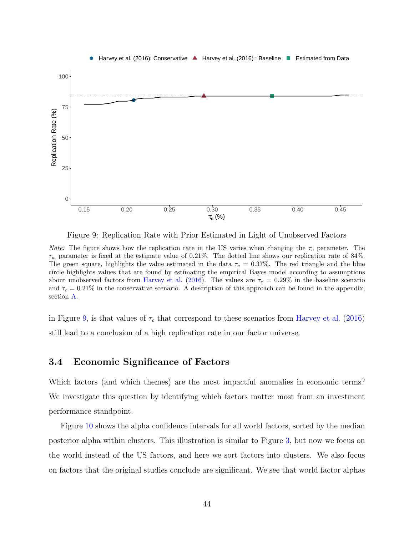<span id="page-44-0"></span>

Figure 9: Replication Rate with Prior Estimated in Light of Unobserved Factors

*Note:* The figure shows how the replication rate in the US varies when changing the  $\tau_c$  parameter. The  $\tau_w$  parameter is fixed at the estimate value of 0.21%. The dotted line shows our replication rate of 84%. The green square, highlights the value estimated in the data  $\tau_c = 0.37\%$ . The red triangle and the blue circle highlights values that are found by estimating the empirical Bayes model according to assumptions about unobserved factors from [Harvey et al.](#page-51-1) [\(2016\)](#page-51-1). The values are  $\tau_c = 0.29\%$  in the baseline scenario and  $\tau_c = 0.21\%$  in the conservative scenario. A description of this approach can be found in the appendix, section [A.](#page-58-0)

in Figure [9,](#page-44-0) is that values of  $\tau_c$  that correspond to these scenarios from [Harvey et al.](#page-51-1) [\(2016\)](#page-51-1) still lead to a conclusion of a high replication rate in our factor universe.

### 3.4 Economic Significance of Factors

Which factors (and which themes) are the most impactful anomalies in economic terms? We investigate this question by identifying which factors matter most from an investment performance standpoint.

Figure [10](#page-45-0) shows the alpha confidence intervals for all world factors, sorted by the median posterior alpha within clusters. This illustration is similar to Figure [3,](#page-30-0) but now we focus on the world instead of the US factors, and here we sort factors into clusters. We also focus on factors that the original studies conclude are significant. We see that world factor alphas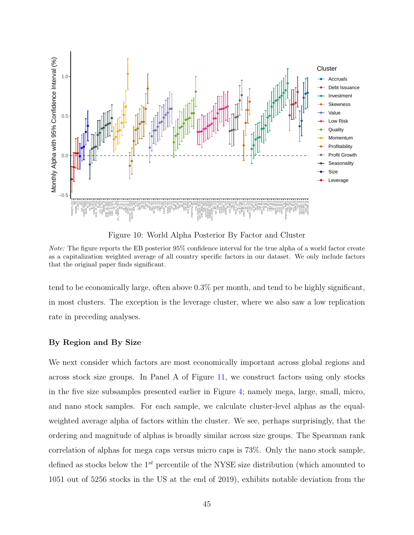<span id="page-45-0"></span>

Figure 10: World Alpha Posterior By Factor and Cluster

Note: The figure reports the EB posterior 95% confidence interval for the true alpha of a world factor create as a capitalization weighted average of all country specific factors in our dataset. We only include factors that the original paper finds significant.

tend to be economically large, often above 0.3% per month, and tend to be highly significant, in most clusters. The exception is the leverage cluster, where we also saw a low replication rate in preceding analyses.

#### By Region and By Size

We next consider which factors are most economically important across global regions and across stock size groups. In Panel A of Figure [11,](#page-46-0) we construct factors using only stocks in the five size subsamples presented earlier in Figure [4;](#page-33-0) namely mega, large, small, micro, and nano stock samples. For each sample, we calculate cluster-level alphas as the equalweighted average alpha of factors within the cluster. We see, perhaps surprisingly, that the ordering and magnitude of alphas is broadly similar across size groups. The Spearman rank correlation of alphas for mega caps versus micro caps is 73%. Only the nano stock sample, defined as stocks below the  $1^{st}$  percentile of the NYSE size distribution (which amounted to 1051 out of 5256 stocks in the US at the end of 2019), exhibits notable deviation from the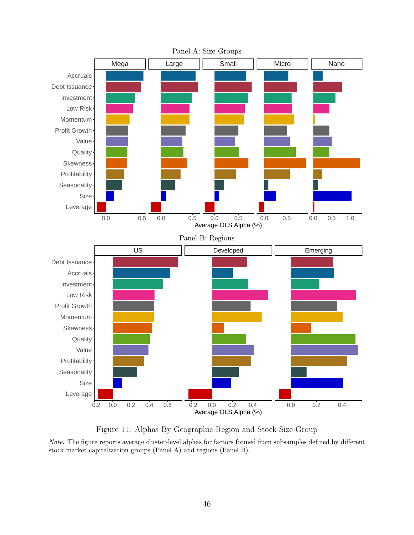<span id="page-46-0"></span>

Figure 11: Alphas By Geographic Region and Stock Size Group

Note: The figure reports average cluster-level alphas for factors formed from subsamples defined by different stock market capitalization groups (Panel A) and regions (Panel B).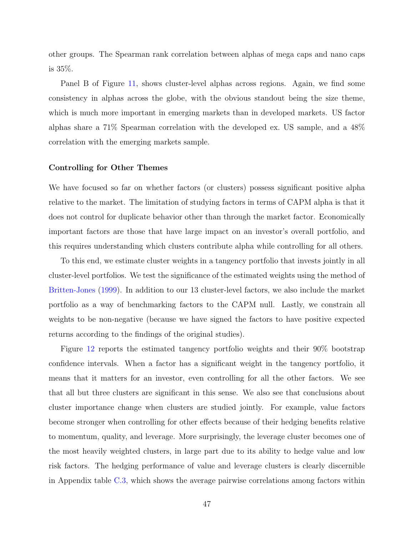other groups. The Spearman rank correlation between alphas of mega caps and nano caps is 35%.

Panel B of Figure [11,](#page-46-0) shows cluster-level alphas across regions. Again, we find some consistency in alphas across the globe, with the obvious standout being the size theme, which is much more important in emerging markets than in developed markets. US factor alphas share a 71% Spearman correlation with the developed ex. US sample, and a 48% correlation with the emerging markets sample.

#### Controlling for Other Themes

We have focused so far on whether factors (or clusters) possess significant positive alpha relative to the market. The limitation of studying factors in terms of CAPM alpha is that it does not control for duplicate behavior other than through the market factor. Economically important factors are those that have large impact on an investor's overall portfolio, and this requires understanding which clusters contribute alpha while controlling for all others.

To this end, we estimate cluster weights in a tangency portfolio that invests jointly in all cluster-level portfolios. We test the significance of the estimated weights using the method of [Britten-Jones](#page-50-0) [\(1999\)](#page-50-0). In addition to our 13 cluster-level factors, we also include the market portfolio as a way of benchmarking factors to the CAPM null. Lastly, we constrain all weights to be non-negative (because we have signed the factors to have positive expected returns according to the findings of the original studies).

Figure [12](#page-48-0) reports the estimated tangency portfolio weights and their 90% bootstrap confidence intervals. When a factor has a significant weight in the tangency portfolio, it means that it matters for an investor, even controlling for all the other factors. We see that all but three clusters are significant in this sense. We also see that conclusions about cluster importance change when clusters are studied jointly. For example, value factors become stronger when controlling for other effects because of their hedging benefits relative to momentum, quality, and leverage. More surprisingly, the leverage cluster becomes one of the most heavily weighted clusters, in large part due to its ability to hedge value and low risk factors. The hedging performance of value and leverage clusters is clearly discernible in Appendix table [C.3,](#page-64-0) which shows the average pairwise correlations among factors within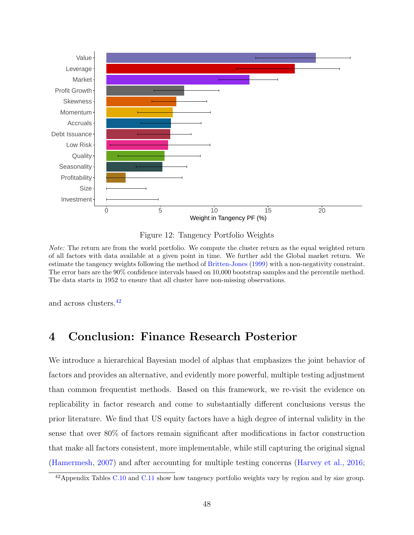<span id="page-48-0"></span>

Figure 12: Tangency Portfolio Weights

Note: The return are from the world portfolio. We compute the cluster return as the equal weighted return of all factors with data available at a given point in time. We further add the Global market return. We estimate the tangency weights following the method of [Britten-Jones](#page-50-0) [\(1999\)](#page-50-0) with a non-negativity constraint. The error bars are the 90% confidence intervals based on 10,000 bootstrap samples and the percentile method. The data starts in 1952 to ensure that all cluster have non-missing observations.

and across clusters.[42](#page-48-1)

# 4 Conclusion: Finance Research Posterior

We introduce a hierarchical Bayesian model of alphas that emphasizes the joint behavior of factors and provides an alternative, and evidently more powerful, multiple testing adjustment than common frequentist methods. Based on this framework, we re-visit the evidence on replicability in factor research and come to substantially different conclusions versus the prior literature. We find that US equity factors have a high degree of internal validity in the sense that over 80% of factors remain significant after modifications in factor construction that make all factors consistent, more implementable, while still capturing the original signal [\(Hamermesh,](#page-51-2) [2007\)](#page-51-2) and after accounting for multiple testing concerns [\(Harvey et al.,](#page-51-1) [2016;](#page-51-1)

<span id="page-48-1"></span><sup>&</sup>lt;sup>42</sup> Appendix Tables [C.10](#page-69-0) and [C.11](#page-70-0) show how tangency portfolio weights vary by region and by size group.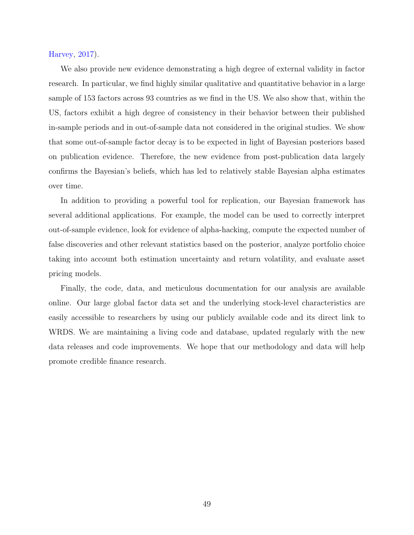[Harvey,](#page-51-3) [2017\)](#page-51-3).

We also provide new evidence demonstrating a high degree of external validity in factor research. In particular, we find highly similar qualitative and quantitative behavior in a large sample of 153 factors across 93 countries as we find in the US. We also show that, within the US, factors exhibit a high degree of consistency in their behavior between their published in-sample periods and in out-of-sample data not considered in the original studies. We show that some out-of-sample factor decay is to be expected in light of Bayesian posteriors based on publication evidence. Therefore, the new evidence from post-publication data largely confirms the Bayesian's beliefs, which has led to relatively stable Bayesian alpha estimates over time.

In addition to providing a powerful tool for replication, our Bayesian framework has several additional applications. For example, the model can be used to correctly interpret out-of-sample evidence, look for evidence of alpha-hacking, compute the expected number of false discoveries and other relevant statistics based on the posterior, analyze portfolio choice taking into account both estimation uncertainty and return volatility, and evaluate asset pricing models.

Finally, the code, data, and meticulous documentation for our analysis are available online. Our large global factor data set and the underlying stock-level characteristics are easily accessible to researchers by using our publicly available code and its direct link to WRDS. We are maintaining a living code and database, updated regularly with the new data releases and code improvements. We hope that our methodology and data will help promote credible finance research.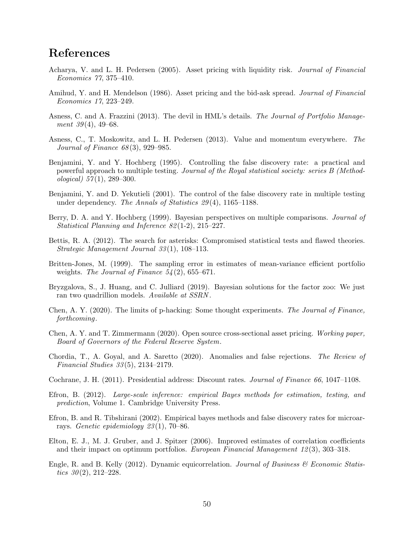# References

- Acharya, V. and L. H. Pedersen (2005). Asset pricing with liquidity risk. Journal of Financial Economics 77, 375–410.
- Amihud, Y. and H. Mendelson (1986). Asset pricing and the bid-ask spread. Journal of Financial Economics 17, 223–249.
- Asness, C. and A. Frazzini (2013). The devil in HML's details. The Journal of Portfolio Management  $39(4)$ , 49–68.
- Asness, C., T. Moskowitz, and L. H. Pedersen (2013). Value and momentum everywhere. The Journal of Finance 68 (3), 929–985.
- Benjamini, Y. and Y. Hochberg (1995). Controlling the false discovery rate: a practical and powerful approach to multiple testing. Journal of the Royal statistical society: series B (Methodological)  $57(1)$ , 289-300.
- Benjamini, Y. and D. Yekutieli (2001). The control of the false discovery rate in multiple testing under dependency. The Annals of Statistics 29(4), 1165–1188.
- Berry, D. A. and Y. Hochberg (1999). Bayesian perspectives on multiple comparisons. *Journal of* Statistical Planning and Inference 82 (1-2), 215–227.
- Bettis, R. A. (2012). The search for asterisks: Compromised statistical tests and flawed theories. Strategic Management Journal 33 (1), 108–113.
- <span id="page-50-0"></span>Britten-Jones, M. (1999). The sampling error in estimates of mean-variance efficient portfolio weights. The Journal of Finance  $54(2)$ , 655–671.
- Bryzgalova, S., J. Huang, and C. Julliard (2019). Bayesian solutions for the factor zoo: We just ran two quadrillion models. Available at SSRN.
- Chen, A. Y. (2020). The limits of p-hacking: Some thought experiments. The Journal of Finance, forthcoming.
- Chen, A. Y. and T. Zimmermann (2020). Open source cross-sectional asset pricing. Working paper, Board of Governors of the Federal Reserve System.
- Chordia, T., A. Goyal, and A. Saretto (2020). Anomalies and false rejections. The Review of Financial Studies 33 (5), 2134–2179.
- Cochrane, J. H. (2011). Presidential address: Discount rates. Journal of Finance 66, 1047–1108.
- <span id="page-50-1"></span>Efron, B. (2012). Large-scale inference: empirical Bayes methods for estimation, testing, and prediction, Volume 1. Cambridge University Press.
- Efron, B. and R. Tibshirani (2002). Empirical bayes methods and false discovery rates for microarrays. Genetic epidemiology  $23(1)$ , 70–86.
- <span id="page-50-3"></span>Elton, E. J., M. J. Gruber, and J. Spitzer (2006). Improved estimates of correlation coefficients and their impact on optimum portfolios. European Financial Management 12 (3), 303–318.
- <span id="page-50-2"></span>Engle, R. and B. Kelly (2012). Dynamic equicorrelation. Journal of Business  $\mathscr$  Economic Statistics  $30(2)$ ,  $212-228$ .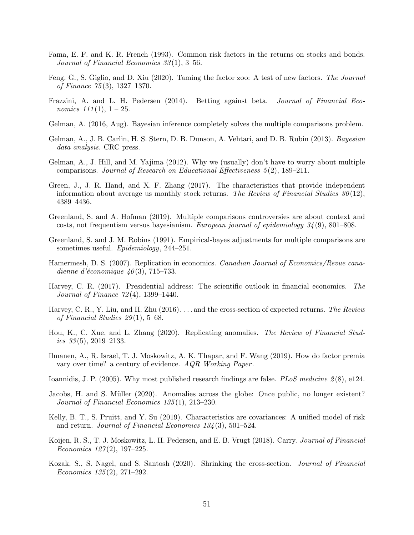- Fama, E. F. and K. R. French (1993). Common risk factors in the returns on stocks and bonds. Journal of Financial Economics  $33(1)$ , 3-56.
- Feng, G., S. Giglio, and D. Xiu (2020). Taming the factor zoo: A test of new factors. The Journal of Finance 75 (3), 1327–1370.
- Frazzini, A. and L. H. Pedersen (2014). Betting against beta. Journal of Financial Economics  $111(1)$ ,  $1-25$ .
- Gelman, A. (2016, Aug). Bayesian inference completely solves the multiple comparisons problem.
- <span id="page-51-4"></span>Gelman, A., J. B. Carlin, H. S. Stern, D. B. Dunson, A. Vehtari, and D. B. Rubin (2013). Bayesian data analysis. CRC press.
- Gelman, A., J. Hill, and M. Yajima (2012). Why we (usually) don't have to worry about multiple comparisons. Journal of Research on Educational Effectiveness 5 (2), 189–211.
- Green, J., J. R. Hand, and X. F. Zhang (2017). The characteristics that provide independent information about average us monthly stock returns. The Review of Financial Studies  $30(12)$ , 4389–4436.
- <span id="page-51-0"></span>Greenland, S. and A. Hofman (2019). Multiple comparisons controversies are about context and costs, not frequentism versus bayesianism. European journal of epidemiology 34 (9), 801–808.
- Greenland, S. and J. M. Robins (1991). Empirical-bayes adjustments for multiple comparisons are sometimes useful. Epidemiology, 244-251.
- <span id="page-51-2"></span>Hamermesh, D. S. (2007). Replication in economics. Canadian Journal of Economics/Revue canadienne d'économique  $40(3)$ , 715–733.
- <span id="page-51-3"></span>Harvey, C. R. (2017). Presidential address: The scientific outlook in financial economics. The Journal of Finance 72 (4), 1399–1440.
- <span id="page-51-1"></span>Harvey, C. R., Y. Liu, and H. Zhu (2016). ... and the cross-section of expected returns. The Review of Financial Studies  $29(1)$ , 5–68.
- Hou, K., C. Xue, and L. Zhang (2020). Replicating anomalies. The Review of Financial Studies  $33(5)$ , 2019–2133.
- Ilmanen, A., R. Israel, T. J. Moskowitz, A. K. Thapar, and F. Wang (2019). How do factor premia vary over time? a century of evidence. AQR Working Paper .
- Ioannidis, J. P. (2005). Why most published research findings are false. *PLoS medicine* 2(8), e124.
- Jacobs, H. and S. Müller (2020). Anomalies across the globe: Once public, no longer existent? Journal of Financial Economics 135 (1), 213–230.
- Kelly, B. T., S. Pruitt, and Y. Su (2019). Characteristics are covariances: A unified model of risk and return. Journal of Financial Economics  $134(3)$ , 501–524.
- Koijen, R. S., T. J. Moskowitz, L. H. Pedersen, and E. B. Vrugt (2018). Carry. Journal of Financial Economics  $127(2)$ , 197-225.
- Kozak, S., S. Nagel, and S. Santosh (2020). Shrinking the cross-section. Journal of Financial Economics 135 (2), 271–292.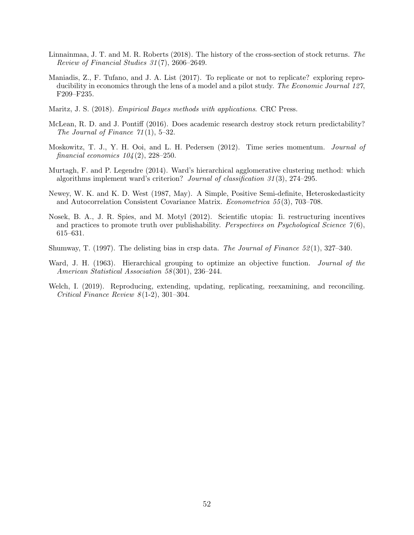- Linnainmaa, J. T. and M. R. Roberts (2018). The history of the cross-section of stock returns. The Review of Financial Studies 31 (7), 2606–2649.
- Maniadis, Z., F. Tufano, and J. A. List (2017). To replicate or not to replicate? exploring reproducibility in economics through the lens of a model and a pilot study. The Economic Journal 127, F209–F235.
- <span id="page-52-1"></span>Maritz, J. S. (2018). Empirical Bayes methods with applications. CRC Press.
- <span id="page-52-0"></span>McLean, R. D. and J. Pontiff (2016). Does academic research destroy stock return predictability? The Journal of Finance  $71(1)$ , 5-32.
- Moskowitz, T. J., Y. H. Ooi, and L. H. Pedersen (2012). Time series momentum. Journal of financial economics  $104(2)$ ,  $228-250$ .
- Murtagh, F. and P. Legendre (2014). Ward's hierarchical agglomerative clustering method: which algorithms implement ward's criterion? Journal of classification 31 (3), 274–295.
- <span id="page-52-2"></span>Newey, W. K. and K. D. West (1987, May). A Simple, Positive Semi-definite, Heteroskedasticity and Autocorrelation Consistent Covariance Matrix. Econometrica 55 (3), 703–708.
- Nosek, B. A., J. R. Spies, and M. Motyl (2012). Scientific utopia: Ii. restructuring incentives and practices to promote truth over publishability. Perspectives on Psychological Science  $\gamma(6)$ , 615–631.
- Shumway, T. (1997). The delisting bias in crsp data. The Journal of Finance  $52(1)$ , 327–340.
- Ward, J. H. (1963). Hierarchical grouping to optimize an objective function. *Journal of the* American Statistical Association 58 (301), 236–244.
- Welch, I. (2019). Reproducing, extending, updating, replicating, reexamining, and reconciling. Critical Finance Review  $8(1-2)$ , 301-304.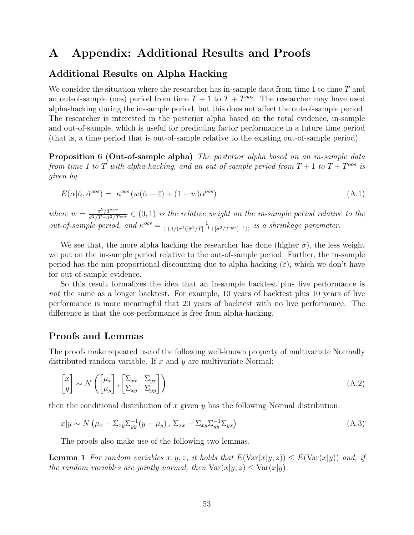# A Appendix: Additional Results and Proofs

### Additional Results on Alpha Hacking

We consider the situation where the researcher has in-sample data from time 1 to time T and an out-of-sample (oos) period from time  $T + 1$  to  $T + T^{\text{cos}}$ . The researcher may have used alpha-hacking during the in-sample period, but this does not affect the out-of-sample period. The researcher is interested in the posterior alpha based on the total evidence, in-sample and out-of-sample, which is useful for predicting factor performance in a future time period (that is, a time period that is out-of-sample relative to the existing out-of-sample period).

<span id="page-53-4"></span>Proposition 6 (Out-of-sample alpha) The posterior alpha based on an in-sample data from time 1 to T with alpha-hacking, and an out-of-sample period from  $T + 1$  to  $T + T^{\text{cos}}$  is given by

$$
E(\alpha|\hat{\alpha}, \hat{\alpha}^{oos}) = \kappa^{oos}(w(\hat{\alpha} - \bar{\varepsilon}) + (1 - w)\alpha^{oos})
$$
\n(A.1)

where  $w = \frac{\sigma^2/T^{\cos}}{\bar{\sigma}^2/T + \sigma^2/T}$  $\frac{\sigma^2/T^{0.05}}{\sigma^2/T^{0.05}} \in (0,1)$  is the relative weight on the in-sample period relative to the out-of-sample period, and  $\kappa^{oos} = \frac{1}{1+1/(\pi^2/(\bar{\pi}^2/T))}$  $\frac{1}{1+1/(\tau^2([\bar{\sigma}^2/T]^{-1}+[\sigma^2/T^{oos}]-1))}$  is a shrinkage parameter.

We see that, the more alpha hacking the researcher has done (higher  $\bar{\sigma}$ ), the less weight we put on the in-sample period relative to the out-of-sample period. Further, the in-sample period has the non-proportional discounting due to alpha hacking  $(\bar{\varepsilon})$ , which we don't have for out-of-sample evidence.

So this result formalizes the idea that an in-sample backtest plus live performance is not the same as a longer backtest. For example, 10 years of backtest plus 10 years of live performance is more meaningful that 20 years of backtest with no live performance. The difference is that the oos-performance is free from alpha-hacking.

### Proofs and Lemmas

The proofs make repeated use of the following well-known property of multivariate Normally distributed random variable. If  $x$  and  $y$  are multivariate Normal:

<span id="page-53-1"></span>
$$
\begin{bmatrix} x \\ y \end{bmatrix} \sim N \left( \begin{bmatrix} \mu_x \\ \mu_y \end{bmatrix}, \begin{bmatrix} \Sigma_{xx} & \Sigma_{yx} \\ \Sigma_{xy} & \Sigma_{yy} \end{bmatrix} \right)
$$
 (A.2)

then the conditional distribution of x given  $y$  has the following Normal distribution:

<span id="page-53-3"></span>
$$
x|y \sim N\left(\mu_x + \Sigma_{xy}\Sigma_{yy}^{-1}(y - \mu_y), \Sigma_{xx} - \Sigma_{xy}\Sigma_{yy}^{-1}\Sigma_{yx}\right)
$$
 (A.3)

<span id="page-53-0"></span>The proofs also make use of the following two lemmas.

<span id="page-53-2"></span>**Lemma 1** For random variables x, y, z, it holds that  $E(\text{Var}(x|y, z)) \leq E(\text{Var}(x|y))$  and, if the random variables are jointly normal, then  $\text{Var}(x|y, z) \leq \text{Var}(x|y)$ .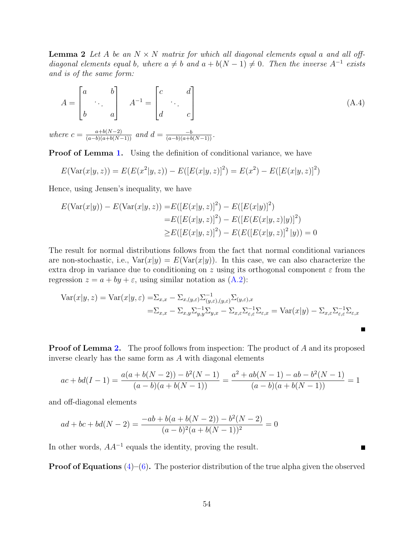**Lemma 2** Let A be an  $N \times N$  matrix for which all diagonal elements equal a and all offdiagonal elements equal b, where  $a \neq b$  and  $a + b(N - 1) \neq 0$ . Then the inverse A<sup>-1</sup> exists and is of the same form:

$$
A = \begin{bmatrix} a & b \\ & \ddots & \\ b & a \end{bmatrix} \quad A^{-1} = \begin{bmatrix} c & d \\ & \ddots & \\ d & & c \end{bmatrix}
$$
 (A.4)  
ere  $c = \frac{a+b(N-2)}{2}$  and  $d = \frac{-b}{(N-2)(N-2)}$ .

where  $c = \frac{a+b(N-2)}{(a-b)(a+b(N-1))}$  and  $d = \frac{-b}{(a-b)(a+b(N-1))}$ .

**Proof of Lemma [1.](#page-53-0)** Using the definition of conditional variance, we have

$$
E(\text{Var}(x|y,z)) = E(E(x^2|y,z)) - E([E(x|y,z)]^2) = E(x^2) - E([E(x|y,z)]^2)
$$

Hence, using Jensen's inequality, we have

$$
E(\text{Var}(x|y)) - E(\text{Var}(x|y,z)) = E([E(x|y,z)]^2) - E([E(x|y)]^2)
$$
  
= 
$$
E([E(x|y,z)]^2) - E([E(E(x|y,z)|y)]^2)
$$
  

$$
\geq E([E(x|y,z)]^2) - E(E([E(x|y,z)]^2|y)) = 0
$$

The result for normal distributions follows from the fact that normal conditional variances are non-stochastic, i.e.,  $\text{Var}(x|y) = E(\text{Var}(x|y))$ . In this case, we can also characterize the extra drop in variance due to conditioning on z using its orthogonal component  $\varepsilon$  from the regression  $z = a + by + \varepsilon$ , using similar notation as  $(A.2)$ :

$$
\begin{split} \text{Var}(x|y,z) &= \text{Var}(x|y,\varepsilon) = \sum_{x,x} -\sum_{x,(y,\varepsilon)} \sum_{(y,\varepsilon),(y,\varepsilon)}^{-1} \sum_{(y,\varepsilon),x} \\ &= \sum_{x,x} -\sum_{x,y} \sum_{y,y}^{-1} \sum_{y,x} -\sum_{x,\varepsilon} \sum_{\varepsilon,\varepsilon}^{-1} \sum_{\varepsilon,x} = \text{Var}(x|y) - \sum_{x,\varepsilon} \sum_{\varepsilon,\varepsilon}^{-1} \sum_{\varepsilon,x} \end{split}
$$

Е

**Proof of Lemma [2.](#page-53-2)** The proof follows from inspection: The product of A and its proposed inverse clearly has the same form as A with diagonal elements

$$
ac + bd(I - 1) = \frac{a(a + b(N - 2)) - b^2(N - 1)}{(a - b)(a + b(N - 1))} = \frac{a^2 + ab(N - 1) - ab - b^2(N - 1)}{(a - b)(a + b(N - 1))} = 1
$$

and off-diagonal elements

$$
ad + bc + bd(N - 2) = \frac{-ab + b(a + b(N - 2)) - b^{2}(N - 2)}{(a - b)^{2}(a + b(N - 1))^{2}} = 0
$$

In other words,  $AA^{-1}$  equals the identity, proving the result.

**Proof of Equations**  $(4)$ – $(6)$ . The posterior distribution of the true alpha given the observed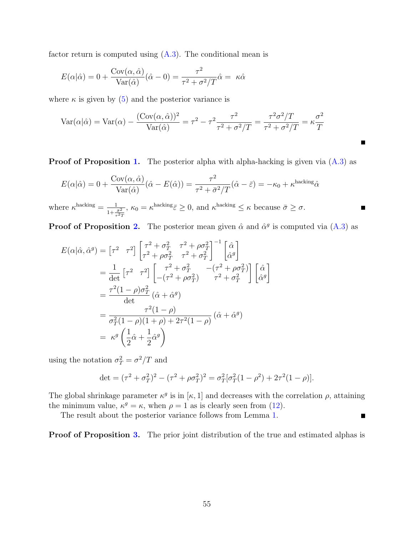factor return is computed using  $(A.3)$ . The conditional mean is

$$
E(\alpha|\hat{\alpha}) = 0 + \frac{\text{Cov}(\alpha, \hat{\alpha})}{\text{Var}(\hat{\alpha})}(\hat{\alpha} - 0) = \frac{\tau^2}{\tau^2 + \sigma^2/T}\hat{\alpha} = \kappa \hat{\alpha}
$$

where  $\kappa$  is given by [\(5\)](#page-11-1) and the posterior variance is

$$
Var(\alpha|\hat{\alpha}) = Var(\alpha) - \frac{(Cov(\alpha, \hat{\alpha}))^2}{Var(\hat{\alpha})} = \tau^2 - \tau^2 \frac{\tau^2}{\tau^2 + \sigma^2/T} = \frac{\tau^2 \sigma^2/T}{\tau^2 + \sigma^2/T} = \kappa \frac{\sigma^2}{T}
$$

**Proof of Proposition [1.](#page-12-0)** The posterior alpha with alpha-hacking is given via  $(A.3)$  as

П

Г

 $\blacksquare$ 

$$
E(\alpha|\hat{\alpha}) = 0 + \frac{\text{Cov}(\alpha, \hat{\alpha})}{\text{Var}(\hat{\alpha})} (\hat{\alpha} - E(\hat{\alpha})) = \frac{\tau^2}{\tau^2 + \bar{\sigma}^2/T} (\hat{\alpha} - \bar{\varepsilon}) = -\kappa_0 + \kappa^{\text{hacking}} \hat{\alpha}
$$

where  $\kappa^{\text{hacking}} = \frac{1}{1 + \frac{\bar{\sigma}^2}{\tau^2 T}}$ ,  $\kappa_0 = \kappa^{\text{hacking}} \bar{\varepsilon} \geq 0$ , and  $\kappa^{\text{hacking}} \leq \kappa$  because  $\bar{\sigma} \geq \sigma$ .

**Proof of Proposition [2.](#page-13-0)** The posterior mean given  $\hat{\alpha}$  and  $\hat{\alpha}^g$  is computed via [\(A.3\)](#page-53-3) as

$$
E(\alpha|\hat{\alpha}, \hat{\alpha}^{g}) = \begin{bmatrix} \tau^{2} & \tau^{2} \end{bmatrix} \begin{bmatrix} \tau^{2} + \sigma_{T}^{2} & \tau^{2} + \rho \sigma_{T}^{2} \\ \tau^{2} + \rho \sigma_{T}^{2} & \tau^{2} + \sigma_{T}^{2} \end{bmatrix}^{-1} \begin{bmatrix} \hat{\alpha} \\ \hat{\alpha}^{g} \end{bmatrix}
$$
  
\n
$$
= \frac{1}{\det} \begin{bmatrix} \tau^{2} & \tau^{2} \end{bmatrix} \begin{bmatrix} \tau^{2} + \sigma_{T}^{2} & -(\tau^{2} + \rho \sigma_{T}^{2}) \\ -(\tau^{2} + \rho \sigma_{T}^{2}) & \tau^{2} + \sigma_{T}^{2} \end{bmatrix} \begin{bmatrix} \hat{\alpha} \\ \hat{\alpha}^{g} \end{bmatrix}
$$
  
\n
$$
= \frac{\tau^{2}(1 - \rho)\sigma_{T}^{2}}{\det} (\hat{\alpha} + \hat{\alpha}^{g})
$$
  
\n
$$
= \frac{\tau^{2}(1 - \rho)}{\sigma_{T}^{2}(1 - \rho)(1 + \rho) + 2\tau^{2}(1 - \rho)} (\hat{\alpha} + \hat{\alpha}^{g})
$$
  
\n
$$
= \kappa^{g} \left( \frac{1}{2} \hat{\alpha} + \frac{1}{2} \hat{\alpha}^{g} \right)
$$

using the notation  $\sigma_T^2 = \sigma^2/T$  and

$$
\det = (\tau^2 + \sigma_T^2)^2 - (\tau^2 + \rho \sigma_T^2)^2 = \sigma_T^2 [\sigma_T^2 (1 - \rho^2) + 2\tau^2 (1 - \rho)].
$$

The global shrinkage parameter  $\kappa^g$  is in  $[\kappa, 1]$  and decreases with the correlation  $\rho$ , attaining the minimum value,  $\kappa^g = \kappa$ , when  $\rho = 1$  as is clearly seen from [\(12\)](#page-14-0).

The result about the posterior variance follows from Lemma [1.](#page-53-0)

Proof of Proposition [3.](#page-15-0) The prior joint distribution of the true and estimated alphas is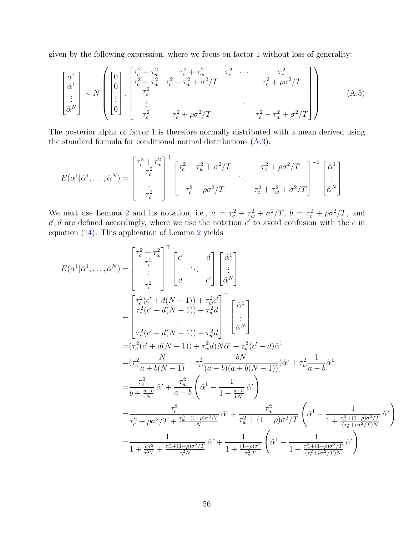given by the following expression, where we focus on factor 1 without loss of generality:

$$
\begin{bmatrix} \alpha^{1} \\ \hat{\alpha}^{1} \\ \vdots \\ \hat{\alpha}^{N} \end{bmatrix} \sim N \left( \begin{bmatrix} 0 \\ 0 \\ 0 \\ \vdots \\ 0 \end{bmatrix}, \begin{bmatrix} \tau_{c}^{2} + \tau_{w}^{2} & \tau_{c}^{2} + \tau_{w}^{2} & \tau_{c}^{2} & \cdots & \tau_{c}^{2} \\ \tau_{c}^{2} + \tau_{w}^{2} & \tau_{c}^{2} + \tau_{w}^{2} + \sigma^{2}/T & \tau_{c}^{2} + \rho \sigma^{2}/T \\ \vdots & \vdots & \ddots & \vdots \\ \tau_{c}^{2} & \tau_{c}^{2} + \rho \sigma^{2}/T & \tau_{c}^{2} + \tau_{w}^{2} + \sigma^{2}/T \end{bmatrix} \right)
$$
(A.5)

The posterior alpha of factor 1 is therefore normally distributed with a mean derived using the standard formula for conditional normal distributions [\(A.3\)](#page-53-3):

$$
E(\alpha^1|\hat{\alpha}^1,\ldots,\hat{\alpha}^N) = \begin{bmatrix} \tau_c^2 + \tau_w^2 \\ \tau_c^2 \\ \vdots \\ \tau_c^2 \end{bmatrix}^\top \begin{bmatrix} \tau_c^2 + \tau_w^2 + \sigma^2/T & \tau_c^2 + \rho\sigma^2/T \\ \tau_c^2 + \rho\sigma^2/T & \cdot \\ \tau_c^2 + \rho\sigma^2/T & \tau_c^2 + \tau_w^2 + \sigma^2/T \end{bmatrix}^{-1} \begin{bmatrix} \hat{\alpha}^1 \\ \vdots \\ \hat{\alpha}^N \end{bmatrix}
$$

We next use Lemma [2](#page-53-2) and its notation, i.e.,  $a = \tau_c^2 + \tau_w^2 + \sigma^2/T$ ,  $b = \tau_c^2 + \rho \sigma^2/T$ , and  $c', d$  are defined accordingly, where we use the notation  $c'$  to avoid confusion with the c in equation [\(14\)](#page-15-1). This application of Lemma [2](#page-53-2) yields

$$
E(\alpha^{1}|\hat{\alpha}^{1},...,\hat{\alpha}^{N}) = \begin{bmatrix} \tau_{c}^{2} + \tau_{w}^{2} \\ \tau_{c}^{2} \\ \vdots \\ \tau_{c}^{2} \end{bmatrix}^{\top} \begin{bmatrix} c' \\ \vdots \\ c' \end{bmatrix} \begin{bmatrix} \hat{\alpha}^{1} \\ \vdots \\ \hat{\alpha}^{N} \end{bmatrix}
$$
  
\n
$$
= \begin{bmatrix} \tau_{c}^{2}(c' + d(N - 1)) + \tau_{w}^{2}c' \\ \tau_{c}^{2}(c' + d(N - 1)) + \tau_{w}^{2}d \\ \vdots \\ \tau_{c}^{2}(c' + d(N - 1)) + \tau_{w}^{2}d \end{bmatrix}^{\top} \begin{bmatrix} \hat{\alpha}^{1} \\ \vdots \\ \hat{\alpha}^{N} \end{bmatrix}
$$
  
\n
$$
= (\tau_{c}^{2}(c' + d(N - 1)) + \tau_{w}^{2}d)N\hat{\alpha}^{1} + \tau_{w}^{2}(c' - d)\hat{\alpha}^{1}
$$
  
\n
$$
= (\tau_{c}^{2} - \frac{N}{a + b(N - 1)} - \tau_{w}^{2} \frac{bN}{(a - b)(a + b(N - 1))})\hat{\alpha}^{1} + \tau_{w}^{2} \frac{1}{a - b}\hat{\alpha}^{1}
$$
  
\n
$$
= \frac{\tau_{c}^{2}}{b + \frac{a - b}{N}}\hat{\alpha}^{1} + \frac{\tau_{w}^{2}}{a - b}\left(\hat{\alpha}^{1} - \frac{1}{1 + \frac{a - b}{bN}}\hat{\alpha}^{1}\right)
$$
  
\n
$$
= \frac{\tau_{c}^{2}}{\tau_{c}^{2} + \rho\sigma^{2}/T + \frac{\tau_{w}^{2} + (1 - \rho)\sigma^{2}/T}{N}}\hat{\alpha}^{1} + \frac{\tau_{w}^{2}}{\tau_{w}^{2} + (1 - \rho)\sigma^{2}/T}\left(\hat{\alpha}^{1} - \frac{1}{1 + \frac{\tau_{w}^{2} + (1 - \rho)\sigma^{2}/T}{( \tau_{c}^{2} + \rho\sigma^{2}/T)N}}\hat{\alpha}^{1}\right)
$$
  
\n
$$
= \frac{1}{1 + \frac{\rho\sigma^{2}}{\tau_{c}^{2}} + \frac{\
$$

 $\setminus$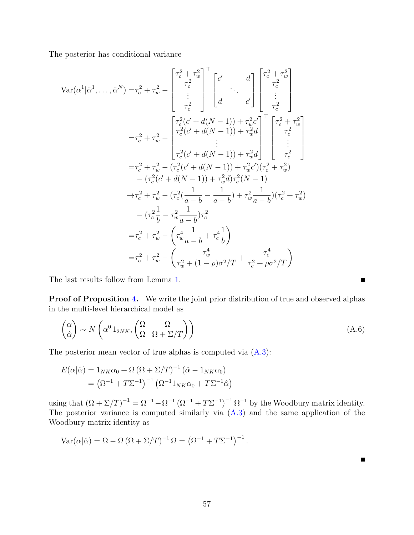The posterior has conditional variance

$$
\operatorname{Var}(\alpha^{1}|\hat{\alpha}^{1},\ldots,\hat{\alpha}^{N}) = \tau_{c}^{2} + \tau_{w}^{2} - \begin{bmatrix} \tau_{c}^{2} + \tau_{w}^{2} \\ \tau_{c}^{2} \\ \vdots \\ \tau_{c}^{2} \end{bmatrix}^{\top} \begin{bmatrix} c' \\ \vdots \\ c' \end{bmatrix} \begin{bmatrix} d \\ \tau_{c}^{2} \\ \vdots \\ d \end{bmatrix} \begin{bmatrix} \tau_{c}^{2} + \tau_{w}^{2} \\ \vdots \\ \tau_{c}^{2} \end{bmatrix}
$$

$$
= \tau_{c}^{2} + \tau_{w}^{2} - \begin{bmatrix} \tau_{c}^{2}(c' + d(N - 1)) + \tau_{w}^{2}c' \\ \tau_{c}^{2}(c' + d(N - 1)) + \tau_{w}^{2}d \\ \vdots \\ \tau_{c}^{2}(c' + d(N - 1)) + \tau_{w}^{2}d \end{bmatrix}^{\top} \begin{bmatrix} \tau_{c}^{2} + \tau_{w}^{2} \\ \tau_{c}^{2} \\ \vdots \\ \tau_{c}^{2} \end{bmatrix}
$$

$$
= \tau_{c}^{2} + \tau_{w}^{2} - (\tau_{c}^{2}(c' + d(N - 1)) + \tau_{w}^{2}d)(\tau_{c}^{2} + \tau_{w}^{2})
$$

$$
- (\tau_{c}^{2}(c' + d(N - 1)) + \tau_{w}^{2}d)\tau_{c}^{2}(N - 1)
$$

$$
\rightarrow \tau_{c}^{2} + \tau_{w}^{2} - (\tau_{c}^{2}(\frac{1}{a - b} - \frac{1}{a - b}) + \tau_{w}^{2}\frac{1}{a - b})(\tau_{c}^{2} + \tau_{w}^{2})
$$

$$
- (\tau_{c}^{2}\frac{1}{b} - \tau_{w}^{2}\frac{1}{a - b})\tau_{c}^{2}
$$

$$
= \tau_{c}^{2} + \tau_{w}^{2} - (\tau_{w}^{4}\frac{1}{a - b} + \tau_{c}^{4}\frac{1}{b})
$$

$$
= \tau_{c}^{2} + \tau_{w}^{2} - (\tau_{w}^{4}\frac{1}{a - b} + \tau_{c}^{4}\frac{1}{b})
$$

The last results follow from Lemma [1.](#page-53-0)

Proof of Proposition [4.](#page-19-0) We write the joint prior distribution of true and observed alphas in the multi-level hierarchical model as

$$
\begin{pmatrix} \alpha \\ \hat{\alpha} \end{pmatrix} \sim N \left( \alpha^0 1_{2NK}, \begin{pmatrix} \Omega & \Omega \\ \Omega & \Omega + \Sigma/T \end{pmatrix} \right) \tag{A.6}
$$

 $\blacksquare$ 

Е

The posterior mean vector of true alphas is computed via [\(A.3\)](#page-53-3):

$$
E(\alpha|\hat{\alpha}) = 1_{NK}\alpha_0 + \Omega(\Omega + \Sigma/T)^{-1} (\hat{\alpha} - 1_{NK}\alpha_0)
$$
  
=  $(\Omega^{-1} + T\Sigma^{-1})^{-1} (\Omega^{-1}1_{NK}\alpha_0 + T\Sigma^{-1}\hat{\alpha})$ 

using that  $(\Omega + \Sigma/T)^{-1} = \Omega^{-1} - \Omega^{-1} (\Omega^{-1} + T\Sigma^{-1})^{-1} \Omega^{-1}$  by the Woodbury matrix identity. The posterior variance is computed similarly via [\(A.3\)](#page-53-3) and the same application of the Woodbury matrix identity as

$$
Var(\alpha|\hat{\alpha}) = \Omega - \Omega (\Omega + \Sigma/T)^{-1} \Omega = (\Omega^{-1} + T\Sigma^{-1})^{-1}.
$$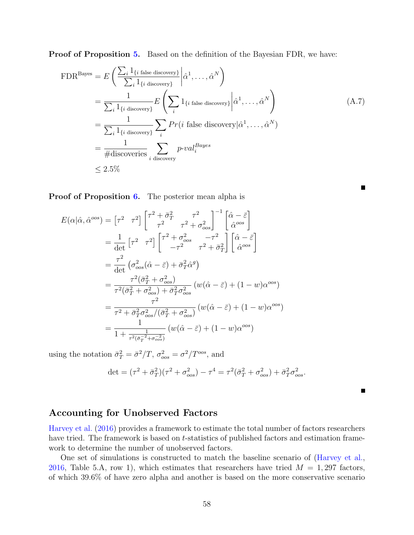Proof of Proposition [5.](#page-22-0) Based on the definition of the Bayesian FDR, we have:

$$
\text{FDR}^{\text{Bayes}} = E\left(\frac{\sum_{i} 1_{\{i \text{ false discovery}\}}}{\sum_{i} 1_{\{i \text{ discovery}\}}}\left|\hat{\alpha}^{1}, \dots, \hat{\alpha}^{N}\right.\right)
$$
\n
$$
= \frac{1}{\sum_{i} 1_{\{i \text{ discovery}\}}}\left|E\left(\sum_{i} 1_{\{i \text{ false discovery}\}}\left|\hat{\alpha}^{1}, \dots, \hat{\alpha}^{N}\right.\right)\right|
$$
\n
$$
= \frac{1}{\sum_{i} 1_{\{i \text{ discovery}\}}}\sum_{i} Pr(i \text{ false discovery}|\hat{\alpha}^{1}, \dots, \hat{\alpha}^{N})
$$
\n
$$
= \frac{1}{\# \text{discovering}}\sum_{i \text{ discovery}} p\text{-}val_{i}^{Bayes}
$$
\n
$$
\leq 2.5\%
$$
\n(A.7)

Proof of Proposition [6.](#page-53-4) The posterior mean alpha is

$$
E(\alpha|\hat{\alpha},\hat{\alpha}^{oos}) = \begin{bmatrix} \tau^2 & \tau^2 \end{bmatrix} \begin{bmatrix} \tau^2 + \bar{\sigma}_T^2 & \tau^2 \\ \tau^2 & \tau^2 + \sigma_{oos}^2 \end{bmatrix}^{-1} \begin{bmatrix} \hat{\alpha} - \bar{\varepsilon} \\ \hat{\alpha}^{oos} \end{bmatrix}
$$
  
\n
$$
= \frac{1}{\det} \begin{bmatrix} \tau^2 & \tau^2 \end{bmatrix} \begin{bmatrix} \tau^2 + \sigma_{oos}^2 & -\tau^2 \\ -\tau^2 & \tau^2 + \bar{\sigma}_T^2 \end{bmatrix} \begin{bmatrix} \hat{\alpha} - \bar{\varepsilon} \\ \hat{\alpha}^{oos} \end{bmatrix}
$$
  
\n
$$
= \frac{\tau^2}{\det} \left( \sigma_{oos}^2 (\hat{\alpha} - \bar{\varepsilon}) + \bar{\sigma}_T^2 \hat{\alpha}^g \right)
$$
  
\n
$$
= \frac{\tau^2 (\bar{\sigma}_T^2 + \sigma_{oos}^2)}{\tau^2 (\bar{\sigma}_T^2 + \sigma_{oos}^2) + \bar{\sigma}_T^2 \sigma_{oos}^2} (w(\hat{\alpha} - \bar{\varepsilon}) + (1 - w)\alpha^{oos})
$$
  
\n
$$
= \frac{\tau^2}{\tau^2 + \bar{\sigma}_T^2 \sigma_{oos}^2 / (\bar{\sigma}_T^2 + \sigma_{oos}^2)} (w(\hat{\alpha} - \bar{\varepsilon}) + (1 - w)\alpha^{oos})
$$
  
\n
$$
= \frac{1}{1 + \frac{1}{\tau^2 (\bar{\sigma}_T^{-2} + \sigma_{oos}^{-2})}} (w(\hat{\alpha} - \bar{\varepsilon}) + (1 - w)\alpha^{oos})
$$

using the notation  $\bar{\sigma}_T^2 = \bar{\sigma}^2/T$ ,  $\sigma_{cos}^2 = \sigma^2/T^{cos}$ , and

$$
\det = (\tau^2 + \bar{\sigma}_T^2)(\tau^2 + \sigma_{oos}^2) - \tau^4 = \tau^2(\bar{\sigma}_T^2 + \sigma_{oos}^2) + \bar{\sigma}_T^2 \sigma_{oos}^2.
$$

### <span id="page-58-0"></span>Accounting for Unobserved Factors

[Harvey et al.](#page-51-1) [\(2016\)](#page-51-1) provides a framework to estimate the total number of factors researchers have tried. The framework is based on *t*-statistics of published factors and estimation framework to determine the number of unobserved factors.

One set of simulations is constructed to match the baseline scenario of [\(Harvey et al.,](#page-51-1) [2016,](#page-51-1) Table 5.A, row 1), which estimates that researchers have tried  $M = 1,297$  factors, of which 39.6% of have zero alpha and another is based on the more conservative scenario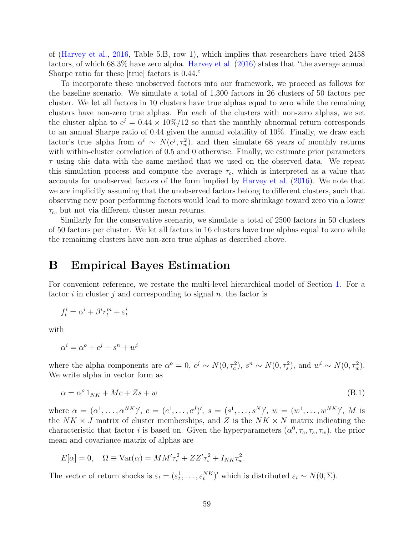of [\(Harvey et al.,](#page-51-1) [2016,](#page-51-1) Table 5.B, row 1), which implies that researchers have tried 2458 factors, of which 68.3% have zero alpha. [Harvey et al.](#page-51-1) [\(2016\)](#page-51-1) states that "the average annual Sharpe ratio for these [true] factors is 0.44."

To incorporate these unobserved factors into our framework, we proceed as follows for the baseline scenario. We simulate a total of 1,300 factors in 26 clusters of 50 factors per cluster. We let all factors in 10 clusters have true alphas equal to zero while the remaining clusters have non-zero true alphas. For each of the clusters with non-zero alphas, we set the cluster alpha to  $c^j = 0.44 \times 10\%/12$  so that the monthly abnormal return corresponds to an annual Sharpe ratio of 0.44 given the annual volatility of 10%. Finally, we draw each factor's true alpha from  $\alpha^i \sim N(c^j, \tau_w^2)$ , and then simulate 68 years of monthly returns with within-cluster correlation of 0.5 and 0 otherwise. Finally, we estimate prior parameters  $\tau$  using this data with the same method that we used on the observed data. We repeat this simulation process and compute the average  $\tau_c$ , which is interpreted as a value that accounts for unobserved factors of the form implied by [Harvey et al.](#page-51-1) [\(2016\)](#page-51-1). We note that we are implicitly assuming that the unobserved factors belong to different clusters, such that observing new poor performing factors would lead to more shrinkage toward zero via a lower  $\tau_c$ , but not via different cluster mean returns.

Similarly for the conservative scenario, we simulate a total of 2500 factors in 50 clusters of 50 factors per cluster. We let all factors in 16 clusters have true alphas equal to zero while the remaining clusters have non-zero true alphas as described above.

## <span id="page-59-0"></span>B Empirical Bayes Estimation

For convenient reference, we restate the multi-level hierarchical model of Section [1.](#page-9-0) For a factor  $i$  in cluster  $j$  and corresponding to signal  $n$ , the factor is

$$
f_t^i = \alpha^i + \beta^i r_t^m + \varepsilon_t^i
$$

with

$$
\alpha^i = \alpha^o + c^j + s^n + w^i
$$

where the alpha components are  $\alpha^o = 0$ ,  $c^j \sim N(0, \tau_c^2)$ ,  $s^n \sim N(0, \tau_s^2)$ , and  $w^i \sim N(0, \tau_w^2)$ . We write alpha in vector form as

$$
\alpha = \alpha^{\circ} 1_{NK} + Mc + Zs + w \tag{B.1}
$$

where  $\alpha = (\alpha^1, \ldots, \alpha^{NK})', c = (c^1, \ldots, c^J)', s = (s^1, \ldots, s^N)', w = (w^1, \ldots, w^{NK})', M$  is the  $NK \times J$  matrix of cluster memberships, and Z is the  $NK \times N$  matrix indicating the characteristic that factor *i* is based on. Given the hyperparameters  $(\alpha^0, \tau_c, \tau_s, \tau_w)$ , the prior mean and covariance matrix of alphas are

$$
E[\alpha] = 0, \quad \Omega \equiv \text{Var}(\alpha) = MM'\tau_c^2 + ZZ'\tau_s^2 + I_{NK}\tau_w^2.
$$

The vector of return shocks is  $\varepsilon_t = (\varepsilon_t^1, \dots, \varepsilon_t^{NK})'$  which is distributed  $\varepsilon_t \sim N(0, \Sigma)$ .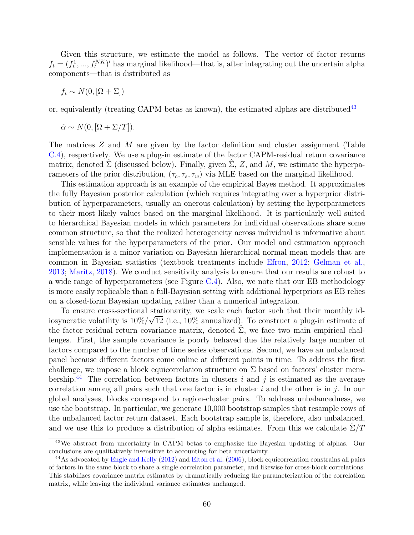Given this structure, we estimate the model as follows. The vector of factor returns  $f_t = (f_t^1, ..., f_t^{NK})'$  has marginal likelihood—that is, after integrating out the uncertain alpha components—that is distributed as

$$
f_t \sim N(0, [\Omega + \Sigma])
$$

or, equivalently (treating CAPM betas as known), the estimated alphas are distributed<sup>[43](#page-60-0)</sup>

$$
\hat{\alpha} \sim N(0, [\Omega + \Sigma/T]).
$$

The matrices  $Z$  and  $M$  are given by the factor definition and cluster assignment (Table [C.4\)](#page-77-0), respectively. We use a plug-in estimate of the factor CAPM-residual return covariance matrix, denoted  $\Sigma$  (discussed below). Finally, given  $\Sigma$ , Z, and M, we estimate the hyperparameters of the prior distribution,  $(\tau_c, \tau_s, \tau_w)$  via MLE based on the marginal likelihood.

This estimation approach is an example of the empirical Bayes method. It approximates the fully Bayesian posterior calculation (which requires integrating over a hyperprior distribution of hyperparameters, usually an onerous calculation) by setting the hyperparameters to their most likely values based on the marginal likelihood. It is particularly well suited to hierarchical Bayesian models in which parameters for individual observations share some common structure, so that the realized heterogeneity across individual is informative about sensible values for the hyperparameters of the prior. Our model and estimation approach implementation is a minor variation on Bayesian hierarchical normal mean models that are common in Bayesian statistics (textbook treatments include [Efron,](#page-50-1) [2012;](#page-50-1) [Gelman et al.,](#page-51-4) [2013;](#page-51-4) [Maritz,](#page-52-1) [2018\)](#page-52-1). We conduct sensitivity analysis to ensure that our results are robust to a wide range of hyperparameters (see Figure [C.4\)](#page-65-0). Also, we note that our EB methodology is more easily replicable than a full-Bayesian setting with additional hyperpriors as EB relies on a closed-form Bayesian updating rather than a numerical integration.

To ensure cross-sectional stationarity, we scale each factor such that their monthly idiosyncratic volatility is  $10\%/\sqrt{12}$  (i.e., 10% annualized). To construct a plug-in estimate of the factor residual return covariance matrix, denoted  $\Sigma$ , we face two main empirical challenges. First, the sample covariance is poorly behaved due the relatively large number of factors compared to the number of time series observations. Second, we have an unbalanced panel because different factors come online at different points in time. To address the first challenge, we impose a block equicorrelation structure on  $\Sigma$  based on factors' cluster mem-bership.<sup>[44](#page-60-1)</sup> The correlation between factors in clusters i and j is estimated as the average correlation among all pairs such that one factor is in cluster  $i$  and the other is in  $j$ . In our global analyses, blocks correspond to region-cluster pairs. To address unbalancedness, we use the bootstrap. In particular, we generate 10,000 bootstrap samples that resample rows of the unbalanced factor return dataset. Each bootstrap sample is, therefore, also unbalanced, and we use this to produce a distribution of alpha estimates. From this we calculate  $\Sigma/T$ 

<span id="page-60-0"></span><sup>&</sup>lt;sup>43</sup>We abstract from uncertainty in CAPM betas to emphasize the Bayesian updating of alphas. Our conclusions are qualitatively insensitive to accounting for beta uncertainty.

<span id="page-60-1"></span><sup>&</sup>lt;sup>44</sup>As advocated by [Engle and Kelly](#page-50-2) [\(2012\)](#page-50-2) and [Elton et al.](#page-50-3) [\(2006\)](#page-50-3), block equicorrelation constrains all pairs of factors in the same block to share a single correlation parameter, and likewise for cross-block correlations. This stabilizes covariance matrix estimates by dramatically reducing the parameterization of the correlation matrix, while leaving the individual variance estimates unchanged.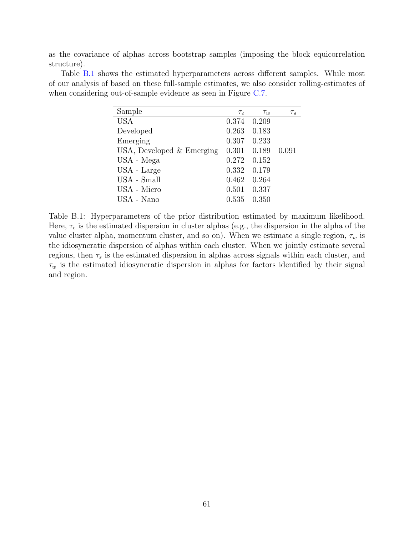as the covariance of alphas across bootstrap samples (imposing the block equicorrelation structure).

<span id="page-61-0"></span>Table [B.1](#page-61-0) shows the estimated hyperparameters across different samples. While most of our analysis of based on these full-sample estimates, we also consider rolling-estimates of when considering out-of-sample evidence as seen in Figure [C.7.](#page-67-0)

| Sample                      | $\tau_c$ | $\tau_w$ | $\tau_s$ |
|-----------------------------|----------|----------|----------|
| <b>USA</b>                  | 0.374    | 0.209    |          |
| Developed                   | 0.263    | 0.183    |          |
| Emerging                    | 0.307    | 0.233    |          |
| USA, Developed $&$ Emerging | 0.301    | 0.189    | 0.091    |
| USA - Mega                  | 0.272    | 0.152    |          |
| USA - Large                 | 0.332    | 0.179    |          |
| USA - Small                 | 0.462    | 0.264    |          |
| USA - Micro                 | 0.501    | 0.337    |          |
| USA - Nano                  | 0.535    | 0.350    |          |

Table B.1: Hyperparameters of the prior distribution estimated by maximum likelihood. Here,  $\tau_c$  is the estimated dispersion in cluster alphas (e.g., the dispersion in the alpha of the value cluster alpha, momentum cluster, and so on). When we estimate a single region,  $\tau_w$  is the idiosyncratic dispersion of alphas within each cluster. When we jointly estimate several regions, then  $\tau_s$  is the estimated dispersion in alphas across signals within each cluster, and  $\tau_w$  is the estimated idiosyncratic dispersion in alphas for factors identified by their signal and region.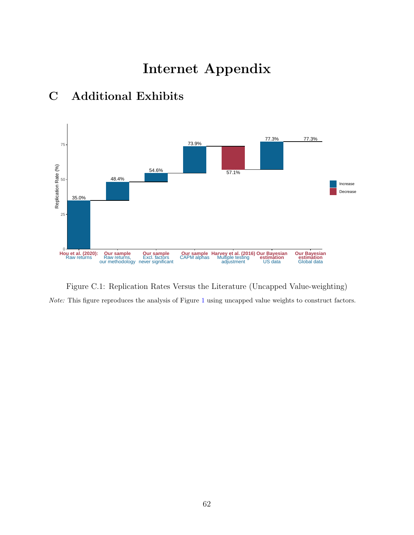# Internet Appendix



# C Additional Exhibits

Figure C.1: Replication Rates Versus the Literature (Uncapped Value-weighting) Note: This figure reproduces the analysis of Figure [1](#page-2-0) using uncapped value weights to construct factors.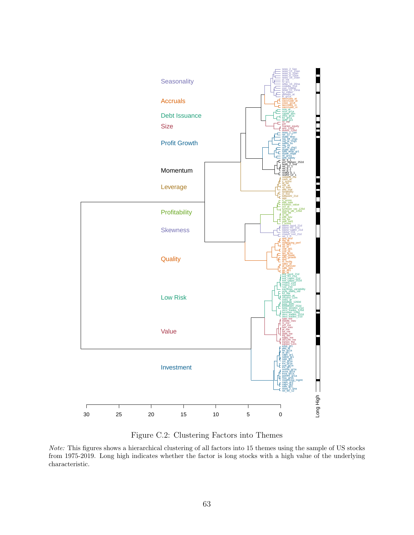

Figure C.2: Clustering Factors into Themes

Note: This figures shows a hierarchical clustering of all factors into 15 themes using the sample of US stocks from 1975-2019. Long high indicates whether the factor is long stocks with a high value of the underlying characteristic.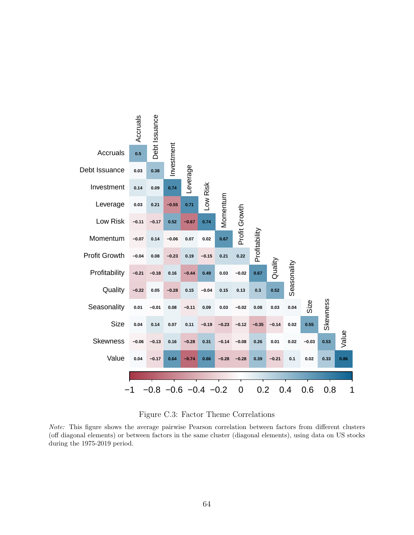<span id="page-64-0"></span>



Note: This figure shows the average pairwise Pearson correlation between factors from different clusters (off diagonal elements) or between factors in the same cluster (diagonal elements), using data on US stocks during the 1975-2019 period.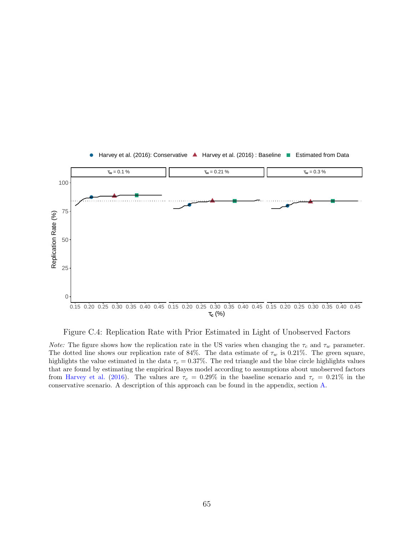<span id="page-65-0"></span>

Figure C.4: Replication Rate with Prior Estimated in Light of Unobserved Factors

*Note:* The figure shows how the replication rate in the US varies when changing the  $\tau_c$  and  $\tau_w$  parameter. The dotted line shows our replication rate of 84%. The data estimate of  $\tau_w$  is 0.21%. The green square, highlights the value estimated in the data  $\tau_c = 0.37\%$ . The red triangle and the blue circle highlights values that are found by estimating the empirical Bayes model according to assumptions about unobserved factors from [Harvey et al.](#page-51-1) [\(2016\)](#page-51-1). The values are  $\tau_c = 0.29\%$  in the baseline scenario and  $\tau_c = 0.21\%$  in the conservative scenario. A description of this approach can be found in the appendix, section [A.](#page-58-0)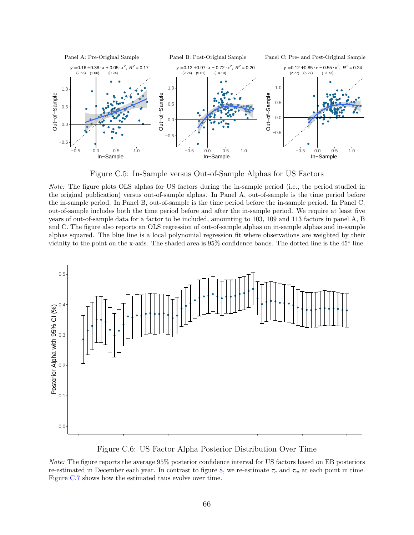<span id="page-66-0"></span>

Figure C.5: In-Sample versus Out-of-Sample Alphas for US Factors

Note: The figure plots OLS alphas for US factors during the in-sample period (i.e., the period studied in the original publication) versus out-of-sample alphas. In Panel A, out-of-sample is the time period before the in-sample period. In Panel B, out-of-sample is the time period before the in-sample period. In Panel C, out-of-sample includes both the time period before and after the in-sample period. We require at least five years of out-of-sample data for a factor to be included, amounting to 103, 109 and 113 factors in panel A, B and C. The figure also reports an OLS regression of out-of-sample alphas on in-sample alphas and in-sample alphas squared. The blue line is a local polynomial regression fit where observations are weighted by their vicinity to the point on the x-axis. The shaded area is 95% confidence bands. The dotted line is the 45<sup>o</sup> line.

<span id="page-66-1"></span>

Figure C.6: US Factor Alpha Posterior Distribution Over Time

Note: The figure reports the average 95% posterior confidence interval for US factors based on EB posteriors re-estimated in December each year. In contrast to figure [8,](#page-39-0) we re-estimate  $\tau_c$  and  $\tau_w$  at each point in time. Figure [C.7](#page-67-0) shows how the estimated taus evolve over time.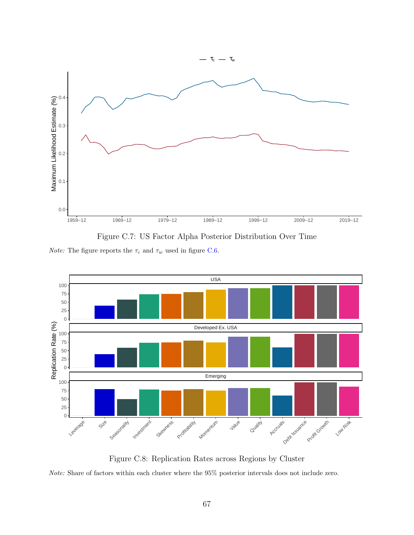<span id="page-67-0"></span>

Figure C.7: US Factor Alpha Posterior Distribution Over Time

*Note:* The figure reports the  $\tau_c$  and  $\tau_w$  used in figure [C.6.](#page-66-1)



Figure C.8: Replication Rates across Regions by Cluster Note: Share of factors within each cluster where the 95% posterior intervals does not include zero.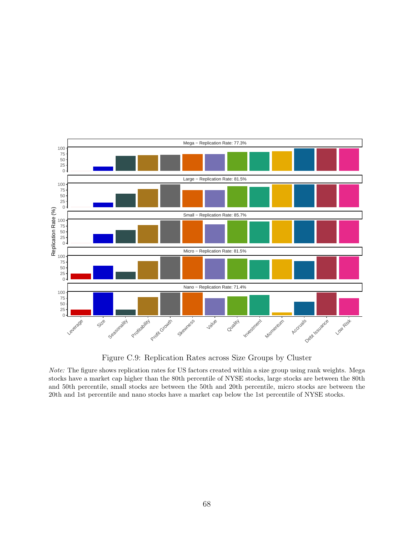

Figure C.9: Replication Rates across Size Groups by Cluster

Note: The figure shows replication rates for US factors created within a size group using rank weights. Mega stocks have a market cap higher than the 80th percentile of NYSE stocks, large stocks are between the 80th and 50th percentile, small stocks are between the 50th and 20th percentile, micro stocks are between the 20th and 1st percentile and nano stocks have a market cap below the 1st percentile of NYSE stocks.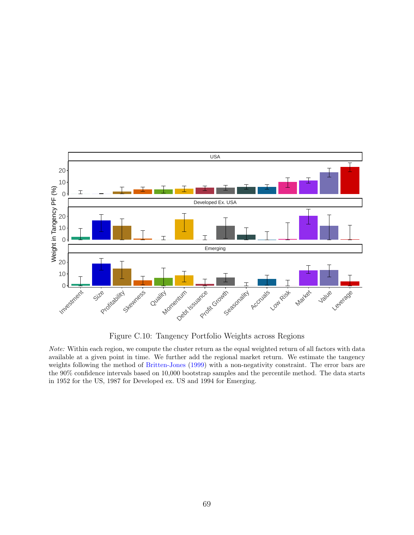<span id="page-69-0"></span>

Figure C.10: Tangency Portfolio Weights across Regions

Note: Within each region, we compute the cluster return as the equal weighted return of all factors with data available at a given point in time. We further add the regional market return. We estimate the tangency weights following the method of [Britten-Jones](#page-50-0) [\(1999\)](#page-50-0) with a non-negativity constraint. The error bars are the 90% confidence intervals based on 10,000 bootstrap samples and the percentile method. The data starts in 1952 for the US, 1987 for Developed ex. US and 1994 for Emerging.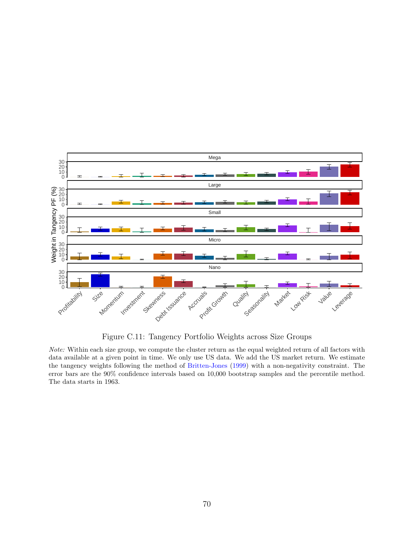<span id="page-70-0"></span>

Figure C.11: Tangency Portfolio Weights across Size Groups

Note: Within each size group, we compute the cluster return as the equal weighted return of all factors with data available at a given point in time. We only use US data. We add the US market return. We estimate the tangency weights following the method of [Britten-Jones](#page-50-0) [\(1999\)](#page-50-0) with a non-negativity constraint. The error bars are the 90% confidence intervals based on 10,000 bootstrap samples and the percentile method. The data starts in 1963.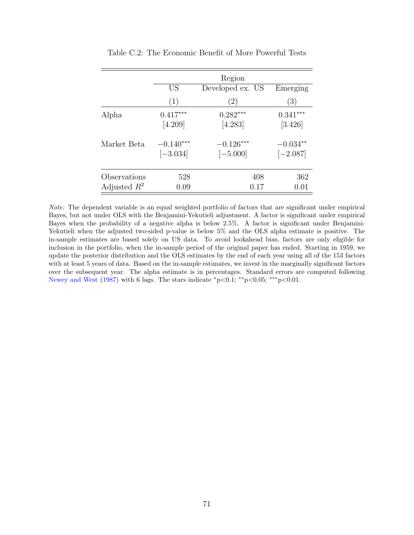<span id="page-71-0"></span>

|                | Region                    |                           |                          |  |
|----------------|---------------------------|---------------------------|--------------------------|--|
|                | <b>US</b>                 | Developed ex. US          | Emerging                 |  |
|                | (1)                       | (2)                       | (3)                      |  |
| Alpha          | $0.417***$<br>[4.209]     | $0.282***$<br>[4.283]     | $0.341***$<br>[3.426]    |  |
| Market Beta    | $-0.140***$<br>$[-3.034]$ | $-0.126***$<br>$[-5.000]$ | $-0.034**$<br>$[-2.087]$ |  |
| Observations   | 528                       | 408                       | 362                      |  |
| Adjusted $R^2$ | 0.09                      | 0.17                      | 0.01                     |  |

Table C.2: The Economic Benefit of More Powerful Tests

Note: The dependent variable is an equal weighted portfolio of factors that are significant under empirical Bayes, but not under OLS with the Benjamini-Yekutieli adjustment. A factor is significant under empirical Bayes when the probability of a negative alpha is below 2.5%. A factor is significant under Benjamini-Yekutieli when the adjusted two-sided p-value is below 5% and the OLS alpha estimate is positive. The in-sample estimates are based solely on US data. To avoid lookahead bias, factors are only eligible for inclusion in the portfolio, when the in-sample period of the original paper has ended. Starting in 1959, we update the posterior distribution and the OLS estimates by the end of each year using all of the 153 factors with at least 5 years of data. Based on the in-sample estimates, we invest in the marginally significant factors over the subsequent year. The alpha estimate is in percentages. Standard errors are computed following [Newey and West](#page-52-2) [\(1987\)](#page-52-2) with 6 lags. The stars indicate  $\degree$ p<0.1;  $\degree$ \*p<0.05;  $\degree$ \*\*p<0.01.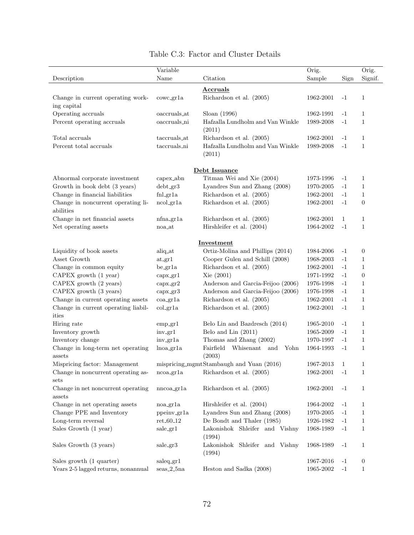|                                                  | Variable                  |                                            | Orig.         |              | Orig.            |
|--------------------------------------------------|---------------------------|--------------------------------------------|---------------|--------------|------------------|
| Description                                      | Name                      | Citation                                   | Sample        | Sign         | Signif.          |
|                                                  |                           | Accruals                                   |               |              |                  |
| Change in current operating work-<br>ing capital | cowc_gr1a                 | Richardson et al. (2005)                   | 1962-2001     | $-1$         | $\mathbf 1$      |
| Operating accruals                               | oaccruals_at              | Sloan (1996)                               | 1962-1991     | $-1$         | 1                |
| Percent operating accruals                       | oaccruals_ni              | Hafzalla Lundholm and Van Winkle<br>(2011) | 1989-2008     | $-1$         | $\mathbf{1}$     |
| Total accruals                                   | taccruals_at              | Richardson et al. (2005)                   | 1962-2001     | $-1$         | 1                |
| Percent total accruals                           | taccruals_ni              | Hafzalla Lundholm and Van Winkle           | 1989-2008     | $-1$         | $\mathbf{1}$     |
|                                                  |                           | (2011)                                     |               |              |                  |
|                                                  |                           | Debt Issuance                              |               |              |                  |
| Abnormal corporate investment                    | capex_abn                 | Titman Wei and Xie (2004)                  | 1973-1996     | $-1$         | $\mathbf 1$      |
| Growth in book debt (3 years)                    | $debt_gr3$                | Lyandres Sun and Zhang (2008)              | 1970-2005     | $-1$         | 1                |
| Change in financial liabilities                  | fnl_gr1a                  | Richardson et al. (2005)                   | 1962-2001     | $-1$         | 1                |
| Change in noncurrent operating li-<br>abilities  | ncol.gr1a                 | Richardson et al. (2005)                   | 1962-2001     | $-1$         | $\boldsymbol{0}$ |
| Change in net financial assets                   | nfna_gr1a                 | Richardson et al. (2005)                   | 1962-2001     | $\mathbf{1}$ | 1                |
| Net operating assets                             | noa_at                    | Hirshleifer et al. (2004)                  | 1964-2002     | $-1$         | $\mathbf{1}$     |
|                                                  |                           | Investment                                 |               |              |                  |
| Liquidity of book assets                         | aliq_at                   | Ortiz-Molina and Phillips (2014)           | 1984-2006     | $-1$         | $\boldsymbol{0}$ |
| Asset Growth                                     | at.gr1                    | Cooper Gulen and Schill (2008)             | 1968-2003     | $-1$         | $\mathbf 1$      |
| Change in common equity                          | $be\_gr1a$                | Richardson et al. (2005)                   | 1962-2001     | $-1$         | 1                |
| CAPEX growth (1 year)                            | capx.gr1                  | Xie(2001)                                  | 1971-1992     | $-1$         | $\boldsymbol{0}$ |
| CAPEX growth (2 years)                           | $\text{capx}\_\text{gr2}$ | Anderson and Garcia-Feijoo (2006)          | 1976-1998     | $-1$         | $\mathbf 1$      |
| CAPEX growth (3 years)                           | $\text{capx}\_\text{gr3}$ | Anderson and Garcia-Feijoo (2006)          | 1976-1998     | $-1$         | 1                |
| Change in current operating assets               | $coa_{\text{g}r1a}$       | Richardson et al. (2005)                   | 1962-2001     | $-1$         | $\mathbf{1}$     |
| Change in current operating liabil-<br>ities     | col.gr1a                  | Richardson et al. (2005)                   | 1962-2001     | $-1$         | $\mathbf{1}$     |
| Hiring rate                                      | emp.gr1                   | Belo Lin and Bazdresch (2014)              | 1965-2010     | $-1$         | $\mathbf{1}$     |
| Inventory growth                                 | $inv_{\text{gr}}1$        | Belo and Lin (2011)                        | 1965-2009     | $-1$         | $\mathbf{1}$     |
| Inventory change                                 | inv_gr1a                  | Thomas and Zhang (2002)                    | 1970-1997     | $-1$         | $\mathbf{1}$     |
| Change in long-term net operating<br>assets      | $lnoa_{gr}1a$             | Fairfield Whisenant and Yohn<br>(2003)     | 1964-1993     | $-1$         | $\mathbf{1}$     |
| Mispricing factor: Management                    |                           | mispricing_mgmtStambaugh and Yuan (2016)   | 1967-2013     | 1            | 1                |
| Change in noncurrent operating as-<br>sets       | $ncoa_{gr}1a$             | Richardson et al. (2005)                   | 1962-2001     | $-1$         | 1                |
| Change in net noncurrent operating<br>assets     | nncoa_gr1a                | Richardson et al. (2005)                   | 1962-2001     | $-1$         | $\mathbf 1$      |
| Change in net operating assets                   | noa_gr1a                  | Hirshleifer et al. (2004)                  | 1964-2002     | $-1$         | $\mathbf 1$      |
| Change PPE and Inventory                         | ppeinv_gr1a               | Lyandres Sun and Zhang (2008)              | 1970-2005     | $-1$         | $\mathbf 1$      |
| Long-term reversal                               | $ret_60_12$               | De Bondt and Thaler (1985)                 | 1926-1982     | $-1$         | $\mathbf 1$      |
| Sales Growth (1 year)                            | $\text{ sale\_gr1}$       | Lakonishok Shleifer and Vishny<br>(1994)   | 1968-1989     | $-1$         | $\mathbf{1}$     |
| Sales Growth (3 years)                           | sale_gr3                  | Lakonishok Shleifer and Vishny<br>(1994)   | 1968-1989     | $-1$         | 1                |
| Sales growth (1 quarter)                         | saleq.gr1                 |                                            | 1967-2016     | $-1$         | $\boldsymbol{0}$ |
| Years 2-5 lagged returns, nonannual              | $seas_2_5na$              | Heston and Sadka (2008)                    | $1965 - 2002$ | $-1$         | $\mathbf{1}$     |

## Table C.3: Factor and Cluster Details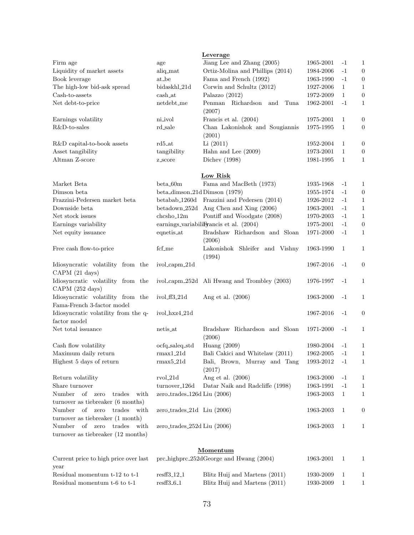|                                                                         |                                  | Leverage                                     |           |              |                  |
|-------------------------------------------------------------------------|----------------------------------|----------------------------------------------|-----------|--------------|------------------|
| Firm age                                                                | age                              | Jiang Lee and Zhang (2005)                   | 1965-2001 | $-1$         | $\mathbf{1}$     |
| Liquidity of market assets                                              | aliq_mat                         | Ortiz-Molina and Phillips (2014)             | 1984-2006 | $-1$         | $\boldsymbol{0}$ |
| Book leverage                                                           | at_be                            | Fama and French (1992)                       | 1963-1990 | $-1$         | $\boldsymbol{0}$ |
| The high-low bid-ask spread                                             | bidaskhl_21d                     | Corwin and Schultz (2012)                    | 1927-2006 | $\mathbf{1}$ | $\mathbf{1}$     |
| Cash-to-assets                                                          | cash_at                          | Palazzo (2012)                               | 1972-2009 | $\mathbf{1}$ | $\boldsymbol{0}$ |
| Net debt-to-price                                                       | netdebt_me                       | Penman Richardson<br>and<br>Tuna<br>(2007)   | 1962-2001 | $-1$         | $\mathbf{1}$     |
| Earnings volatility                                                     | ni_ivol                          | Francis et al. (2004)                        | 1975-2001 | 1            | $\boldsymbol{0}$ |
| R&D-to-sales                                                            | rd_sale                          | Chan Lakonishok and Sougiannis<br>(2001)     | 1975-1995 | 1            | 0                |
| R&D capital-to-book assets                                              | $rd5$ <sub>-at</sub>             | Li(2011)                                     | 1952-2004 | 1            | $\boldsymbol{0}$ |
| Asset tangibility                                                       | tangibility                      | Hahn and Lee $(2009)$                        | 1973-2001 | 1            | $\boldsymbol{0}$ |
| Altman Z-score                                                          | z_score                          | Dichev $(1998)$                              | 1981-1995 | $\mathbf{1}$ | $\mathbf{1}$     |
|                                                                         |                                  | Low Risk                                     |           |              |                  |
| Market Beta                                                             | beta.60m                         | Fama and MacBeth (1973)                      | 1935-1968 | $-1$         | 1                |
| Dimson beta                                                             | beta_dimson_21d Dimson (1979)    |                                              | 1955-1974 | $-1$         | $\boldsymbol{0}$ |
| Frazzini-Pedersen market beta                                           |                                  | betabab_1260d Frazzini and Pedersen (2014)   | 1926-2012 | $-1$         | $\mathbf{1}$     |
| Downside beta                                                           |                                  | betadown_252d Ang Chen and Xing (2006)       | 1963-2001 | $-1$         | $\mathbf{1}$     |
| Net stock issues                                                        | $chcsho_12m$                     | Pontiff and Woodgate (2008)                  | 1970-2003 | $-1$         | $\mathbf{1}$     |
| Earnings variability                                                    |                                  | earnings_variabiliFyancis et al. (2004)      | 1975-2001 | $-1$         | $\boldsymbol{0}$ |
| Net equity issuance                                                     | eqnetis_at                       | Bradshaw Richardson and Sloan<br>(2006)      | 1971-2000 | $-1$         | $\mathbf{1}$     |
| Free cash flow-to-price                                                 | fcf_me                           | Lakonishok Shleifer and Vishny<br>(1994)     | 1963-1990 | 1            | 1                |
| Idiosyncratic volatility from the<br>CAPM (21 days)                     | ivol_capm_21d                    |                                              | 1967-2016 | $-1$         | 0                |
| Idiosyncratic volatility from the<br>CAPM (252 days)                    |                                  | ivol_capm_252d Ali Hwang and Trombley (2003) | 1976-1997 | $-1$         | 1                |
| Idiosyncratic volatility from the<br>Fama-French 3-factor model         | $ivol_ff3_21d$                   | Ang et al. $(2006)$                          | 1963-2000 | $-1$         | $\mathbf{1}$     |
| Idiosyncratic volatility from the q-<br>factor model                    | ivol_hxz4_21d                    |                                              | 1967-2016 | $-1$         | 0                |
| Net total issuance                                                      | netis_at                         | Bradshaw Richardson and Sloan<br>(2006)      | 1971-2000 | $-1$         | 1                |
| Cash flow volatility                                                    | $ocfq\_saleq\_std$               | Huang (2009)                                 | 1980-2004 | $-1$         | 1                |
| Maximum daily return                                                    | $rmax1_21d$                      | Bali Cakici and Whitelaw (2011)              | 1962-2005 | $-1$         | $\mathbf{1}$     |
| Highest 5 days of return                                                | $rmax5_21d$                      | Bali, Brown, Murray and Tang<br>(2017)       | 1993-2012 | $-1$         | 1                |
| Return volatility                                                       | $rvol_21d$                       | Ang et al. (2006)                            | 1963-2000 | $-1$         | 1                |
| Share turnover                                                          | turnover_126d                    | Datar Naik and Radcliffe (1998)              | 1963-1991 | $-1$         | $\mathbf{1}$     |
| of zero<br>Number<br>trades<br>with                                     | zero_trades_126d Liu $(2006)$    |                                              | 1963-2003 | 1            | $\mathbf{1}$     |
| turnover as tiebreaker (6 months)                                       |                                  |                                              |           |              |                  |
| trades<br>Number<br>of zero<br>with<br>turnover as tiebreaker (1 month) | zero_trades_21d $\;$ Liu (2006)  |                                              | 1963-2003 | 1            | 0                |
| of zero trades<br>Number<br>with<br>turnover as tiebreaker (12 months)  | zero_trades_ $252d$ Liu $(2006)$ |                                              | 1963-2003 | $\mathbf{1}$ | 1                |
|                                                                         |                                  | <b>Momentum</b>                              |           |              |                  |
| Current price to high price over last<br>year                           |                                  | prc_highprc_252dGeorge and Hwang (2004)      | 1963-2001 | $\mathbf{1}$ | 1                |
| Residual momentum t-12 to t-1                                           | resff3 <sub>-12-1</sub>          | Blitz Huij and Martens (2011)                | 1930-2009 | 1            | $\mathbf{1}$     |

Residual momentum t-6 to t-1 resff3 6.1 Blitz Huij and Martens (2011) 1930-2009 1 1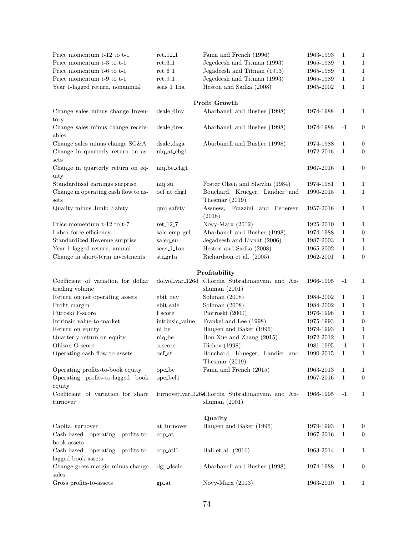| Price momentum t-12 to t-1                             | $ret_12_1$               | Fama and French (1996)                                           | 1963-1993           | 1            | 1                |
|--------------------------------------------------------|--------------------------|------------------------------------------------------------------|---------------------|--------------|------------------|
| Price momentum t-3 to t-1                              | $ret_3_1$                | Jegedeesh and Titman (1993)                                      | 1965-1989           | 1            | 1                |
| Price momentum t-6 to t-1                              | $ret_6_1$                | Jegadeesh and Titman (1993)                                      | 1965-1989           | 1            | $\mathbf{1}$     |
| Price momentum t-9 to t-1                              | $ret_9_1$                | Jegedeesh and Titman (1993)                                      | 1965-1989           | 1            | $\mathbf{1}$     |
| Year 1-lagged return, nonannual                        | seas_1_1na               | Heston and Sadka (2008)                                          | 1965-2002           | 1            | 1                |
|                                                        |                          | Profit Growth                                                    |                     |              |                  |
| Change sales minus change Inven-<br>tory               | dsale_dinv               | Abarbanell and Bushee (1998)                                     | 1974-1988           | 1            | 1                |
| Change sales minus change receiv-<br>ables             | dsale_drec               | Abarbanell and Bushee (1998)                                     | 1974-1988           | $-1$         | $\boldsymbol{0}$ |
| Change sales minus change SG&A                         | dsale_dsga               | Abarbanell and Bushee (1998)                                     | 1974-1988           | 1            | $\boldsymbol{0}$ |
| Change in quarterly return on as-<br>sets              | $niq_at_chg1$            |                                                                  | 1972-2016           | 1            | $\boldsymbol{0}$ |
| Change in quarterly return on eq-<br>uity              | niq_be_chg1              |                                                                  | 1967-2016           | 1            | $\boldsymbol{0}$ |
| Standardized earnings surprise                         | niq_su                   | Foster Olsen and Shevlin (1984)                                  | 1974-1981           | 1            | 1                |
| Change in operating cash flow to as-<br>sets           | ocf_at_chg1              | Bouchard, Krueger, Landier and<br>Thesmar $(2019)$               | 1990-2015           | 1            | 1                |
| Quality minus Junk: Safety                             | qmj_safety               | Assness,<br>Frazzini and Pedersen<br>(2018)                      | 1957-2016           | 1            | 1                |
| Price momentum t-12 to t-7                             | $ret_12_7$               | Novy-Marx (2012)                                                 | 1925-2010           | 1            | $\mathbf{1}$     |
| Labor force efficiency                                 | sale_emp_gr1             | Abarbanell and Bushee (1998)                                     | 1974-1988           | $\mathbf{1}$ | $\boldsymbol{0}$ |
| Standardized Revenue surprise                          | saleq_su                 | Jegadeesh and Livnat (2006)                                      | 1987-2003           | 1            | $\mathbf{1}$     |
| Year 1-lagged return, annual                           | $seas_1_1$ an            | Heston and Sadka (2008)                                          | 1965-2002           | $\mathbf{1}$ | $\mathbf{1}$     |
| Change in short-term investments                       | sti_gr1a                 | Richardson et al. (2005)                                         | 1962-2001           | 1            | $\boldsymbol{0}$ |
|                                                        |                          | Profitability                                                    |                     |              |                  |
| Coefficient of variation for dollar                    |                          | dolvol_var_126d Chordia Subrahmanyam and An-                     | 1966-1995           | $-1$         | 1                |
| trading volume                                         |                          | shuman $(2001)$                                                  |                     |              |                  |
| Return on net operating assets                         | ebit_bev                 | Soliman (2008)                                                   | 1984-2002           | 1            | 1                |
| Profit margin                                          | ebit_sale                | Soliman $(2008)$                                                 | 1984-2002           | $\mathbf{1}$ | $\mathbf 1$      |
| Pitroski F-score                                       | $f\_score$               | Piotroski (2000)                                                 | 1976-1996           | 1            | $\mathbf 1$      |
| Intrinsic value-to-market                              | intrinsic_value          | Frankel and Lee (1998)                                           | 1975-1993           | $\mathbf{1}$ | $\boldsymbol{0}$ |
| Return on equity                                       | ni_be                    | Haugen and Baker (1996)                                          | 1979-1993           | $\mathbf{1}$ | $\mathbf 1$      |
| Quarterly return on equity                             | niq_be                   | Hou Xue and Zhang (2015)                                         | 1972-2012           | $\mathbf{1}$ | $\mathbf{1}$     |
| Ohlson O-score                                         | o_score                  | Dichev $(1998)$                                                  | 1981-1995           | $-1$         | $\mathbf{1}$     |
| Operating cash flow to assets                          | $\operatorname{ocf\_at}$ | Bouchard, Krueger, Landier and<br>Thesmar $(2019)$               | $1990\hbox{-} 2015$ | $1\,$        | $\mathbf{1}$     |
| Operating profits-to-book equity                       | ope_be                   | Fama and French (2015)                                           | 1963-2013           | 1            | 1                |
| Operating profits-to-lagged book<br>equity             | ope_bel1                 |                                                                  | 1967-2016           | $\mathbf{1}$ | $\boldsymbol{0}$ |
| Coefficient of variation for share<br>turnover         |                          | turnover_var_126dChordia Subrahmanyam and An-<br>shuman $(2001)$ | 1966-1995           | $-1$         | 1                |
|                                                        |                          | Quality                                                          |                     |              |                  |
| Capital turnover                                       | at_turnover              | Haugen and Baker (1996)                                          | 1979-1993           | 1            | 0                |
| Cash-based operating profits-to-<br>book assets        | $cop_1$                  |                                                                  | 1967-2016           | $\mathbf{1}$ | $\boldsymbol{0}$ |
| Cash-based operating profits-to-<br>lagged book assets | $cop_1$                  | Ball et al. $(2016)$                                             | 1963-2014           | 1            | 1                |
| Change gross margin minus change<br>sales              | $\frac{dg}{dz}$          | Abarbanell and Bushee (1998)                                     | 1974-1988           | 1            | $\boldsymbol{0}$ |
| Gross profits-to-assets                                | $gp$ <sub>-at</sub>      | Novy-Marx $(2013)$                                               | 1963-2010           | -1           | 1                |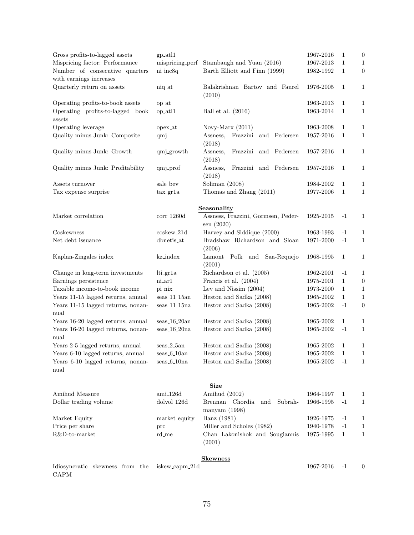| Gross profits-to-lagged assets                            | $gp$ <sub>-atl</sub> $1$  |                                             | 1967-2016 | $\mathbf{1}$ | $\mathbf{0}$     |
|-----------------------------------------------------------|---------------------------|---------------------------------------------|-----------|--------------|------------------|
| Mispricing factor: Performance                            |                           | mispricing_perf Stambaugh and Yuan (2016)   | 1967-2013 | 1            | 1                |
| Number of consecutive quarters<br>with earnings increases | ni_inc8q                  | Barth Elliott and Finn (1999)               | 1982-1992 | $\mathbf{1}$ | $\boldsymbol{0}$ |
| Quarterly return on assets                                | niq_at                    | Balakrishnan Bartov and Faurel<br>(2010)    | 1976-2005 | 1            | $\mathbf{1}$     |
| Operating profits-to-book assets                          | op_at                     |                                             | 1963-2013 | $\mathbf{1}$ | $\mathbf{1}$     |
| Operating profits-to-lagged book                          | op_atl1                   | Ball et al. $(2016)$                        | 1963-2014 | 1            | $\mathbf{1}$     |
| assets                                                    |                           |                                             |           |              |                  |
| Operating leverage                                        | opex <sub>-at</sub>       | Novy-Marx $(2011)$                          | 1963-2008 | $\mathbf{1}$ | 1                |
| Quality minus Junk: Composite                             | qmj                       | Assness,<br>Frazzini and Pedersen           | 1957-2016 | $\mathbf{1}$ | 1                |
|                                                           |                           | (2018)                                      |           |              |                  |
| Quality minus Junk: Growth                                | qmj_growth                | Assness,<br>Frazzini and Pedersen<br>(2018) | 1957-2016 | $\mathbf{1}$ | $\mathbf{1}$     |
| Quality minus Junk: Profitability                         | qmj_prof                  | Assness,<br>Frazzini and Pedersen<br>(2018) | 1957-2016 | 1            | $\mathbf{1}$     |
| Assets turnover                                           | sale_bev                  | Soliman $(2008)$                            | 1984-2002 | $\mathbf{1}$ | 1                |
| Tax expense surprise                                      | tax.gr1a                  | Thomas and Zhang (2011)                     | 1977-2006 | $\mathbf{1}$ | 1                |
|                                                           |                           |                                             |           |              |                  |
|                                                           |                           | Seasonality                                 |           |              |                  |
| Market correlation                                        | $corr_1260d$              | Assness, Frazzini, Gormsen, Peder-          | 1925-2015 | $-1$         | 1                |
| Coskewness                                                | $cos$ kew <sub>-21d</sub> | sen(2020)<br>Harvey and Siddique (2000)     | 1963-1993 | $-1$         |                  |
|                                                           |                           |                                             |           |              | 1                |
| Net debt issuance                                         | dbnetis_at                | Bradshaw Richardson and Sloan<br>(2006)     | 1971-2000 | $-1$         | 1                |
| Kaplan-Zingales index                                     | kz_index                  | Lamont Polk and Saa-Requejo<br>(2001)       | 1968-1995 | 1            | 1                |
| Change in long-term investments                           | lti_gr1a                  | Richardson et al. (2005)                    | 1962-2001 | $-1$         | 1                |
| Earnings persistence                                      | $n$ <i>i</i> _ar $1$      | Francis et al. (2004)                       | 1975-2001 | $\mathbf{1}$ | $\boldsymbol{0}$ |
| Taxable income-to-book income                             | pi_nix                    | Lev and Nissim $(2004)$                     | 1973-2000 | $\mathbf{1}$ | $\mathbf{1}$     |
| Years 11-15 lagged returns, annual                        | $_{\rm{seas\_11\_15an}}$  | Heston and Sadka (2008)                     | 1965-2002 | $\mathbf{1}$ | 1                |
| Years 11-15 lagged returns, nonan-<br>nual                | $seas_11_15na$            | Heston and Sadka (2008)                     | 1965-2002 | $-1$         | $\boldsymbol{0}$ |
| Years 16-20 lagged returns, annual                        | $seas_16_20an$            | Heston and Sadka (2008)                     | 1965-2002 | $\mathbf{1}$ | 1                |
| Years 16-20 lagged returns, nonan-                        | $seas_16_20na$            | Heston and Sadka (2008)                     | 1965-2002 | $-1$         | $\mathbf{1}$     |
| nual                                                      |                           |                                             |           |              |                  |
| Years 2-5 lagged returns, annual                          | $seas_2_5an$              | Heston and Sadka (2008)                     | 1965-2002 | $\mathbf{1}$ | 1                |
| Years 6-10 lagged returns, annual                         | $seas_6_10an$             | Heston and Sadka (2008)                     | 1965-2002 | 1            | $\mathbf{1}$     |
| Years 6-10 lagged returns, nonan-<br>nual                 | $seas_6_10na$             | Heston and Sadka (2008)                     | 1965-2002 | $-1$         | 1                |
|                                                           |                           |                                             |           |              |                  |
|                                                           |                           | <b>Size</b>                                 |           |              |                  |
| Amihud Measure                                            | ami_126d                  | Amihud (2002)                               | 1964-1997 | 1            | 1                |
| Dollar trading volume                                     | dolvol_126d               | Brennan Chordia<br>Subrah-<br>and           | 1966-1995 | $-1$         | $\mathbf{1}$     |
|                                                           |                           | manyam (1998)                               |           |              |                  |
| Market Equity                                             | market_equity             | Banz (1981)                                 | 1926-1975 | $-1$         | 1                |
| Price per share                                           | prc                       | Miller and Scholes (1982)                   | 1940-1978 | $-1$         | 1                |
| R&D-to-market                                             | rd_me                     | Chan Lakonishok and Sougiannis<br>(2001)    | 1975-1995 | $\mathbf{1}$ | 1                |
|                                                           |                           | <b>Skewness</b>                             |           |              |                  |

|             |  | Idiosyncratic skewness from the iskew_capm_21d | 1967-2016 -1 | $\overline{0}$ |
|-------------|--|------------------------------------------------|--------------|----------------|
| <b>CAPM</b> |  |                                                |              |                |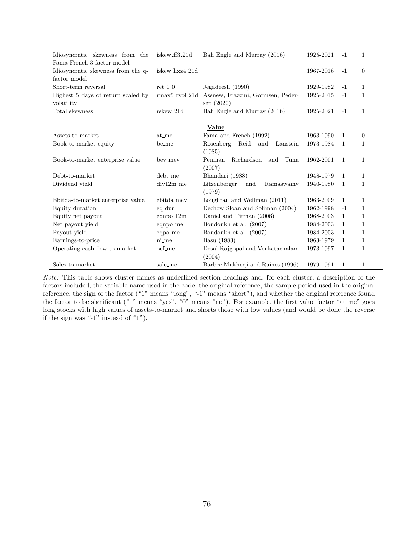| Idiosyncratic skewness from the                  | iskew_ff3_21d    | Bali Engle and Murray (2016)                    | 1925-2021 | $-1$         | 1              |
|--------------------------------------------------|------------------|-------------------------------------------------|-----------|--------------|----------------|
| Fama-French 3-factor model                       |                  |                                                 |           |              |                |
| Idiosyncratic skewness from the q-               | iskew_hxz4_21d   |                                                 | 1967-2016 | $-1$         | $\Omega$       |
| factor model                                     |                  |                                                 |           |              |                |
| Short-term reversal                              | $ret_1_0$        | Jegadeesh (1990)                                | 1929-1982 | $-1$         | 1              |
| Highest 5 days of return scaled by<br>volatility | $rmax5_rvol_21d$ | Assness, Frazzini, Gormsen, Peder-<br>sen(2020) | 1925-2015 | $-1$         | 1              |
| Total skewness                                   | rskew 21d        | Bali Engle and Murray (2016)                    | 1925-2021 | $-1$         | $\mathbf{1}$   |
|                                                  |                  | Value                                           |           |              |                |
| Assets-to-market                                 | at_me            | Fama and French (1992)                          | 1963-1990 | 1            | $\overline{0}$ |
| Book-to-market equity                            | $be$ -me         | Reid<br>Rosenberg<br>and<br>Lanstein            | 1973-1984 | $\mathbf{1}$ | 1              |
|                                                  |                  | (1985)                                          |           |              |                |
| Book-to-market enterprise value                  | bev_mev          | Penman<br>Richardson<br>Tuna<br>and             | 1962-2001 | 1            | 1              |
|                                                  |                  | (2007)                                          |           |              |                |
| Debt-to-market                                   | debt_me          | Bhandari (1988)                                 | 1948-1979 | 1            | 1              |
| Dividend yield                                   | $div12m$ me      | Litzenberger<br>Ramaswamy<br>and                | 1940-1980 | $\mathbf{1}$ | $\mathbf{1}$   |
|                                                  |                  | (1979)                                          |           |              |                |
| Ebitda-to-market enterprise value                | ebitda_mev       | Loughran and Wellman (2011)                     | 1963-2009 | 1            | 1              |
| Equity duration                                  | $eq_dur$         | Dechow Sloan and Soliman (2004)                 | 1962-1998 | $-1$         | 1              |
| Equity net payout                                | $eqnpo_12m$      | Daniel and Titman (2006)                        | 1968-2003 | 1            | 1              |
| Net payout yield                                 | eqnpo_me         | Boudoukh et al. (2007)                          | 1984-2003 | $\mathbf{1}$ | 1              |
| Payout yield                                     | eqpo_me          | Boudoukh et al. (2007)                          | 1984-2003 | $\mathbf{1}$ | 1              |
| Earnings-to-price                                | ni_me            | Basu (1983)                                     | 1963-1979 | 1            | 1              |
| Operating cash flow-to-market                    | ocf_me           | Desai Rajgopal and Venkatachalam                | 1973-1997 | $\mathbf{1}$ | 1              |
|                                                  |                  | (2004)                                          |           |              |                |
| Sales-to-market                                  | sale_me          | Barbee Mukherji and Raines (1996)               | 1979-1991 | 1            | 1              |

Note: This table shows cluster names as underlined section headings and, for each cluster, a description of the factors included, the variable name used in the code, the original reference, the sample period used in the original reference, the sign of the factor ("1" means "long", "-1" means "short"), and whether the original reference found the factor to be significant ("1" means "yes", "0" means "no"). For example, the first value factor "at me" goes long stocks with high values of assets-to-market and shorts those with low values (and would be done the reverse if the sign was "-1" instead of "1").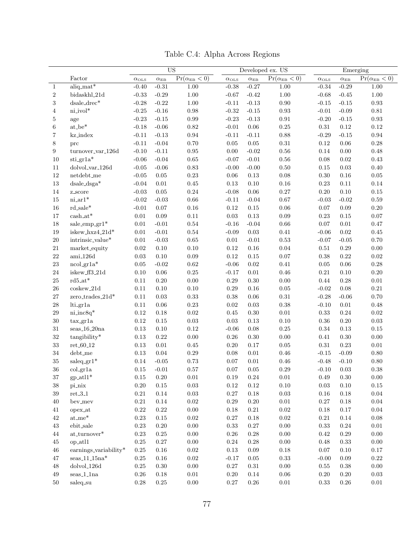|                  |                              | <b>US</b>             |                   | Developed ex. US                  |                       |                   | Emerging                               |                    |                   |                                   |
|------------------|------------------------------|-----------------------|-------------------|-----------------------------------|-----------------------|-------------------|----------------------------------------|--------------------|-------------------|-----------------------------------|
|                  | Factor                       | $\alpha_{\text{OLS}}$ | $\alpha_{\rm EB}$ | $\overline{\Pr}(\alpha_{EB} < 0)$ | $\alpha_{\text{OLS}}$ | $\alpha_{\rm EB}$ | $\overline{\Pr(\alpha_{\text{EB}}}<0)$ | $\alpha_{\rm OLS}$ | $\alpha_{\rm EB}$ | $\overline{\Pr(\alpha_{EB} < 0)}$ |
| 1                | $aliq\_mat*$                 | $-0.40$               | $-0.31$           | 1.00                              | $-0.38$               | $-0.27$           | 1.00                                   | $-0.34$            | $-0.29$           | 1.00                              |
| $\boldsymbol{2}$ | bidaskhl_21d                 | $-0.33$               | $-0.29$           | $1.00\,$                          | $-0.67$               | $-0.42$           | $1.00\,$                               | $-0.68$            | $-0.45$           | $1.00\,$                          |
| 3                | dsale_drec*                  | $-0.28$               | $-0.22$           | $1.00\,$                          | $-0.11$               | $-0.13$           | $0.90\,$                               | $-0.15$            | $-0.15$           | 0.93                              |
| 4                | ni_ivol*                     | $-0.25$               | $-0.16$           | $0.98\,$                          | $-0.32$               | $\text{-}0.15$    | $\rm 0.93$                             | $-0.01$            | $-0.09$           | $\rm 0.81$                        |
| 5                | age                          | $-0.23$               | $-0.15$           | 0.99                              | $-0.23$               | $-0.13$           | $\rm 0.91$                             | $-0.20$            | $-0.15$           | 0.93                              |
| 6                | $at_be^*$                    | $-0.18$               | $-0.06$           | $\rm 0.82$                        | $-0.01$               | $0.06\,$          | $0.25\,$                               | 0.31               | 0.12              | $0.12\,$                          |
| 7                | kz_index                     | $-0.11$               | $-0.13$           | $\rm 0.94$                        | $-0.11$               | $-0.11$           | 0.88                                   | $-0.29$            | $-0.15$           | $\rm 0.94$                        |
| 8                | prc                          | $-0.11$               | $-0.04$           | 0.70                              | $0.05\,$              | $0.05\,$          | $\rm 0.31$                             | $\rm 0.12$         | 0.06              | $0.28\,$                          |
| 9                | turnover_var_126d            | $-0.10$               | $-0.11$           | 0.95                              | 0.00                  | $-0.02$           | $0.56\,$                               | 0.14               | 0.00              | 0.48                              |
| 10               | sti_gr1a*                    | $-0.06$               | $-0.04$           | $0.65\,$                          | $-0.07$               | $-0.01$           | $0.56\,$                               | $0.08\,$           | 0.02              | 0.43                              |
| 11               | dolvol_var_126d              | $-0.05$               | $-0.06$           | 0.83                              | $-0.00$               | $-0.00$           | $0.50\,$                               | 0.15               | 0.03              | $0.40\,$                          |
| $12\,$           | netdebt_me                   | $-0.05$               | $0.05\,$          | 0.23                              | $0.06\,$              | $0.13\,$          | 0.08                                   | $0.30\,$           | 0.16              | $0.05\,$                          |
| $13\,$           | $dsale\_dsga*$               | $-0.04$               | $0.01\,$          | 0.45                              | $0.13\,$              | $0.10\,$          | $0.16\,$                               | $\rm 0.23$         | $0.11\,$          | $0.14\,$                          |
| $14\,$           | z_score                      | $-0.03$               | $0.05\,$          | $0.24\,$                          | $-0.08$               | $0.06\,$          | $0.27\,$                               | 0.20               | 0.10              | $0.15\,$                          |
| $15\,$           | $\text{ni\_ar1}^*$           | $-0.02$               | $-0.03$           | $0.66\,$                          | $-0.11$               | $-0.04$           | $0.67\,$                               | $-0.03$            | $-0.02$           | $0.59\,$                          |
| $16\,$           | $rd\_sale*$                  | $-0.01$               | $0.07\,$          | $0.16\,$                          | $0.12\,$              | $0.15\,$          | $0.06\,$                               | 0.07               | 0.09              | $0.20\,$                          |
| $17\,$           | $\cosh_4 t^*$                | $0.01\,$              | 0.09              | $0.11\,$                          | $0.03\,$              | $0.13\,$          | $0.09\,$                               | 0.23               | 0.15              | $0.07\,$                          |
| $18\,$           | sale_emp_gr1*                | $0.01\,$              | $-0.01$           | $0.54\,$                          | $-0.16$               | $-0.04$           | $0.66\,$                               | 0.07               | $\rm 0.01$        | $0.47\,$                          |
| 19               | iskew_hxz4_21d*              | $0.01\,$              | $-0.01$           | $0.54\,$                          | $-0.09$               | 0.03              | $0.41\,$                               | $-0.06$            | 0.02              | $0.45\,$                          |
| $20\,$           | intrinsic_value*             | $0.01\,$              | $-0.03$           | $\,0.65\,$                        | $0.01\,$              | $-0.01$           | $\rm 0.53$                             | $-0.07$            | $-0.05$           | 0.70                              |
| 21               | market_equity                | 0.02                  | $0.10\,$          | 0.10                              | $0.12\,$              | $0.16\,$          | 0.04                                   | $0.51\,$           | 0.29              | $0.00\,$                          |
| 22               | $ami_126d$                   | $\rm 0.03$            | $0.10\,$          | $0.09\,$                          | 0.12                  | $0.15\,$          | $0.07\,$                               | $0.38\,$           | 0.22              | $\rm 0.02$                        |
| $23\,$           | $ncol.gr1a*$                 | 0.05                  | $-0.02$           | $\rm 0.62$                        | $-0.06$               | $\rm 0.02$        | 0.41                                   | $0.05\,$           | 0.06              | $0.28\,$                          |
| 24               | iskew_ff3_21d                | 0.10                  | $0.06\,$          | $0.25\,$                          | $-0.17$               | $\rm 0.01$        | $0.46\,$                               | $\rm 0.21$         | 0.10              | $0.20\,$                          |
| $25\,$           | $\rm rd5\_at*$               | 0.11                  | $0.20\,$          | $0.00\,$                          | $0.29\,$              | $0.30\,$          | $0.00\,$                               | 0.44               | 0.28              | $\rm 0.01$                        |
| $26\,$           | $cos$ kew <sub>-21d</sub>    | 0.11                  | $0.10\,$          | 0.10                              | $0.29\,$              | $0.16\,$          | $0.05\,$                               | $-0.02$            | 0.08              | $\rm 0.21$                        |
| $27\,$           | zero_trades_21d*             | 0.11                  | $0.03\,$          | $0.33\,$                          | $0.38\,$              | $0.06\,$          | $\rm 0.31$                             | $-0.28$            | $-0.06$           | 0.70                              |
| $28\,$           | lti_gr1a                     | 0.11                  | $0.06\,$          | $0.23\,$                          | $\rm 0.02$            | $\rm 0.03$        | $0.38\,$                               | $-0.10$            | $0.01\,$          | 0.48                              |
| $\,29$           | ni_inc8q*                    | 0.12                  | $0.18\,$          | 0.02                              | $0.45\,$              | $0.30\,$          | $0.01\,$                               | 0.33               | $0.24\,$          | $\rm 0.02$                        |
| $30\,$           | tax.gr1a                     | 0.12                  | $0.15\,$          | $\rm 0.03$                        | $0.03\,$              | $0.13\,$          | 0.10                                   | 0.36               | $0.20\,$          | $\rm 0.03$                        |
| 31               | $seas_16_20na$               | 0.13                  | $0.10\,$          | $0.12\,$                          | $-0.06$               | $0.08\,$          | $0.25\,$                               | $0.34\,$           | 0.13              | $0.15\,$                          |
| $32\,$           | tangibility*                 | 0.13                  | 0.22              | 0.00                              | $0.26\,$              | $0.30\,$          | $0.00\,$                               | 0.41               | 0.30              | $0.00\,$                          |
| $33\,$           | $ret_60_12$                  | 0.13                  | $\rm 0.01$        | 0.45                              | $0.20\,$              | $0.17\,$          | $0.05\,$                               | $\rm 0.31$         | $0.23\,$          | $\rm 0.01$                        |
| 34               | $debt_m$ e                   | 0.13                  | $0.04\,$          | 0.29                              | 0.08                  | 0.01              | 0.46                                   | $-0.15$            | $-0.09$           | $0.80\,$                          |
| $35\,$           | $saleq.gr1*$                 | 0.14                  | $-0.05$           | 0.73                              | $0.07\,$              | 0.01              | $0.46\,$                               | $-0.48$            | $-0.10$           | 0.80                              |
| $36\,$           | col_gr1a                     | $0.15\,$              | $-0.01$           | 0.57                              | 0.07                  | $0.05\,$          | $0.29\,$                               | $-0.10$            | $\rm 0.03$        | $0.38\,$                          |
| 37               | $gp$ -atl $1^*$              | $0.15\,$              | $0.20\,$          | $0.01\,$                          | $0.19\,$              | $0.24\,$          | $0.01\,$                               | $0.49\,$           | $0.30\,$          | $0.00\,$                          |
| $38\,$           | pi_nix                       | $0.20\,$              | $0.15\,$          | $0.03\,$                          | $0.12\,$              | $0.12\,$          | $0.10\,$                               | $0.03\,$           | 0.10              | $0.15\,$                          |
| $39\,$           | $\rm ret.3.1$                | $0.21\,$              | $0.14\,$          | $0.03\,$                          | $0.27\,$              | 0.18              | $\rm 0.03$                             | $0.16\,$           | 0.18              | $0.04\,$                          |
| 40               | bev_mev                      | $0.21\,$              | $0.14\,$          | 0.02                              | $0.29\,$              | $0.20\,$          | $0.01\,$                               | $0.27\,$           | 0.18              | $0.04\,$                          |
| 41               | opex_at                      | $0.22\,$              | $0.22\,$          | $0.00\,$                          | $0.18\,$              | $0.21\,$          | $0.02\,$                               | $0.18\,$           | 0.17              | $0.04\,$                          |
| 42               | $\mathrm{at}\_\mathrm{me}^*$ | $0.23\,$              | $0.15\,$          | $0.02\,$                          | $0.27\,$              | $0.18\,$          | $0.02\,$                               | $0.21\,$           | 0.14              | $0.08\,$                          |
| $43\,$           | $_{\rm ebit\_ sale}$         | $0.23\,$              | $0.20\,$          | 0.00                              | $0.33\,$              | $0.27\,$          | $0.00\,$                               | $0.33\,$           | $0.24\,$          | $0.01\,$                          |
| 44               | $\mathrm{at\_turnover}^*$    | $0.23\,$              | $0.25\,$          | $0.00\,$                          | $0.26\,$              | $0.28\,$          | $0.00\,$                               | $0.42\,$           | $0.29\,$          | $0.00\,$                          |
| 45               | op_atl1                      | $0.25\,$              | $0.27\,$          | $0.00\,$                          | $0.24\,$              | $0.28\,$          | $0.00\,$                               | $0.48\,$           | 0.33              | $0.00\,$                          |
| 46               | earnings_variability*        | $0.25\,$              | $0.16\,$          | $\rm 0.02$                        | $0.13\,$              | 0.09              | $0.18\,$                               | $0.07\,$           | 0.10              | $0.17\,$                          |
| 47               | ${\rm seas}\_11\_15\rm na^*$ | $0.25\,$              | $0.16\,$          | $0.02\,$                          | $-0.17$               | 0.05              | $\rm 0.33$                             | $-0.00$            | 0.09              | $0.22\,$                          |
| $48\,$           | $dolvol_126d$                | $0.25\,$              | $0.30\,$          | $0.00\,$                          | $0.27\,$              | 0.31              | $0.00\,$                               | $0.55\,$           | $0.38\,$          | $0.00\,$                          |
| 49               | $_{\rm{seas}\_1\_1na}$       | $0.26\,$              | $0.18\,$          | $0.01\,$                          | $0.20\,$              | $0.14\,$          | $0.06\,$                               | $0.20\,$           | $0.20\,$          | $0.03\,$                          |
| 50               | saleq_su                     | $0.28\,$              | $0.25\,$          | $0.00\,$                          | $0.27\,$              | $0.26\,$          | $0.01\,$                               | $0.33\,$           | $0.26\,$          | $0.01\,$                          |

Table C.4: Alpha Across Regions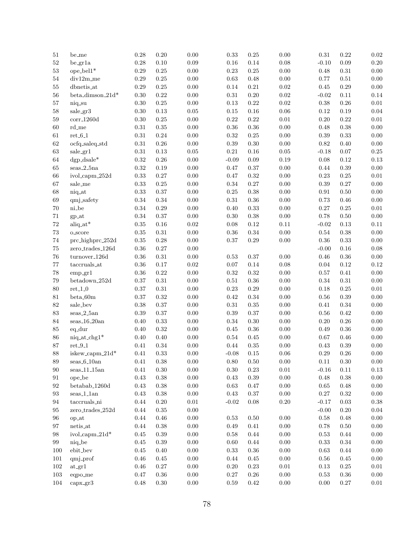| $51\,$   | be_me                         | 0.28       | 0.20       | $0.00\,$   | 0.33       | 0.25     | 0.00       | $\rm 0.31$ | 0.22       | $\rm 0.02$ |
|----------|-------------------------------|------------|------------|------------|------------|----------|------------|------------|------------|------------|
| $52\,$   | $be_{\text{gr1a}}$            | $0.28\,$   | $0.10\,$   | 0.09       | $0.16\,$   | 0.14     | 0.08       | $-0.10$    | $0.09\,$   | $0.20\,$   |
| $53\,$   | $ope$ -bel $1^*$              | $0.29\,$   | 0.25       | $0.00\,$   | $0.23\,$   | $0.25\,$ | 0.00       | 0.48       | $0.31\,$   | $0.00\,$   |
| $54\,$   | $div12m$ <sub>-me</sub>       | $0.29\,$   | 0.25       | $0.00\,$   | $\rm 0.63$ | 0.48     | $0.00\,$   | 0.77       | $0.51\,$   | $0.00\,$   |
| $55\,$   | dbnetis_at                    | $0.29\,$   | 0.25       | $0.00\,$   | 0.14       | $0.21\,$ | $\rm 0.02$ | 0.45       | $0.29\,$   | $0.00\,$   |
| $56\,$   | beta_dimson_21d*              | $0.30\,$   | 0.22       | $0.00\,$   | $\rm 0.31$ | $0.20\,$ | 0.02       | $-0.02$    | $0.11\,$   | 0.14       |
| 57       | niq_su                        | $0.30\,$   | 0.25       | $0.00\,$   | $0.13\,$   | 0.22     | 0.02       | $0.38\,$   | $0.26\,$   | $\rm 0.01$ |
| $58\,$   | sale_gr3                      | $0.30\,$   | $0.13\,$   | $\rm 0.05$ | 0.15       | $0.16\,$ | 0.06       | $0.12\,$   | 0.19       | $0.04\,$   |
| 59       | $corr_1260d$                  | $0.30\,$   | 0.25       | 0.00       | $\rm 0.22$ | 0.22     | $\rm 0.01$ | $0.20\,$   | 0.22       | $0.01\,$   |
| 60       | rd_me                         | $\rm 0.31$ | $0.35\,$   | $0.00\,$   | $0.36\,$   | $0.36\,$ | 0.00       | 0.48       | 0.38       | $0.00\,$   |
| $61\,$   | $ret_6_1$                     | $0.31\,$   | 0.24       | $0.00\,$   | $\rm 0.32$ | $0.25\,$ | 0.00       | $0.39\,$   | 0.33       | $0.00\,$   |
| $62\,$   | ocfq_saleq_std                | $0.31\,$   | $0.26\,$   | $0.00\,$   | $0.39\,$   | 0.30     | 0.00       | $\rm 0.82$ | 0.40       | $0.00\,$   |
| $63\,$   | sale.gr1                      | $\rm 0.31$ | 0.13       | $0.05\,$   | $\rm 0.21$ | $0.16\,$ | 0.05       | $-0.18$    | $0.07\,$   | $\rm 0.25$ |
| 64       | $\text{dgp}\_ \text{dsale}^*$ | $\rm 0.32$ | $0.26\,$   | 0.00       | $-0.09$    | $0.09\,$ | 0.19       | 0.08       | 0.12       | $0.13\,$   |
| $65\,$   | $_{\rm{seas}\_2\_5na}$        | $\rm 0.32$ | 0.19       | $0.00\,$   | 0.47       | $0.37\,$ | 0.00       | 0.44       | 0.39       | $0.00\,$   |
| 66       | ivol_capm_252d                | $\rm 0.33$ | 0.27       | $0.00\,$   | 0.47       | 0.32     | 0.00       | $0.23\,$   | $0.25\,$   | $0.01\,$   |
| 67       | sale_me                       | 0.33       | 0.25       | $0.00\,$   | $0.34\,$   | $0.27\,$ | 0.00       | 0.39       | $0.27\,$   | $0.00\,$   |
| 68       | niq_at                        | 0.33       | 0.37       | $0.00\,$   | $0.25\,$   | $0.38\,$ | 0.00       | $\rm 0.91$ | $0.50\,$   | $0.00\,$   |
| 69       | qmj_safety                    | $0.34\,$   | 0.34       | $0.00\,$   | $\rm 0.31$ | $0.36\,$ | 0.00       | 0.73       | $0.46\,$   | $0.00\,$   |
| 70       | $ni_b$                        | 0.34       | 0.29       | $0.00\,$   | 0.40       | 0.33     | 0.00       | 0.27       | $0.25\,$   | $0.01\,$   |
| 71       | gp_at                         | $0.34\,$   | 0.37       | $0.00\,$   | 0.30       | $0.38\,$ | 0.00       | 0.78       | $0.50\,$   | $0.00\,$   |
| $72\,$   | $aliq_at^*$                   | $0.35\,$   | 0.16       | $\rm 0.02$ | 0.08       | 0.12     | 0.11       | $-0.02$    | $0.13\,$   | $0.11\,$   |
| $73\,$   | o_score                       | $0.35\,$   | $\rm 0.31$ | $0.00\,$   | 0.36       | 0.34     | 0.00       | 0.54       | $0.38\,$   | $0.00\,$   |
| $74\,$   | prc_highprc_252d              | $0.35\,$   | 0.28       | 0.00       | $0.37\,$   | $0.29\,$ | 0.00       | $0.36\,$   | 0.33       | $0.00\,$   |
| 75       | $zero\_trades\_126d$          | $0.36\,$   | 0.27       | $0.00\,$   |            |          |            | $-0.00$    | $0.16\,$   | 0.08       |
| $76\,$   | $turnover_126d$               | $0.36\,$   | $\rm 0.31$ | $0.00\,$   |            | $0.37\,$ | 0.00       | $0.46\,$   | $0.36\,$   | $0.00\,$   |
|          |                               |            |            | $\rm 0.02$ | 0.53       |          |            |            |            | 0.12       |
| 77       | $\mbox{taccruals}\_at$        | $0.36\,$   | 0.17       |            | $0.07\,$   | 0.14     | 0.08       | $0.04\,$   | 0.12       |            |
| $78\,$   | emp.gr1                       | $0.36\,$   | 0.22       | $0.00\,$   | 0.32       | 0.32     | 0.00       | 0.57       | $0.41\,$   | $0.00\,$   |
| 79       | betadown.252d                 | $0.37\,$   | $\rm 0.31$ | $0.00\,$   | 0.51       | $0.36\,$ | 0.00       | $0.34\,$   | $\rm 0.31$ | $0.00\,$   |
| 80       | $ret_1_0$                     | $0.37\,$   | $\rm 0.31$ | $0.00\,$   | $0.23\,$   | 0.29     | 0.00       | 0.18       | 0.25       | $0.01\,$   |
| $81\,$   | $beta_0$ 0m                   | $0.37\,$   | 0.32       | $0.00\,$   | 0.42       | 0.34     | 0.00       | 0.56       | $0.39\,$   | $0.00\,$   |
| $82\,$   | sale_bev                      | $0.38\,$   | 0.37       | $0.00\,$   | $\rm 0.31$ | $0.35\,$ | 0.00       | $0.41\,$   | 0.34       | $0.00\,$   |
| $83\,$   | $seas_2_5an$                  | $0.39\,$   | 0.37       | $0.00\,$   | 0.39       | $0.37\,$ | 0.00       | 0.56       | 0.42       | $0.00\,$   |
| $\rm 84$ | $_{\rm{seas}\_16\_20an}$      | $0.40\,$   | 0.33       | $0.00\,$   | 0.34       | 0.30     | 0.00       | $0.20\,$   | $0.26\,$   | $0.00\,$   |
| $85\,$   | eq_dur                        | $0.40\,$   | 0.32       | $0.00\,$   | 0.45       | $0.36\,$ | 0.00       | 0.49       | $0.36\,$   | $0.00\,$   |
| 86       | $niq$ -at-chg $1^*$           | $0.40\,$   | 0.40       | $0.00\,$   | $\rm 0.54$ | $0.45\,$ | 0.00       | 0.67       | $0.46\,$   | $0.00\,$   |
| $87\,$   | $\rm ret. 9.1$                | $0.41\,$   | 0.34       | $0.00\,$   | 0.44       | $0.35\,$ | 0.00       | $0.43\,$   | 0.39       | $0.00\,$   |
| $88\,$   | iskew_capm_21d*               | 0.41       | 0.33       | $0.00\,$   | $-0.08$    | 0.15     | $0.06\,$   | $0.29\,$   | $0.26\,$   | $0.00\,$   |
| 89       | $seas_6_10an$                 | 0.41       | 0.38       | 0.00       | 0.80       | 0.50     | 0.00       | 0.11       | 0.30       | $0.00\,$   |
| 90       | $_{\rm{seas}\_11\_15an}$      | 0.41       | $0.30\,$   | $0.00\,$   | 0.30       | $0.23\,$ | $0.01\,$   | $-0.16$    | $0.11\,$   | $0.13\,$   |
| 91       | ope_be                        | $0.43\,$   | 0.38       | 0.00       | $0.43\,$   | 0.39     | $0.00\,$   | 0.48       | $0.38\,$   | $0.00\,$   |
| 92       | betabab <sub>-1260d</sub>     | 0.43       | 0.38       | 0.00       | 0.63       | $0.47\,$ | 0.00       | 0.65       | $0.48\,$   | $0.00\,$   |
| 93       | $seas_11an$                   | $0.43\,$   | 0.38       | 0.00       | 0.43       | $0.37\,$ | $0.00\,$   | 0.27       | $0.32\,$   | $0.00\,$   |
| 94       | taccruals_ni                  | 0.44       | 0.20       | 0.01       | $-0.02$    | $0.08\,$ | $0.20\,$   | $-0.17$    | $0.03\,$   | $0.38\,$   |
| 95       | $zero\_trades_252d$           | 0.44       | 0.35       | 0.00       |            |          |            | $-0.00$    | $0.20\,$   | $0.04\,$   |
| 96       | op_at                         | 0.44       | 0.46       | $0.00\,$   | 0.53       | 0.50     | 0.00       | 0.58       | $0.48\,$   | $0.00\,$   |
| 97       | netis_at                      | 0.44       | 0.38       | 0.00       | 0.49       | 0.41     | 0.00       | 0.78       | 0.50       | $0.00\,$   |
| 98       | ivol_capm_21d*                | 0.45       | $0.39\,$   | $0.00\,$   | 0.58       | $0.44\,$ | $0.00\,$   | 0.53       | $0.44\,$   | $0.00\,$   |
| 99       | niq_be                        | 0.45       | 0.39       | $0.00\,$   | 0.60       | 0.44     | 0.00       | 0.33       | $0.34\,$   | $0.00\,$   |
| 100      | ebit_bev                      | 0.45       | 0.40       | $0.00\,$   | 0.33       | $0.36\,$ | $0.00\,$   | 0.63       | 0.44       | $0.00\,$   |
| 101      | qmj_prof                      | 0.46       | 0.45       | 0.00       | 0.44       | 0.45     | 0.00       | 0.56       | 0.45       | $0.00\,$   |
| 102      | at.gr1                        | 0.46       | 0.27       | 0.00       | 0.20       | $0.23\,$ | 0.01       | 0.13       | 0.25       | $0.01\,$   |
| $103\,$  | eqpo_me                       | 0.47       | $0.36\,$   | $0.00\,$   | 0.27       | $0.26\,$ | $0.00\,$   | 0.53       | 0.36       | $0.00\,$   |
| 104      | $\text{capx}\_\text{gr}3$     | 0.48       | $0.30\,$   | $0.00\,$   | 0.59       | $0.42\,$ | $0.00\,$   | 0.00       | $0.27\,$   | $0.01\,$   |
|          |                               |            |            |            |            |          |            |            |            |            |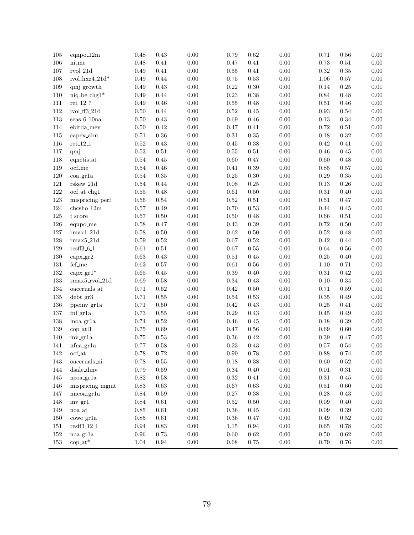| 105     | eqnpo <sub>-12m</sub>          | 0.48       | 0.43       | $0.00\,$ | 0.79       | $\,0.62\,$ | $0.00\,$ | 0.71       | 0.56       | $0.00\,$ |
|---------|--------------------------------|------------|------------|----------|------------|------------|----------|------------|------------|----------|
| 106     | $ni$ <sub>-me</sub>            | 0.48       | $0.41\,$   | $0.00\,$ | $0.47\,$   | $0.41\,$   | $0.00\,$ | 0.73       | $0.51\,$   | $0.00\,$ |
| 107     | $_{\rm rvol.21d}$              | 0.49       | $0.41\,$   | $0.00\,$ | $0.55\,$   | $0.41\,$   | $0.00\,$ | $\rm 0.32$ | $0.35\,$   | $0.00\,$ |
| 108     | ivol_hxz4_21d*                 | 0.49       | $0.44\,$   | $0.00\,$ | 0.75       | 0.53       | $0.00\,$ | $1.06\,$   | 0.57       | $0.00\,$ |
| 109     | qmj_growth                     | 0.49       | $0.43\,$   | $0.00\,$ | $0.22\,$   | $0.30\,$   | $0.00\,$ | $0.14\,$   | 0.25       | $0.01\,$ |
| 110     | $niq$ -be-chg $1^*$            | 0.49       | $0.44\,$   | $0.00\,$ | $0.23\,$   | $0.38\,$   | $0.00\,$ | $0.84\,$   | $0.48\,$   | $0.00\,$ |
| 111     | $\mathrm{ret}\_12\_7$          | 0.49       | $0.46\,$   | $0.00\,$ | $0.55\,$   | 0.48       | $0.00\,$ | $0.51\,$   | $0.46\,$   | $0.00\,$ |
| 112     | ivol_ff3_21d                   | $0.50\,$   | $0.44\,$   | $0.00\,$ | $\rm 0.52$ | $0.45\,$   | $0.00\,$ | $\rm 0.93$ | $0.54\,$   | $0.00\,$ |
| 113     | $_{\rm seas\_6\_10na}$         | $0.50\,$   | $0.43\,$   | $0.00\,$ | $0.69\,$   | $0.46\,$   | $0.00\,$ | $0.13\,$   | $0.34\,$   | $0.00\,$ |
| 114     | ebitda_mev                     | $0.50\,$   | $0.42\,$   | $0.00\,$ | $0.47\,$   | $0.41\,$   | $0.00\,$ | $0.72\,$   | $0.51\,$   | $0.00\,$ |
| 115     | capex_abn                      | $0.51\,$   | $0.36\,$   | $0.00\,$ | $\rm 0.31$ | $0.35\,$   | $0.00\,$ | $0.18\,$   | $\rm 0.32$ | $0.00\,$ |
| 116     | $\rm ret\text{-}12\text{-}1$   | $\rm 0.52$ | $0.43\,$   | $0.00\,$ | $0.45\,$   | $0.38\,$   | $0.00\,$ | $\rm 0.42$ | $0.41\,$   | $0.00\,$ |
| 117     | qmj                            | $\rm 0.53$ | $0.51\,$   | $0.00\,$ | $0.55\,$   | $0.51\,$   | $0.00\,$ | $0.46\,$   | $0.45\,$   | $0.00\,$ |
| 118     | eqnetis_at                     | $0.54\,$   | 0.45       | $0.00\,$ | $0.60\,$   | 0.47       | $0.00\,$ | $0.60\,$   | 0.48       | $0.00\,$ |
| 119     | $ocf_m$ e                      | $0.54\,$   | $0.46\,$   | $0.00\,$ | $0.41\,$   | $0.39\,$   | $0.00\,$ | $0.85\,$   | $0.57\,$   | $0.00\,$ |
| 120     | $coa_{\text{-}gr1a}$           | 0.54       | $0.35\,$   | $0.00\,$ | $0.25\,$   | $0.30\,$   | $0.00\,$ | $0.29\,$   | $0.35\,$   | $0.00\,$ |
| 121     | $rskew_21d$                    | $0.54\,$   | $0.44\,$   | $0.00\,$ | 0.08       | $0.25\,$   | $0.00\,$ | $0.13\,$   | 0.26       | $0.00\,$ |
| 122     | ocf_at_chg1                    | $0.55\,$   | 0.48       | $0.00\,$ | $\rm 0.61$ | $0.50\,$   | $0.00\,$ | $0.31\,$   | 0.40       | $0.00\,$ |
| 123     | mispricing_perf                | $0.56\,$   | $0.54\,$   | $0.00\,$ | $\rm 0.52$ | $0.51\,$   | $0.00\,$ | $0.51\,$   | $0.47\,$   | $0.00\,$ |
| 124     | $chcsho_12m$                   | $0.57\,$   | $0.49\,$   | $0.00\,$ | $0.70\,$   | $0.53\,$   | $0.00\,$ | $0.44\,$   | 0.45       | $0.00\,$ |
| 125     | f_score                        | 0.57       | 0.50       | $0.00\,$ | 0.50       | $0.48\,$   | $0.00\,$ | $0.66\,$   | $0.51\,$   | $0.00\,$ |
| 126     | eqnpo_me                       | 0.58       | $0.47\,$   | $0.00\,$ | $0.43\,$   | $0.39\,$   | $0.00\,$ | $0.72\,$   | $0.50\,$   | $0.00\,$ |
| 127     | $rmax1_21d$                    | 0.58       | $0.50\,$   | $0.00\,$ | 0.62       | $0.50\,$   | $0.00\,$ | $0.52\,$   | 0.48       | $0.00\,$ |
| 128     | $rmax5_21d$                    | $0.59\,$   | $0.52\,$   | $0.00\,$ | 0.67       | $0.52\,$   | $0.00\,$ | $\rm 0.42$ | $0.44\,$   | $0.00\,$ |
| 129     | $restf3_6_1$                   | 0.61       | $0.51\,$   | $0.00\,$ | 0.67       | $0.55\,$   | $0.00\,$ | 0.64       | 0.56       | $0.00\,$ |
| 130     | $\mathrm{capx}\_ \mathrm{gr2}$ | 0.63       | $0.43\,$   | $0.00\,$ | $0.51\,$   | $0.45\,$   | $0.00\,$ | $0.25\,$   | $0.40\,$   | $0.00\,$ |
| 131     | $fcf_m$ e                      | 0.63       | $0.57\,$   | $0.00\,$ | 0.61       | $0.56\,$   | $0.00\,$ | $1.10\,$   | 0.71       | $0.00\,$ |
| 132     | $\text{capx}\_\text{gr1}^*$    | 0.65       | $0.45\,$   | $0.00\,$ | $0.39\,$   | $0.40\,$   | $0.00\,$ | $0.31\,$   | $\rm 0.42$ | $0.00\,$ |
| 133     | $rmax5_rvol_21d$               | 0.69       | $0.58\,$   | $0.00\,$ | 0.34       | $0.43\,$   | $0.00\,$ | $0.10\,$   | $0.34\,$   | $0.00\,$ |
| 134     | oaccruals_at                   | $0.71\,$   | $0.52\,$   | $0.00\,$ | $0.42\,$   | $0.50\,$   | $0.00\,$ | 0.71       | 0.59       | $0.00\,$ |
| 135     | $debt_gr3$                     | $0.71\,$   | $0.55\,$   | $0.00\,$ | $0.54\,$   | $0.53\,$   | $0.00\,$ | $0.35\,$   | 0.49       | $0.00\,$ |
| 136     | ppeinv_gr1a                    | 0.71       | $0.50\,$   | $0.00\,$ | 0.42       | $0.43\,$   | $0.00\,$ | $0.25\,$   | $0.41\,$   | $0.00\,$ |
| 137     | fnl_gr1a                       | 0.73       | $0.55\,$   | $0.00\,$ | $0.29\,$   | $0.43\,$   | $0.00\,$ | $0.45\,$   | 0.49       | $0.00\,$ |
| 138     | $lnoa\_gr1a$                   | 0.74       | $0.52\,$   | $0.00\,$ | $0.46\,$   | $0.45\,$   | $0.00\,$ | $0.18\,$   | $0.39\,$   | $0.00\,$ |
| 139     | cop_atl1                       | $0.75\,$   | 0.69       | $0.00\,$ | $0.47\,$   | $0.56\,$   | 0.00     | $0.69\,$   | $0.60\,$   | $0.00\,$ |
| 140     | inv <sub>-gr1a</sub>           | $0.75\,$   | $0.53\,$   | $0.00\,$ | $0.36\,$   | $0.42\,$   | $0.00\,$ | $0.39\,$   | 0.47       | $0.00\,$ |
| 141     | $n$ fna_gr1a                   | 0.77       | 0.58       | 0.00     | 0.23       | 0.43       | 0.00     | 0.57       | 0.54       | 0.00     |
| $142\,$ | $\operatorname{ocf\_at}$       | 0.78       | 0.72       | $0.00\,$ | $0.90\,$   | $0.78\,$   | $0.00\,$ | $0.88\,$   | 0.74       | $0.00\,$ |
| 143     | oaccruals_ni                   | 0.78       | 0.55       | $0.00\,$ | 0.18       | 0.38       | 0.00     | 0.60       | 0.52       | 0.00     |
| 144     | $dsale\_dimv$                  | 0.79       | 0.59       | $0.00\,$ | $0.34\,$   | $0.40\,$   | $0.00\,$ | $0.01\,$   | 0.31       | $0.00\,$ |
| 145     | ncoa.gr1a                      | $\rm 0.82$ | 0.58       | $0.00\,$ | $\rm 0.32$ | $0.41\,$   | $0.00\,$ | 0.31       | 0.45       | $0.00\,$ |
| 146     | mispricing_mgmt                | $0.83\,$   | 0.63       | $0.00\,$ | 0.67       | $\rm 0.63$ | $0.00\,$ | 0.51       | 0.60       | $0.00\,$ |
| 147     | nnooa.gr1a                     | 0.84       | 0.59       | $0.00\,$ | 0.27       | $0.38\,$   | $0.00\,$ | 0.28       | 0.43       | $0.00\,$ |
| 148     | inv_gr1                        | 0.84       | $0.61\,$   | $0.00\,$ | $\rm 0.52$ | $0.50\,$   | $0.00\,$ | 0.09       | 0.40       | $0.00\,$ |
| 149     | $\operatorname{noa\_at}$       | 0.85       | 0.61       | $0.00\,$ | 0.36       | $0.45\,$   | $0.00\,$ | 0.09       | 0.39       | $0.00\,$ |
| 150     | convc.gr1a                     | 0.85       | $\,0.61\,$ | $0.00\,$ | 0.36       | $0.47\,$   | $0.00\,$ | 0.49       | 0.52       | $0.00\,$ |
| 151     | resff3_12_1                    | 0.94       | $0.83\,$   | $0.00\,$ | $1.15\,$   | $\rm 0.94$ | $0.00\,$ | $0.65\,$   | 0.78       | $0.00\,$ |
| 152     | noa_gr1a                       | 0.96       | $0.73\,$   | $0.00\,$ | $0.60\,$   | $\,0.62\,$ | $0.00\,$ | 0.50       | 0.62       | $0.00\,$ |
| $153\,$ | $cop_$                         | $1.04\,$   | 0.94       | $0.00\,$ | 0.68       | 0.75       | $0.00\,$ | $0.79\,$   | 0.76       | $0.00\,$ |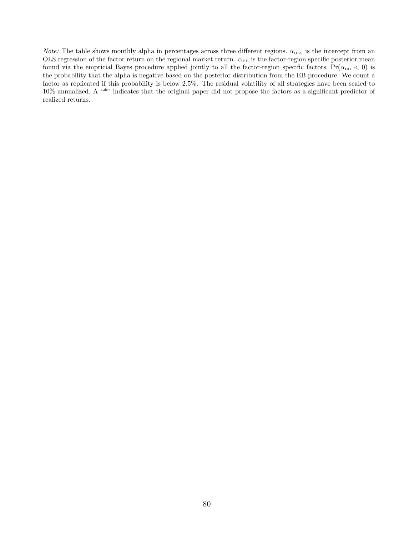*Note:* The table shows monthly alpha in percentages across three different regions.  $\alpha_{\text{OLS}}$  is the intercept from an OLS regression of the factor return on the regional market return.  $\alpha_{EB}$  is the factor-region specific posterior mean found via the empricial Bayes procedure applied jointly to all the factor-region specific factors. Pr( $\alpha_{EB} < 0$ ) is the probability that the alpha is negative based on the posterior distribution from the EB procedure. We count a factor as replicated if this probability is below 2.5%. The residual volatility of all strategies have been scaled to 10% annualized. A "\*" indicates that the original paper did not propose the factors as a significant predictor of realized returns.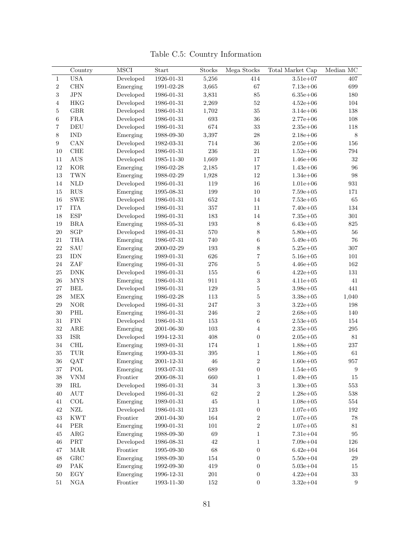|                         | Country                     | <b>MSCI</b> | Start            | Stocks      | Mega Stocks             | Total Market Cap | Median $\rm MC$    |
|-------------------------|-----------------------------|-------------|------------------|-------------|-------------------------|------------------|--------------------|
| $\mathbf{1}$            | <b>USA</b>                  | Developed   | 1926-01-31       | 5,256       | 414                     | $3.51e + 07$     | $407\,$            |
| $\sqrt{2}$              | <b>CHN</b>                  | Emerging    | 1991-02-28       | 3,665       | $67\,$                  | $7.13e + 06$     | 699                |
| $\overline{\mathbf{3}}$ | $_{\mathrm{JPN}}$           | Developed   | 1986-01-31       | 3,831       | $85\,$                  | $6.35e + 06$     | 180                |
| $\overline{4}$          | <b>HKG</b>                  | Developed   | 1986-01-31       | 2,269       | $52\,$                  | $4.52e + 06$     | 104                |
| $\bf 5$                 | <b>GBR</b>                  | Developed   | 1986-01-31       | 1,702       | $35\,$                  | $3.14e + 06$     | 138                |
| $\,$ 6 $\,$             | ${\rm FRA}$                 | Developed   | 1986-01-31       | 693         | $36\,$                  | $2.77e + 06$     | 108                |
| $\overline{\mathbf{7}}$ | DEU                         | Developed   | 1986-01-31       | 674         | $33\,$                  | $2.35e + 06$     | 118                |
| 8                       | <b>IND</b>                  | Emerging    | 1988-09-30       | 3,397       | 28                      | $2.18e + 06$     | $\,$ $\,$          |
| $\boldsymbol{9}$        | CAN                         | Developed   | 1982-03-31       | 714         | 36                      | $2.05e + 06$     | 156                |
| $10\,$                  | ${\rm CHE}$                 | Developed   | 1986-01-31       | $\,236$     | 21                      | $1.52e + 06$     | 794                |
| 11                      | <b>AUS</b>                  | Developed   | $1985 - 11 - 30$ | 1,669       | $17\,$                  | $1.46e + 06$     | $32\,$             |
| 12                      | <b>KOR</b>                  | Emerging    | 1986-02-28       | 2,185       | $17\,$                  | $1.43e + 06$     | 96                 |
| 13                      | $\operatorname{TWN}$        | Emerging    | 1988-02-29       | 1,928       | $12\,$                  | $1.34e + 06$     | 98                 |
| 14                      | $\mbox{NLD}$                | Developed   | 1986-01-31       | 119         | $16\,$                  | $1.01e + 06$     | $\boldsymbol{931}$ |
| 15                      | ${\rm RUS}$                 | Emerging    | 1995-08-31       | 199         | $10\,$                  | $7.59e + 05$     | 171                |
| 16                      | ${\rm SWE}$                 | Developed   | 1986-01-31       | 652         | $14\,$                  | $7.53e + 05$     | 65                 |
| 17                      | ${\rm ITA}$                 | Developed   | 1986-01-31       | $357\,$     | 11                      | $7.40e + 05$     | 134                |
| 18                      | <b>ESP</b>                  | Developed   | 1986-01-31       | 183         | $14\,$                  | $7.35e + 05$     | $301\,$            |
| 19                      | <b>BRA</b>                  | Emerging    | 1988-05-31       | $193\,$     | $8\,$                   | $6.43e + 05$     | 825                |
| $20\,$                  | $_{\rm SGP}$                | Developed   | 1986-01-31       | $570\,$     | $8\,$                   | $5.80e + 05$     | 56                 |
| $21\,$                  | <b>THA</b>                  | Emerging    | 1986-07-31       | 740         | $\,6$                   | $5.49e + 05$     | 76                 |
| $22\,$                  | SAU                         | Emerging    | 2000-02-29       | $193\,$     | $8\,$                   | $5.25e + 05$     | $307\,$            |
| 23                      | <b>IDN</b>                  | Emerging    | 1989-01-31       | 626         | $\overline{\mathbf{7}}$ | $5.16e + 05$     | 101                |
| 24                      | ZAF                         | Emerging    | 1986-01-31       | $276\,$     | $\bf 5$                 | $4.46e + 05$     | 162                |
| $25\,$                  | ${\rm DNK}$                 | Developed   | 1986-01-31       | 155         | $\boldsymbol{6}$        | $4.22e + 05$     | 131                |
| ${\bf 26}$              | <b>MYS</b>                  | Emerging    | 1986-01-31       | 911         | $\,3$                   | $4.11e + 05$     | 41                 |
| $27\,$                  | BEL                         | Developed   | 1986-01-31       | 129         | $\bf 5$                 | $3.98e + 05$     | 441                |
| $\sqrt{28}$             | MEX                         | Emerging    | 1986-02-28       | $113\,$     | $\bf 5$                 | $3.38e + 05$     | 1,040              |
| $\,29$                  | $\rm{NOR}$                  | Developed   | 1986-01-31       | 247         | $\,3$                   | $3.22e + 05$     | 198                |
|                         |                             |             |                  |             | $\,2$                   |                  |                    |
| $30\,$                  | PHL                         | Emerging    | 1986-01-31       | 246         |                         | $2.68e + 05$     | 140                |
| $31\,$                  | ${\rm FIN}$                 | Developed   | 1986-01-31       | 153         | $\,6\,$                 | $2.53e + 05$     | 154                |
| 32                      | $_{\rm ARE}$                | Emerging    | 2001-06-30       | $103\,$     | $\,4\,$                 | $2.35e + 05$     | $\,295$            |
| 33                      | <b>ISR</b>                  | Developed   | 1994-12-31       | 408         | $\boldsymbol{0}$        | $2.05e + 05$     | 81                 |
| $34\,$                  | $\rm CHL$                   | Emerging    | 1989-01-31       | 174         | $\,1\,$                 | $1.88e + 05$     | $237\,$            |
| $35\,$                  | TUR                         | Emerging    | 1990-03-31       | 395         | $\mathbf{1}$            | $1.86e + 05$     | 61                 |
| 36                      | QAT                         | Emerging    | 2001-12-31       | $\sqrt{46}$ | $\sqrt{2}$              | $1.60e + 05$     | $957\,$            |
| $37\,$                  | $\operatorname{POL}$        | Emerging    | 1993-07-31       | 689         | $\boldsymbol{0}$        | $1.54e + 05$     | $\boldsymbol{9}$   |
| $38\,$                  | ${\it VNM}$                 | Frontier    | $2006 - 08 - 31$ | 660         | $1\,$                   | $1.49e + 05$     | $15\,$             |
| $39\,$                  | $\operatorname{IRL}$        | Developed   | $1986 - 01 - 31$ | $34\,$      | $\sqrt{3}$              | $1.30e + 05$     | $553\,$            |
| 40                      | $\mathop{\rm AUT}\nolimits$ | Developed   | 1986-01-31       | $62\,$      | $\,2$                   | $1.28e + 05$     | 538                |
| 41                      | $_{\rm COL}$                | Emerging    | 1989-01-31       | $45\,$      | $\mathbf{1}$            | $1.08e + 05$     | 554                |
| $42\,$                  | ${\rm NZL}$                 | Developed   | 1986-01-31       | $123\,$     | $\boldsymbol{0}$        | $1.07e + 05$     | 192                |
| $43\,$                  | <b>KWT</b>                  | Frontier    | 2001-04-30       | 164         | $\,2$                   | $1.07e + 05$     | 78                 |
| 44                      | ${\rm PER}$                 | Emerging    | 1990-01-31       | 101         | $\,2$                   | $1.07e + 05$     | $81\,$             |
| $45\,$                  | $\rm{ARG}$                  | Emerging    | 1988-09-30       | $69\,$      | $\,1$                   | $7.31e + 04$     | $\rm 95$           |
| 46                      | $\ensuremath{\mathsf{PRT}}$ | Developed   | 1986-08-31       | $42\,$      | $\mathbf{1}$            | $7.09e + 04$     | 126                |
| 47                      | $\rm{MAR}$                  | Frontier    | 1995-09-30       | $68\,$      | $\boldsymbol{0}$        | $6.42e + 04$     | 164                |
| 48                      | ${\rm GRC}$                 | Emerging    | 1988-09-30       | $154\,$     | $\boldsymbol{0}$        | $5.50e + 04$     | 29                 |
| 49                      | $\ensuremath{\text{PAK}}$   | Emerging    | 1992-09-30       | 419         | $\boldsymbol{0}$        | $5.03e + 04$     | 15                 |
| $50\,$                  | $\mathop{\hbox{\rm EGY}}$   | Emerging    | $1996 - 12 - 31$ | $201\,$     | $\boldsymbol{0}$        | $4.22e + 04$     | $33\,$             |
| $51\,$                  | $_{\rm NGA}$                | Frontier    | $1993 - 11 - 30$ | $152\,$     | $\boldsymbol{0}$        | $3.32e + 04$     | $\boldsymbol{9}$   |

Table C.5: Country Information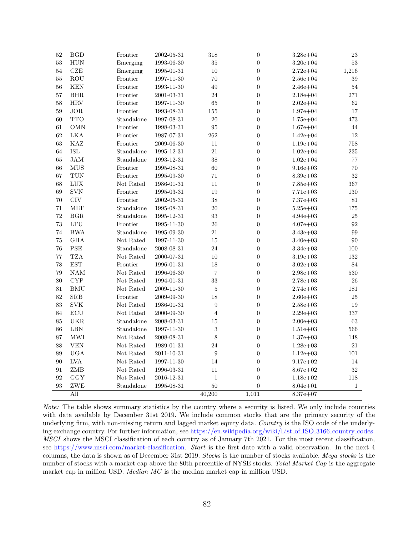| 52                | <b>BGD</b>           | Frontier   | 2002-05-31 | 318                     | $\boldsymbol{0}$ | $3.28e + 04$ | 23           |
|-------------------|----------------------|------------|------------|-------------------------|------------------|--------------|--------------|
| 53                | <b>HUN</b>           | Emerging   | 1993-06-30 | $35\,$                  | $\boldsymbol{0}$ | $3.20e + 04$ | $53\,$       |
| 54                | $CZE$                | Emerging   | 1995-01-31 | 10                      | $\overline{0}$   | $2.72e + 04$ | 1,216        |
| 55                | <b>ROU</b>           | Frontier   | 1997-11-30 | 70                      | $\overline{0}$   | $2.56e + 04$ | 39           |
| 56                | <b>KEN</b>           | Frontier   | 1993-11-30 | 49                      | $\boldsymbol{0}$ | $2.46e + 04$ | 54           |
| 57                | <b>BHR</b>           | Frontier   | 2001-03-31 | 24                      | $\overline{0}$   | $2.18e + 04$ | 271          |
| 58                | <b>HRV</b>           | Frontier   | 1997-11-30 | 65                      | $\boldsymbol{0}$ | $2.02e + 04$ | 62           |
| 59                | $_{\rm JOR}$         | Frontier   | 1993-08-31 | $155\,$                 | $\boldsymbol{0}$ | $1.97e + 04$ | 17           |
| 60                | <b>TTO</b>           | Standalone | 1997-08-31 | 20                      | 0                | $1.75e + 04$ | 473          |
| 61                | <b>OMN</b>           | Frontier   | 1998-03-31 | 95                      | $\boldsymbol{0}$ | $1.67e + 04$ | 44           |
| 62                | <b>LKA</b>           | Frontier   | 1987-07-31 | 262                     | $\boldsymbol{0}$ | $1.42e + 04$ | 12           |
| 63                | KAZ                  | Frontier   | 2009-06-30 | $11\,$                  | $\boldsymbol{0}$ | $1.19e + 04$ | 758          |
| 64                | ISL                  | Standalone | 1995-12-31 | 21                      | $\boldsymbol{0}$ | $1.02e + 04$ | $235\,$      |
| 65                | $_{\rm JAM}$         | Standalone | 1993-12-31 | 38                      | $\boldsymbol{0}$ | $1.02e + 04$ | $77\,$       |
| 66                | ${\rm MUS}$          | Frontier   | 1995-08-31 | 60                      | $\boldsymbol{0}$ | $9.16e + 03$ | 70           |
| 67                | <b>TUN</b>           | Frontier   | 1995-09-30 | $71\,$                  | $\boldsymbol{0}$ | $8.39e + 03$ | $32\,$       |
| 68                | <b>LUX</b>           | Not Rated  | 1986-01-31 | 11                      | $\boldsymbol{0}$ | $7.85e + 03$ | 367          |
| 69                | <b>SVN</b>           | Frontier   | 1995-03-31 | 19                      | $\overline{0}$   | $7.71e + 03$ | 130          |
| 70                | <b>CIV</b>           | Frontier   | 2002-05-31 | 38                      | $\boldsymbol{0}$ | $7.37e + 03$ | 81           |
| 71                | <b>MLT</b>           | Standalone | 1995-08-31 | 20                      | $\boldsymbol{0}$ | $5.25e + 03$ | 175          |
| 72                | BGR                  | Standalone | 1995-12-31 | 93                      | $\boldsymbol{0}$ | $4.94e + 03$ | 25           |
| 73                | LTU                  | Frontier   | 1995-11-30 | 26                      | $\boldsymbol{0}$ | $4.07e + 03$ | 92           |
| 74                | <b>BWA</b>           | Standalone | 1995-09-30 | 21                      | $\boldsymbol{0}$ | $3.43e + 03$ | 99           |
| 75                | <b>GHA</b>           | Not Rated  | 1997-11-30 | $15\,$                  | $\boldsymbol{0}$ | $3.40e + 03$ | 90           |
| 76                | <b>PSE</b>           | Standalone | 2008-08-31 | 24                      | $\boldsymbol{0}$ | $3.34e + 03$ | 100          |
| 77                | <b>TZA</b>           | Not Rated  | 2000-07-31 | $10\,$                  | $\boldsymbol{0}$ | $3.19e + 03$ | 132          |
| 78                | <b>EST</b>           | Frontier   | 1996-01-31 | 18                      | $\boldsymbol{0}$ | $3.02e + 03$ | 84           |
| 79                | NAM                  | Not Rated  | 1996-06-30 | $\overline{\mathbf{7}}$ | $\boldsymbol{0}$ | $2.98e + 03$ | 530          |
| 80                | <b>CYP</b>           | Not Rated  | 1994-01-31 | 33                      | $\boldsymbol{0}$ | $2.78e + 03$ | 26           |
| 81                | <b>BMU</b>           | Not Rated  | 2009-11-30 | $\bf 5$                 | $\boldsymbol{0}$ | $2.74e + 03$ | 181          |
| 82                | SRB                  | Frontier   | 2009-09-30 | 18                      | $\boldsymbol{0}$ | $2.60e + 03$ | $25\,$       |
| 83                | <b>SVK</b>           | Not Rated  | 1986-01-31 | $\boldsymbol{9}$        | $\boldsymbol{0}$ | $2.58e + 03$ | 19           |
| 84                | $\operatorname{ECU}$ | Not Rated  | 2000-09-30 | $\,4\,$                 | $\boldsymbol{0}$ | $2.29e + 03$ | 337          |
| 85                | <b>UKR</b>           | Standalone | 2008-03-31 | 15                      | $\overline{0}$   | $2.00e + 03$ | 63           |
| 86                | ${\rm LBN}$          | Standalone | 1997-11-30 | $\sqrt{3}$              | $\boldsymbol{0}$ | $1.51e + 03$ | 566          |
| 87                | <b>MWI</b>           | Not Rated  | 2008-08-31 | 8                       | $\boldsymbol{0}$ | $1.37e + 03$ | 148          |
| 88                | <b>VEN</b>           | Not Rated  | 1989-01-31 | 24                      | $\boldsymbol{0}$ | $1.28e + 03$ | 21           |
| 89                | <b>UGA</b>           | Not Rated  | 2011-10-31 | 9                       | 0                | $1.12e + 03$ | 101          |
| 90                | <b>LVA</b>           | Not Rated  | 1997-11-30 | 14                      | $\boldsymbol{0}$ | $9.17e + 02$ | 14           |
| 91                | ZMB                  | Not Rated  | 1996-03-31 | 11                      | 0                | $8.67e + 02$ | $32\,$       |
| 92                | GGY                  | Not Rated  | 2016-12-31 | $\,1\,$                 | $\boldsymbol{0}$ | $1.18e + 02$ | 118          |
| $\boldsymbol{93}$ | ZWE                  | Standalone | 1995-08-31 | $50\,$                  | $\boldsymbol{0}$ | $8.04e + 01$ | $\mathbf{1}$ |
|                   | All                  |            |            | 40,200                  | 1,011            | $8.37e + 07$ |              |

Note: The table shows summary statistics by the country where a security is listed. We only include countries with data available by December 31st 2019. We include common stocks that are the primary security of the underlying firm, with non-missing return and lagged market equity data. Country is the ISO code of the underlying exchange country. For further information, see [https://en.wikipedia.org/wiki/List](https://en.wikipedia.org/wiki/List_of_ISO_3166_country_codes)\_of\_ISO\_3166\_country\_codes. MSCI shows the MSCI classification of each country as of January 7th 2021. For the most recent classification, see [https://www.msci.com/market-classification.](https://www.msci.com/market-classification) Start is the first date with a valid observation. In the next 4 columns, the data is shown as of December 31st 2019. Stocks is the number of stocks available. Mega stocks is the number of stocks with a market cap above the 80th percentile of NYSE stocks. Total Market Cap is the aggregate market cap in million USD. Median MC is the median market cap in million USD.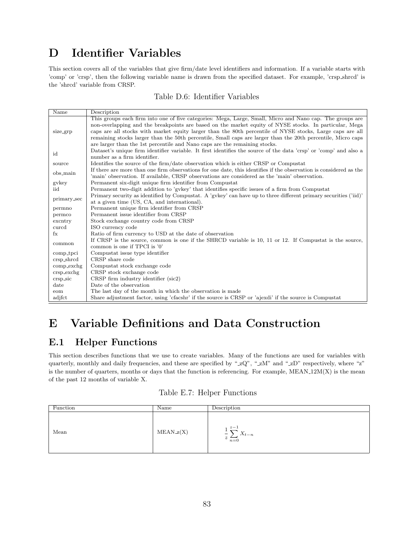# D Identifier Variables

This section covers all of the variables that give firm/date level identifiers and information. If a variable starts with 'comp' or 'crsp', then the following variable name is drawn from the specified dataset. For example, 'crsp shrcd' is the 'shrcd' variable from CRSP.

#### Table D.6: Identifier Variables

| Name<br>Description                                                                                                             |  |
|---------------------------------------------------------------------------------------------------------------------------------|--|
| This groups each firm into one of five categories: Mega, Large, Small, Micro and Nano cap. The groups are                       |  |
| non-overlapping and the breakpoints are based on the market equity of NYSE stocks. In particular, Mega                          |  |
| caps are all stocks with market equity larger than the 80th percentile of NYSE stocks, Large caps are all<br>size_grp           |  |
| remaining stocks larger than the 50th percentile, Small caps are larger than the 20th percentile, Micro caps                    |  |
| are larger than the 1st percentile and Nano caps are the remaining stocks.                                                      |  |
| Dataset's unique firm identifier variable. It first identifies the source of the data 'crsp' or 'comp' and also a<br>id         |  |
| number as a firm identifier.                                                                                                    |  |
| Identifies the source of the firm/date observation which is either CRSP or Compustat<br>source                                  |  |
| If there are more than one firm observations for one date, this identifies if the observation is considered as the<br>obs_main  |  |
| 'main' observation. If available, CRSP observations are considered as the 'main' observation.                                   |  |
| gvkey<br>Permanent six-digit unique firm identifier from Compustat                                                              |  |
| Permanent two-digit addition to 'gykey' that identifies specific issues of a firm from Compustat<br>iid                         |  |
| Primary security as identified by Compustat. A 'gykey' can have up to three different primary securities ('iid)'<br>primary_sec |  |
| at a given time (US, CA, and international).                                                                                    |  |
| Permanent unique firm identifier from CRSP<br>permno                                                                            |  |
| Permanent issue identifier from CRSP<br>permco                                                                                  |  |
| Stock exchange country code from CRSP<br>excntry                                                                                |  |
| ISO currency code<br>curcd                                                                                                      |  |
| Ratio of firm currency to USD at the date of observation<br>$f_{\rm X}$                                                         |  |
| If CRSP is the source, common is one if the SHRCD variable is 10, 11 or 12. If Compustat is the source,<br>common               |  |
| common is one if TPCI is $'0'$                                                                                                  |  |
| Compustat issue type identifier<br>comp_tpci                                                                                    |  |
| CRSP share code<br>crsp_shrcd                                                                                                   |  |
| Compustat stock exchange code<br>$comp\_exchg$                                                                                  |  |
| CRSP stock exchange code<br>$crsp\_exchg$                                                                                       |  |
| CRSP firm industry identifier (sic2)<br>crsp_sic                                                                                |  |
| Date of the observation<br>date                                                                                                 |  |
| The last day of the month in which the observation is made<br>eom                                                               |  |
| Share adjustment factor, using 'cfacshr' if the source is CRSP or 'ajexdi' if the source is Compustat<br>adjfct                 |  |

# E Variable Definitions and Data Construction

## E.1 Helper Functions

This section describes functions that we use to create variables. Many of the functions are used for variables with quarterly, monthly and daily frequencies, and these are specified by " $zQ$ ", " $zM$ " and " $zD$ " respectively, where "z" is the number of quarters, months or days that the function is referencing. For example, MEAN 12M(X) is the mean of the past 12 months of variable X.

|  |  |  | Table E.7: Helper Functions |
|--|--|--|-----------------------------|
|--|--|--|-----------------------------|

| Function | Name        | Description                                                                                   |
|----------|-------------|-----------------------------------------------------------------------------------------------|
| Mean     | $MEAN_z(X)$ | $z-1$<br><b>.</b><br>$\overline{\phantom{a}}$<br>$\Lambda_{t-n}$<br>$\boldsymbol{z}$<br>$n=0$ |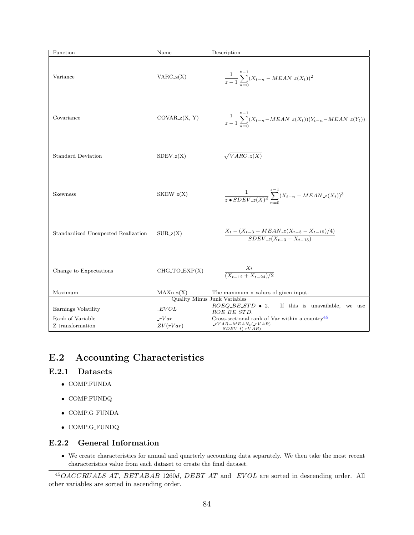| Function                             | Name                  | Description                                                                                    |
|--------------------------------------|-----------------------|------------------------------------------------------------------------------------------------|
| Variance                             | $VARC_z(X)$           | $\frac{1}{z-1}\sum_{n=0}^{z-1}(X_{t-n}-MEAN.z(X_t))^2$                                         |
| Covariance                           | $COVAR_z(X, Y)$       | $\frac{1}{z-1}\sum_{n=0}^{z-1}(X_{t-n}-MEAN.z(X_t))(Y_{t-n}-MEAN.z(Y_t))$                      |
| <b>Standard Deviation</b>            | $SDEV_z(X)$           | $\sqrt{VARC_z(X)}$                                                                             |
| Skewness                             | $SKEW_z(X)$           | $\frac{1}{z \cdot SDEV_{z}(X)^{3}} \sum_{n=0}^{z-1} (X_{t-n} - MEAN_{z}(X_{t}))^{3}$           |
| Standardized Unexpected Realization  | $SUB_z(X)$            | $\frac{X_t - (X_{t-3} + MEAN_z(X_{t-3} - X_{t-15})/4)}{SDEV_z(X_{t-3} - X_{t-15})}$            |
| Change to Expectations               | $CHG\_TO\_EXP(X)$     | $\frac{X_t}{(X_{t-12} + X_{t-24})/2}$                                                          |
| Maximum                              | $MAXn_z(X)$           | The maximum n values of given input.                                                           |
|                                      |                       | Quality Minus Junk Variables                                                                   |
| Earnings Volatility                  | EVOL                  | $ROEQ_BE_STD \bullet 2.$<br>If this is unavailable,<br>we use<br>ROE_BE_STD.                   |
| Rank of Variable<br>Z transformation | $_{rVar}$<br>ZV(rVar) | Cross-sectional rank of Var within a country $45$<br>$rVAR-MEAN_t$ $(rVAR)$<br>$SDEV_t(-rVAR)$ |

## E.2 Accounting Characteristics

#### E.2.1 Datasets

- COMP.FUNDA
- COMP.FUNDQ
- COMP.G FUNDA
- COMP.G FUNDQ

#### E.2.2 General Information

• We create characteristics for annual and quarterly accounting data separately. We then take the most recent characteristics value from each dataset to create the final dataset.

<sup>45</sup>OACCRUALS AT, BET ABAB 1260d, DEBT AT and EV OL are sorted in descending order. All other variables are sorted in ascending order.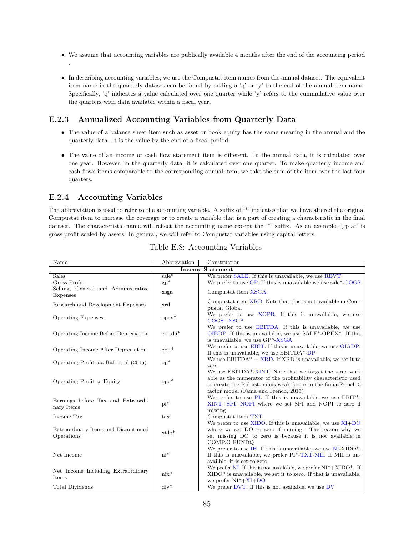- We assume that accounting variables are publically available 4 months after the end of the accounting period .
- In describing accounting variables, we use the Compustat item names from the annual dataset. The equivalent item name in the quarterly dataset can be found by adding a 'q' or 'y' to the end of the annual item name. Specifically, 'q' indicates a value calculated over one quarter while 'y' refers to the cummulative value over the quarters with data available within a fiscal year.

#### E.2.3 Annualized Accounting Variables from Quarterly Data

- The value of a balance sheet item such as asset or book equity has the same meaning in the annual and the quarterly data. It is the value by the end of a fiscal period.
- The value of an income or cash flow statement item is different. In the annual data, it is calculated over one year. However, in the quarterly data, it is calculated over one quarter. To make quarterly income and cash flows items comparable to the corresponding annual item, we take the sum of the item over the last four quarters.

#### E.2.4 Accounting Variables

The abbreviation is used to refer to the accounting variable. A suffix of '\*' indicates that we have altered the original Compustat item to increase the coverage or to create a variable that is a part of creating a characteristic in the final dataset. The characteristic name will reflect the accounting name except the '\*' suffix. As an example, 'gp\_at' is gross profit scaled by assets. In general, we will refer to Compustat variables using capital letters.

| Name                                               | Abbreviation     | Construction                                                                                                                                                                                                                     |  |  |
|----------------------------------------------------|------------------|----------------------------------------------------------------------------------------------------------------------------------------------------------------------------------------------------------------------------------|--|--|
| <b>Income Statement</b>                            |                  |                                                                                                                                                                                                                                  |  |  |
| <b>Sales</b>                                       | $sale*$          | We prefer SALE. If this is unavailable, we use REVT                                                                                                                                                                              |  |  |
| Gross Profit                                       | $gp^*$           | We prefer to use GP. If this is unavailable we use sale*-COGS                                                                                                                                                                    |  |  |
| Selling, General and Administrative                | xsga             | Compustat item XSGA                                                                                                                                                                                                              |  |  |
| Expenses                                           |                  |                                                                                                                                                                                                                                  |  |  |
| Research and Development Expenses                  | xrd              | Compustat item XRD. Note that this is not available in Com-<br>pustat Global                                                                                                                                                     |  |  |
| <b>Operating Expenses</b>                          | $opex*$          | We prefer to use XOPR. If this is unavailable, we use<br>$COGS+XSGA$                                                                                                                                                             |  |  |
| Operating Income Before Depreciation               | $ebitda*$        | We prefer to use EBITDA. If this is unavailable, we use<br>OIBDP. If this is unavailable, we use SALE*-OPEX*. If this<br>is unavailable, we use GP*-XSGA                                                                         |  |  |
| Operating Income After Depreciation                | $ebit*$          | We prefer to use <b>EBIT</b> . If this is unavailable, we use <b>OIADP</b> .<br>If this is unavailable, we use $EBITDA*-DP$                                                                                                      |  |  |
| Operating Profit ala Ball et al (2015)             | $\mathrm{op}^*$  | We use $EBITDA^* + XRD$ . If XRD is unavailable, we set it to<br>zero                                                                                                                                                            |  |  |
| Operating Profit to Equity                         | $\mathrm{ope}^*$ | We use EBITDA*-XINT. Note that we target the same vari-<br>able as the numerator of the profitability characteristic used<br>to create the Robust-minus weak factor in the fama-French 5<br>factor model (Fama and French, 2015) |  |  |
| Earnings before Tax and Extraordi-<br>nary Items   | $pi^*$           | We prefer to use PI. If this is unavailable we use EBIT*-<br>XINT+SPI+NOPI where we set SPI and NOPI to zero if<br>missing                                                                                                       |  |  |
| Income Tax                                         | tax              | Compustat item TXT                                                                                                                                                                                                               |  |  |
| Extraordinary Items and Discontinued<br>Operations | xido*            | We prefer to use $XIDO$ . If this is unavailable, we use $XI+DO$<br>where we set DO to zero if missing. The reason why we<br>set missing DO to zero is because it is not available in                                            |  |  |
| Net Income                                         | $ni^*$           | COMP.G_FUNDQ<br>We prefer to use IB. If this is unavailable, we use $NI-XIDO^*$ .<br>If this is unavailable, we prefer PI <sup>*</sup> -TXT-MII. If MII is un-<br>availble, it is set to zero                                    |  |  |
| Net Income Including Extraordinary<br>Items        | $nix^*$          | We prefer NI. If this is not available, we prefer $NI^*+XIDO^*$ . If<br>$XIDO*$ is unavailable, we set it to zero. If that is unavailable,<br>we prefer $NI^*+XI+DO$                                                             |  |  |
| Total Dividends                                    | $div^*$          | We prefer DVT. If this is not available, we use DV                                                                                                                                                                               |  |  |

|  | Table E.8: Accounting Variables |  |
|--|---------------------------------|--|
|--|---------------------------------|--|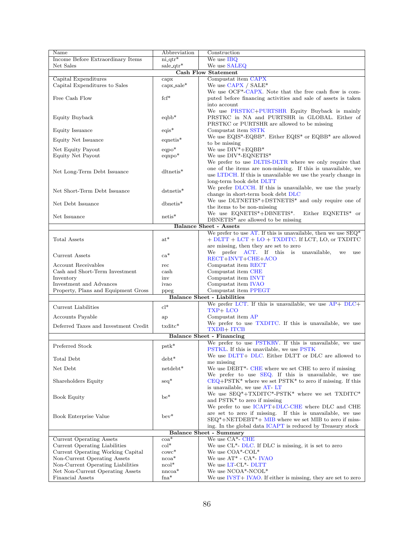| Name                                       | Abbreviation         | Construction                                                                     |  |
|--------------------------------------------|----------------------|----------------------------------------------------------------------------------|--|
| Income Before Extraordinary Items          | $ni_{\text{atr}}$    | We use IBQ                                                                       |  |
| Net Sales                                  | $sale_q$ gtr*        | We use SALEQ                                                                     |  |
|                                            |                      | <b>Cash Flow Statement</b>                                                       |  |
| Capital Expenditures                       | $c$ apx              | Compustat item CAPX                                                              |  |
| Capital Expenditures to Sales              | $\text{capx\_sale*}$ | We use $CAPX / SALE*$                                                            |  |
|                                            |                      | We use OCF <sup>*</sup> -CAPX. Note that the free cash flow is com-              |  |
| Free Cash Flow                             | $fcf^*$              | puted before financing activities and sale of assets is taken                    |  |
|                                            |                      | into account                                                                     |  |
|                                            |                      | We use PRSTKC+PURTSHR Equity Buyback is mainly                                   |  |
| Equity Buyback                             | $eqbb*$              | PRSTKC in NA and PURTSHR in GLOBAL. Either of                                    |  |
|                                            |                      | PRSTKC or PURTSHR are allowed to be missing                                      |  |
| Equity Issuance                            | $eqis*$              | Compustat item SSTK                                                              |  |
| Equity Net Issuance                        | $e$ qnetis*          | We use $EQIS^*$ -EQBB*. Either $EQIS^*$ or $EQBB^*$ are allowed                  |  |
|                                            |                      | to be missing                                                                    |  |
| Net Equity Payout                          | $eqpo*$              | We use $DIV*+EQBB*$                                                              |  |
| Equity Net Payout                          | $eqnpo*$             | We use DIV*-EQNETIS*                                                             |  |
|                                            |                      | We prefer to use DLTIS-DLTR where we only require that                           |  |
| Net Long-Term Debt Issuance                | $d$ ltnetis*         | one of the items are non-missing. If this is unavailable, we                     |  |
|                                            |                      | use LTDCH. If this is unavailable we use the yearly change in                    |  |
|                                            |                      | long-term book debt DLTT                                                         |  |
| Net Short-Term Debt Issuance               | dstnetis*            | We prefer DLCCH. If this is unavailable, we use the yearly                       |  |
|                                            |                      | change in short-term book debt DLC                                               |  |
| Net Debt Issuance                          | $d$ bnetis*          | We use DLTNETIS*+DSTNETIS* and only require one of                               |  |
|                                            |                      | the items to be non-missing                                                      |  |
| Net Issuance                               | $netis*$             | We use $\textsc{EQNETIS}^*+\textsc{DBNETIS}^*.$<br>Either EQNETIS* or            |  |
|                                            |                      | $DBNETIS^*$ are allowed to be missing<br><b>Balance Sheet - Assets</b>           |  |
|                                            |                      |                                                                                  |  |
|                                            | $\mathrm{at}^*$      | We prefer to use AT. If this is unavailable, then we use $SEQ^*$                 |  |
| Total Assets                               |                      | $+$ DLTT $+$ LCT $+$ LO $+$ TXDITC. If LCT, LO, or TXDITC                        |  |
|                                            |                      | are missing, then they are set to zero<br>We prefer ACT. If this is unavailable, |  |
| Current Assets                             | $ca*$                | we<br>use<br>RECT+INVT+CHE+ACO                                                   |  |
| Account Receivables                        | rec                  | Compustat item RECT                                                              |  |
| Cash and Short-Term Investment             | cash                 | Compustat item CHE                                                               |  |
| Inventory                                  | inv                  | Compustat item INVT                                                              |  |
| Investment and Advances                    | ivao                 | Compustat item IVAO                                                              |  |
| Property, Plans and Equipment Gross        |                      | Compustat item PPEGT                                                             |  |
| ppeg<br><b>Balance Sheet - Liabilities</b> |                      |                                                                                  |  |
|                                            |                      | We prefer LCT. If this is unavailable, we use AP+ DLC+                           |  |
| Current Liabilities                        | $cl^*$               | TXP+LCO                                                                          |  |
| Accounts Payable                           | ap                   | Compustat item AP                                                                |  |
|                                            |                      | We prefer to use TXDITC. If this is unavailable, we use                          |  |
| Deferred Taxes and Investment Credit       | txditc*              | TXDB+ ITCB                                                                       |  |
|                                            |                      | <b>Balance Sheet - Financing</b>                                                 |  |
|                                            |                      | We prefer to use PSTKRV. If this is unavailable, we use                          |  |
| Preferred Stock                            | $pstk*$              | PSTKL. If this is unavilable, we use PSTK                                        |  |
|                                            |                      | We use DLTT+ DLC. Either DLTT or DLC are allowed to                              |  |
| Total Debt                                 | $debt*$              | me missing                                                                       |  |
| Net Debt                                   | $net debt*$          | We use DEBT*- CHE where we set CHE to zero if missing                            |  |
|                                            |                      | We prefer to use SEQ. If this is unavailable, we use                             |  |
| Shareholders Equity                        | $\text{seq}^*$       | $CEQ + PSTK^*$ where we set $PSTK^*$ to zero if missing. If this                 |  |
|                                            |                      | is unavailable, we use AT-LT                                                     |  |
|                                            |                      | We use $SEQ^*+TXDITC^*-PSTK^*$ where we set $TXDITC^*$                           |  |
| Book Equity                                | $be*$                | and PSTK <sup>*</sup> to zero if missing                                         |  |
|                                            |                      | We prefer to use ICAPT+DLC-CHE where DLC and CHE                                 |  |
|                                            | $bev^*$              | are set to zero if missing. If this is unavailable, we use                       |  |
| Book Enterprise Value                      |                      | $SEQ^*$ +NETDEBT <sup>*</sup> + MIB where we set MIB to zero if miss-            |  |
|                                            |                      | ing. In the global data ICAPT is reduced by Treasury stock                       |  |
| <b>Balance Sheet - Summary</b>             |                      |                                                                                  |  |
| <b>Current Operating Assets</b>            | $\cos^*$             | We use CA <sup>*</sup> - CHE                                                     |  |
| Current Operating Liabilities              | $col^*$              | We use $CL^*$ - DLC. If DLC is missing, it is set to zero                        |  |
| Current Operating Working Capital          | $\text{convc}^*$     | We use COA*-COL*                                                                 |  |
| Non-Current Operating Assets               | $n \text{coa}^*$     | We use $AT^*$ - $CA^*$ - IVAO                                                    |  |
| Non-Current Operating Liabilities          | $ncol*$              | We use LT-CL*- DLTT                                                              |  |
| Net Non-Current Operating Assets           | $nncoa*$             | We use NCOA*-NCOL*                                                               |  |
| <b>Financial Assets</b>                    | $fna*$               | We use IVST+ IVAO. If either is missing, they are set to zero                    |  |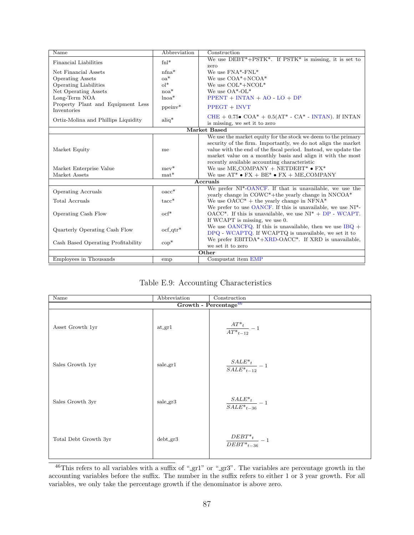| We use $DEBT^*+PSTK^*$ . If $PSTK^*$ is missing, it is set to<br>$fn$ <sup>*</sup><br>Financial Liabilities<br>zero<br>We use $\text{FNA*-FNL*}$<br>$n$ fna $*$<br>Net Financial Assets<br>$oa^*$<br>We use $COA^*+NCOA^*$<br><b>Operating Assets</b><br>$ol^*$<br>We use $COL^*+NCOL^*$<br>Operating Liabilities<br>$noa*$<br>We use $OA*-OL*$<br>Net Operating Assets<br>Long-Term NOA<br>$l$ noa $*$<br>$PPENT + INTAN + AO - LO + DP$<br>Property Plant and Equipment Less<br>$ppeinv*$<br>$PPECT + INVT$<br>Inventories<br>CHE + $0.75\bullet$ COA* + $0.5(AT^* - CA^* - INTAN)$ . If INTAN<br>$aliq^*$<br>Ortiz-Molina and Phillips Liquidity<br>is missing, we set it to zero<br>Market Based<br>We use the market equity for the stock we deem to the primary<br>security of the firm. Importantly, we do not align the market<br>value with the end of the fiscal period. Instead, we update the<br>Market Equity<br>me<br>market value on a monthly basis and align it with the most<br>recently available accounting characteristic<br>We use ME_COMPANY + NETDEBT* $\bullet$ FX*<br>Market Enterprise Value<br>$mev^*$<br>We use $AT^* \bullet FX + BE^* \bullet FX + ME\_COMPANY$<br>Market Assets<br>$mat*$<br>Accruals<br>We prefer NI <sup>*</sup> -OANCF. If that is unavailable, we use the<br>$\mathrm{oacc}^*$<br><b>Operating Accruals</b><br>yearly change in COWC <sup>*</sup> +the yearly change in NNCOA <sup>*</sup><br>We use $OACC^*$ + the yearly change in NFNA*<br>Total Accruals<br>$tacc*$<br>We prefer to use OANCF. If this is unavailable, we use $NI^*$ -<br>$ocf^*$<br>$OACC^*$ . If this is unavailable, we use $NI^* + DP - WCAPT$ .<br>Operating Cash Flow<br>If WCAPT is missing, we use 0.<br>We use OANCFQ. If this is unavailable, then we use $IBQ +$<br>Quarterly Operating Cash Flow<br>$ocf_q$ tr <sup>*</sup><br>DPQ - WCAPTQ. If WCAPTQ is unavailable, we set it to<br>We prefer $EBITDA*+XRD-OACC*$ . If XRD is unavailable,<br>$\mathrm{cop}^*$<br>Cash Based Operating Profitability<br>we set it to zero<br>Other | Name                   | Abbreviation | Construction       |  |  |
|---------------------------------------------------------------------------------------------------------------------------------------------------------------------------------------------------------------------------------------------------------------------------------------------------------------------------------------------------------------------------------------------------------------------------------------------------------------------------------------------------------------------------------------------------------------------------------------------------------------------------------------------------------------------------------------------------------------------------------------------------------------------------------------------------------------------------------------------------------------------------------------------------------------------------------------------------------------------------------------------------------------------------------------------------------------------------------------------------------------------------------------------------------------------------------------------------------------------------------------------------------------------------------------------------------------------------------------------------------------------------------------------------------------------------------------------------------------------------------------------------------------------------------------------------------------------------------------------------------------------------------------------------------------------------------------------------------------------------------------------------------------------------------------------------------------------------------------------------------------------------------------------------------------------------------------------------------------------------------------------------------------------------------------------------------------------------|------------------------|--------------|--------------------|--|--|
|                                                                                                                                                                                                                                                                                                                                                                                                                                                                                                                                                                                                                                                                                                                                                                                                                                                                                                                                                                                                                                                                                                                                                                                                                                                                                                                                                                                                                                                                                                                                                                                                                                                                                                                                                                                                                                                                                                                                                                                                                                                                           |                        |              |                    |  |  |
|                                                                                                                                                                                                                                                                                                                                                                                                                                                                                                                                                                                                                                                                                                                                                                                                                                                                                                                                                                                                                                                                                                                                                                                                                                                                                                                                                                                                                                                                                                                                                                                                                                                                                                                                                                                                                                                                                                                                                                                                                                                                           |                        |              |                    |  |  |
|                                                                                                                                                                                                                                                                                                                                                                                                                                                                                                                                                                                                                                                                                                                                                                                                                                                                                                                                                                                                                                                                                                                                                                                                                                                                                                                                                                                                                                                                                                                                                                                                                                                                                                                                                                                                                                                                                                                                                                                                                                                                           |                        |              |                    |  |  |
|                                                                                                                                                                                                                                                                                                                                                                                                                                                                                                                                                                                                                                                                                                                                                                                                                                                                                                                                                                                                                                                                                                                                                                                                                                                                                                                                                                                                                                                                                                                                                                                                                                                                                                                                                                                                                                                                                                                                                                                                                                                                           |                        |              |                    |  |  |
|                                                                                                                                                                                                                                                                                                                                                                                                                                                                                                                                                                                                                                                                                                                                                                                                                                                                                                                                                                                                                                                                                                                                                                                                                                                                                                                                                                                                                                                                                                                                                                                                                                                                                                                                                                                                                                                                                                                                                                                                                                                                           |                        |              |                    |  |  |
|                                                                                                                                                                                                                                                                                                                                                                                                                                                                                                                                                                                                                                                                                                                                                                                                                                                                                                                                                                                                                                                                                                                                                                                                                                                                                                                                                                                                                                                                                                                                                                                                                                                                                                                                                                                                                                                                                                                                                                                                                                                                           |                        |              |                    |  |  |
|                                                                                                                                                                                                                                                                                                                                                                                                                                                                                                                                                                                                                                                                                                                                                                                                                                                                                                                                                                                                                                                                                                                                                                                                                                                                                                                                                                                                                                                                                                                                                                                                                                                                                                                                                                                                                                                                                                                                                                                                                                                                           |                        |              |                    |  |  |
|                                                                                                                                                                                                                                                                                                                                                                                                                                                                                                                                                                                                                                                                                                                                                                                                                                                                                                                                                                                                                                                                                                                                                                                                                                                                                                                                                                                                                                                                                                                                                                                                                                                                                                                                                                                                                                                                                                                                                                                                                                                                           |                        |              |                    |  |  |
|                                                                                                                                                                                                                                                                                                                                                                                                                                                                                                                                                                                                                                                                                                                                                                                                                                                                                                                                                                                                                                                                                                                                                                                                                                                                                                                                                                                                                                                                                                                                                                                                                                                                                                                                                                                                                                                                                                                                                                                                                                                                           |                        |              |                    |  |  |
|                                                                                                                                                                                                                                                                                                                                                                                                                                                                                                                                                                                                                                                                                                                                                                                                                                                                                                                                                                                                                                                                                                                                                                                                                                                                                                                                                                                                                                                                                                                                                                                                                                                                                                                                                                                                                                                                                                                                                                                                                                                                           |                        |              |                    |  |  |
|                                                                                                                                                                                                                                                                                                                                                                                                                                                                                                                                                                                                                                                                                                                                                                                                                                                                                                                                                                                                                                                                                                                                                                                                                                                                                                                                                                                                                                                                                                                                                                                                                                                                                                                                                                                                                                                                                                                                                                                                                                                                           |                        |              |                    |  |  |
|                                                                                                                                                                                                                                                                                                                                                                                                                                                                                                                                                                                                                                                                                                                                                                                                                                                                                                                                                                                                                                                                                                                                                                                                                                                                                                                                                                                                                                                                                                                                                                                                                                                                                                                                                                                                                                                                                                                                                                                                                                                                           |                        |              |                    |  |  |
|                                                                                                                                                                                                                                                                                                                                                                                                                                                                                                                                                                                                                                                                                                                                                                                                                                                                                                                                                                                                                                                                                                                                                                                                                                                                                                                                                                                                                                                                                                                                                                                                                                                                                                                                                                                                                                                                                                                                                                                                                                                                           |                        |              |                    |  |  |
|                                                                                                                                                                                                                                                                                                                                                                                                                                                                                                                                                                                                                                                                                                                                                                                                                                                                                                                                                                                                                                                                                                                                                                                                                                                                                                                                                                                                                                                                                                                                                                                                                                                                                                                                                                                                                                                                                                                                                                                                                                                                           |                        |              |                    |  |  |
|                                                                                                                                                                                                                                                                                                                                                                                                                                                                                                                                                                                                                                                                                                                                                                                                                                                                                                                                                                                                                                                                                                                                                                                                                                                                                                                                                                                                                                                                                                                                                                                                                                                                                                                                                                                                                                                                                                                                                                                                                                                                           |                        |              |                    |  |  |
|                                                                                                                                                                                                                                                                                                                                                                                                                                                                                                                                                                                                                                                                                                                                                                                                                                                                                                                                                                                                                                                                                                                                                                                                                                                                                                                                                                                                                                                                                                                                                                                                                                                                                                                                                                                                                                                                                                                                                                                                                                                                           |                        |              |                    |  |  |
|                                                                                                                                                                                                                                                                                                                                                                                                                                                                                                                                                                                                                                                                                                                                                                                                                                                                                                                                                                                                                                                                                                                                                                                                                                                                                                                                                                                                                                                                                                                                                                                                                                                                                                                                                                                                                                                                                                                                                                                                                                                                           |                        |              |                    |  |  |
|                                                                                                                                                                                                                                                                                                                                                                                                                                                                                                                                                                                                                                                                                                                                                                                                                                                                                                                                                                                                                                                                                                                                                                                                                                                                                                                                                                                                                                                                                                                                                                                                                                                                                                                                                                                                                                                                                                                                                                                                                                                                           |                        |              |                    |  |  |
|                                                                                                                                                                                                                                                                                                                                                                                                                                                                                                                                                                                                                                                                                                                                                                                                                                                                                                                                                                                                                                                                                                                                                                                                                                                                                                                                                                                                                                                                                                                                                                                                                                                                                                                                                                                                                                                                                                                                                                                                                                                                           |                        |              |                    |  |  |
|                                                                                                                                                                                                                                                                                                                                                                                                                                                                                                                                                                                                                                                                                                                                                                                                                                                                                                                                                                                                                                                                                                                                                                                                                                                                                                                                                                                                                                                                                                                                                                                                                                                                                                                                                                                                                                                                                                                                                                                                                                                                           |                        |              |                    |  |  |
|                                                                                                                                                                                                                                                                                                                                                                                                                                                                                                                                                                                                                                                                                                                                                                                                                                                                                                                                                                                                                                                                                                                                                                                                                                                                                                                                                                                                                                                                                                                                                                                                                                                                                                                                                                                                                                                                                                                                                                                                                                                                           |                        |              |                    |  |  |
|                                                                                                                                                                                                                                                                                                                                                                                                                                                                                                                                                                                                                                                                                                                                                                                                                                                                                                                                                                                                                                                                                                                                                                                                                                                                                                                                                                                                                                                                                                                                                                                                                                                                                                                                                                                                                                                                                                                                                                                                                                                                           |                        |              |                    |  |  |
|                                                                                                                                                                                                                                                                                                                                                                                                                                                                                                                                                                                                                                                                                                                                                                                                                                                                                                                                                                                                                                                                                                                                                                                                                                                                                                                                                                                                                                                                                                                                                                                                                                                                                                                                                                                                                                                                                                                                                                                                                                                                           |                        |              |                    |  |  |
|                                                                                                                                                                                                                                                                                                                                                                                                                                                                                                                                                                                                                                                                                                                                                                                                                                                                                                                                                                                                                                                                                                                                                                                                                                                                                                                                                                                                                                                                                                                                                                                                                                                                                                                                                                                                                                                                                                                                                                                                                                                                           |                        |              |                    |  |  |
|                                                                                                                                                                                                                                                                                                                                                                                                                                                                                                                                                                                                                                                                                                                                                                                                                                                                                                                                                                                                                                                                                                                                                                                                                                                                                                                                                                                                                                                                                                                                                                                                                                                                                                                                                                                                                                                                                                                                                                                                                                                                           |                        |              |                    |  |  |
|                                                                                                                                                                                                                                                                                                                                                                                                                                                                                                                                                                                                                                                                                                                                                                                                                                                                                                                                                                                                                                                                                                                                                                                                                                                                                                                                                                                                                                                                                                                                                                                                                                                                                                                                                                                                                                                                                                                                                                                                                                                                           |                        |              |                    |  |  |
|                                                                                                                                                                                                                                                                                                                                                                                                                                                                                                                                                                                                                                                                                                                                                                                                                                                                                                                                                                                                                                                                                                                                                                                                                                                                                                                                                                                                                                                                                                                                                                                                                                                                                                                                                                                                                                                                                                                                                                                                                                                                           |                        |              |                    |  |  |
|                                                                                                                                                                                                                                                                                                                                                                                                                                                                                                                                                                                                                                                                                                                                                                                                                                                                                                                                                                                                                                                                                                                                                                                                                                                                                                                                                                                                                                                                                                                                                                                                                                                                                                                                                                                                                                                                                                                                                                                                                                                                           |                        |              |                    |  |  |
|                                                                                                                                                                                                                                                                                                                                                                                                                                                                                                                                                                                                                                                                                                                                                                                                                                                                                                                                                                                                                                                                                                                                                                                                                                                                                                                                                                                                                                                                                                                                                                                                                                                                                                                                                                                                                                                                                                                                                                                                                                                                           |                        |              |                    |  |  |
|                                                                                                                                                                                                                                                                                                                                                                                                                                                                                                                                                                                                                                                                                                                                                                                                                                                                                                                                                                                                                                                                                                                                                                                                                                                                                                                                                                                                                                                                                                                                                                                                                                                                                                                                                                                                                                                                                                                                                                                                                                                                           |                        |              |                    |  |  |
|                                                                                                                                                                                                                                                                                                                                                                                                                                                                                                                                                                                                                                                                                                                                                                                                                                                                                                                                                                                                                                                                                                                                                                                                                                                                                                                                                                                                                                                                                                                                                                                                                                                                                                                                                                                                                                                                                                                                                                                                                                                                           | Employees in Thousands | emp          | Compustat item EMP |  |  |

Table E.9: Accounting Characteristics

| Name                  | Abbreviation | Construction                             |
|-----------------------|--------------|------------------------------------------|
|                       |              | Growth - Percentage <sup>46</sup>        |
| Asset Growth 1yr      | atigr1       | $\frac{AT^*{}_{t}}{AT^*{}_{t-12}}-1$     |
| Sales Growth 1yr      | sale_gr1     | $\frac{SALE*_{t}}{SALE*_{t-12}}-1$       |
| Sales Growth 3yr      | sale_gr3     | $\frac{SALE*_{t}}{SALE*_{t-36}}-1$       |
| Total Debt Growth 3yr | $debt_gr3$   | $\frac{DEBT^*{}_{t}}{DEBT^*{}_{t-36}}-1$ |

<span id="page-87-0"></span> $46$ This refers to all variables with a suffix of "-gr1" or "-gr3". The variables are percentage growth in the accounting variables before the suffix. The number in the suffix refers to either 1 or 3 year growth. For all variables, we only take the percentage growth if the denominator is above zero.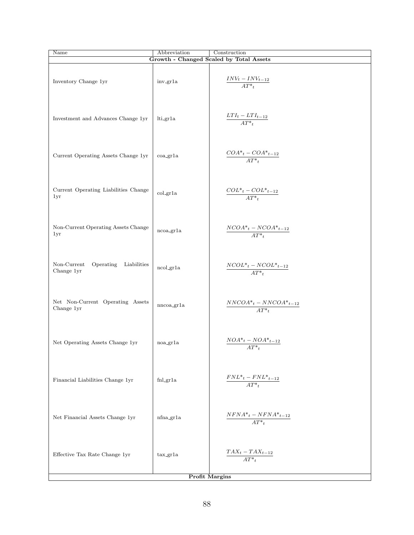| Name                                                  | Abbreviation            | Construction                                             |  |
|-------------------------------------------------------|-------------------------|----------------------------------------------------------|--|
|                                                       |                         | Growth - Changed Scaled by Total Assets                  |  |
| Inventory Change 1yr                                  | inv_gr1a                | $\frac{INV_{t} - INV_{t-12}}{AT^{*}_{t}}$                |  |
| Investment and Advances Change 1yr                    | lti_gr1a                | $\frac{LTI_{t}-LTI_{t-12}}{AT^{*}_{t}}$                  |  |
| Current Operating Assets Change 1yr                   | coa_gr1a                | $\frac{COA^*{}_{t}-COA^*{}_{t-12}}{AT^*{}_{t}}$          |  |
| Current Operating Liabilities Change<br>1yr           | col_gr1a                | $\frac{COL^*{}_{t}-COL^*{}_{t-12}}{AT^*{}_{t}}$          |  |
| Non-Current Operating Assets Change<br>1yr            | $ncoa_{\text{gr}}1a$    | $\frac{NCOA^*{}_{t}-NCOA^*{}_{t-12}}{AT^*{}_{t}}$        |  |
| Non-Current<br>Operating<br>Liabilities<br>Change 1yr | ncol_gr1a               | $\frac{NCOL^*{}_{t} - NCOL^*{}_{t-12}}{AT^*{}_{t}}$      |  |
| Net Non-Current Operating Assets<br>Change 1yr        | nncoa_gr1a              | $\frac{NNCOA*_{t}-NNCOA*_{t-12}}{AT*_{t}}$               |  |
| Net Operating Assets Change 1yr                       | noa_gr1a                | $\underline{NOA^*{}_{t}-NOA^*{}_{t-12}}$<br>$AT^*{}_{t}$ |  |
| Financial Liabilities Change 1yr                      | $fnl$ <sub>-gr</sub> 1a | $\frac{FNL^*{}_{t}-FNL^*{}_{t-12}}{AT^*{}_{t}}$          |  |
| Net Financial Assets Change 1yr                       | nfna_gr1a               | $\frac{NFNA_*^t - NFNA_*^{t}{}_{t-12}}{AT^*{}_{t}}$      |  |
| Effective Tax Rate Change 1yr                         | tax.gr1a                | $\frac{TAX_t-TAX_{t-12}}{AT*_t}$                         |  |
| <b>Profit Margins</b>                                 |                         |                                                          |  |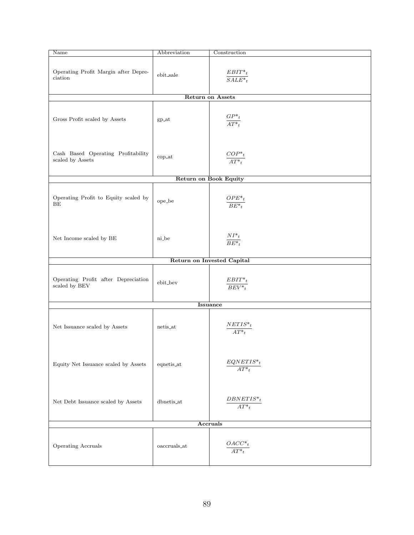| Name                                                   | Abbreviation             | Construction                         |  |  |
|--------------------------------------------------------|--------------------------|--------------------------------------|--|--|
| Operating Profit Margin after Depre-<br>ciation        | ebit_sale                | $\frac{EBIT^*{}_{t}}{SALE^*{}_{t}}$  |  |  |
|                                                        |                          | <b>Return on Assets</b>              |  |  |
| Gross Profit scaled by Assets                          | $gp$ <sub>-at</sub>      | $\frac{GP^*t}{AT^*{}_{t}}$           |  |  |
| Cash Based Operating Profitability<br>scaled by Assets | $\operatorname{cop\_at}$ | $\frac{COP^{*}{}_{t}}{AT^{*}{}_{t}}$ |  |  |
|                                                        |                          | <b>Return on Book Equity</b>         |  |  |
| Operating Profit to Equity scaled by<br>BE             | $ope\_be$                | $\frac{OPE^*{}_{t}}{BE^*{}_{t}}$     |  |  |
| Net Income scaled by BE                                | ni_be                    | $\frac{NI^*{}_{t}}{BE^*{}_{t}}$      |  |  |
|                                                        |                          | Return on Invested Capital           |  |  |
| Operating Profit after Depreciation<br>scaled by BEV   | ebit_bev                 | $\frac{EBIT^*{}_{t}}{BEV^*{}_{t}}$   |  |  |
| <b>Issuance</b>                                        |                          |                                      |  |  |
| Net Issuance scaled by Assets                          | netis_at                 | $NETIS*_{t}$<br>$AT^*{}_{t}$         |  |  |
| Equity Net Issuance scaled by Assets                   | eqnetis_at               | $EQNETIS*_{t}$<br>$AT^*{}_{t}$       |  |  |
| Net Debt Issuance scaled by Assets                     | dbnetis_at               | $DBNETIS^*{}_{t}$<br>$AT^*{}_{t}$    |  |  |
| <b>Accruals</b>                                        |                          |                                      |  |  |
| Operating Accruals                                     | $\mathtt{oaccruals}\_at$ | $OACC^*$<br>$\overline{AT^*_{t}}$    |  |  |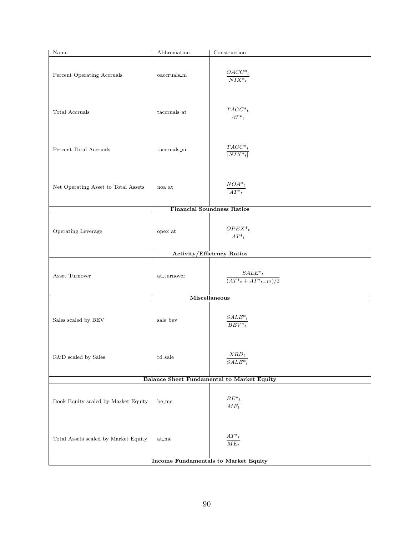| Name                                              | Abbreviation        | Construction                                  |  |
|---------------------------------------------------|---------------------|-----------------------------------------------|--|
| Percent Operating Accruals                        | oaccruals_ni        | $OACC^*{}_{t}$<br>$ NIX^*_{t} $               |  |
| Total Accruals                                    | taccruals_at        | $\frac{TACC^*{}_{t}}{AT^*{}_{t}}$             |  |
| Percent Total Accruals                            | taccruals_ni        | $TACC^*{}_{t}$<br>$\overline{ NIX^*_{t} }$    |  |
| Net Operating Asset to Total Assets               | noa_at              | $\frac{NOA^*{}_{t}}{AT^*{}_{t}}$              |  |
|                                                   |                     | <b>Financial Soundness Ratios</b>             |  |
| Operating Leverage                                | $opex\_at$          | $\frac{OPEX^*{}_{t}}{AT^*{}_{t}}$             |  |
|                                                   |                     | <b>Activity/Efficiency Ratios</b>             |  |
| Asset Turnover                                    | at_turnover         | $\frac{SALE^*_{t}}{(AT^*_{t}+AT^*_{t-12})/2}$ |  |
|                                                   |                     | Miscellaneous                                 |  |
| Sales scaled by BEV                               | sale_bev            | $\frac{SALE^*{}_{t}}{BEV^*{}_{t}}$            |  |
| ${\rm R\&D}$ scaled by Sales                      | $rd$ -sale          | $XRD_t$<br>$SALE*_{t}$                        |  |
| <b>Balance Sheet Fundamental to Market Equity</b> |                     |                                               |  |
| Book Equity scaled by Market Equity               | be_me               | $\frac{BE^{*}{}_{t}}{ME_{t}}$                 |  |
| Total Assets scaled by Market Equity              | $at$ <sub>-me</sub> | $\frac{AT^*t}{ME_t}$                          |  |
| <b>Income Fundamentals to Market Equity</b>       |                     |                                               |  |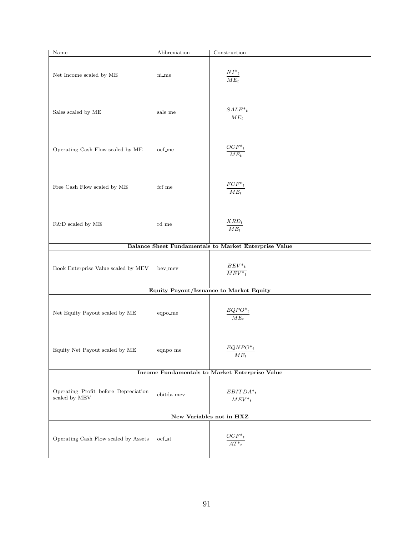| Name                                                  | Abbreviation        | Construction                                          |  |
|-------------------------------------------------------|---------------------|-------------------------------------------------------|--|
| Net Income scaled by ME                               | ni_me               | $\frac{NI^*{}_{t}}{ME_t}$                             |  |
| Sales scaled by ME                                    | sale_me             | $\frac{SALE^*{}_{t}}{ME_t}$                           |  |
| Operating Cash Flow scaled by ME                      | $\mathrm{ocf\_me}$  | $\frac{OCF^*t}{ME_t}$                                 |  |
| Free Cash Flow scaled by ME                           | fcf_me              | $\frac{FCF^*{}^t}{ME_t}$                              |  |
| $R\&D$ scaled by $ME$                                 | $rd$ <sub>-me</sub> | $\frac{XRD_t}{ME_t}$                                  |  |
|                                                       |                     | Balance Sheet Fundamentals to Market Enterprise Value |  |
| Book Enterprise Value scaled by MEV                   | bev_mev             | $\frac{BEV^*{}_{t}}{MEV^*{}_{t}}$                     |  |
|                                                       |                     | Equity Payout/Issuance to Market Equity               |  |
| Net Equity Payout scaled by ME                        | eqpo_me             | $\frac{EQPO^{*}{}_{t}}{ME_{t}}$                       |  |
| Equity Net Payout scaled by ME                        | eqnpo_me            | $EQNPO*_{t}$<br>$ME_t$                                |  |
| Income Fundamentals to Market Enterprise Value        |                     |                                                       |  |
| Operating Profit before Depreciation<br>scaled by MEV | $ebitda\_mev$       | $EBITDA*_t$<br>$\overline{MEV^*_{t}}$                 |  |
| New Variables not in HXZ                              |                     |                                                       |  |
| Operating Cash Flow scaled by Assets                  | ocf_at              | $\frac{OCF^*t}{AT^*{}_{t}}$                           |  |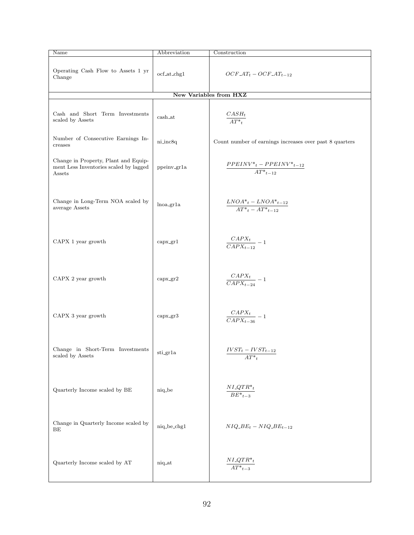| Name                                                                                                       | Abbreviation       | Construction                                                                                                                    |
|------------------------------------------------------------------------------------------------------------|--------------------|---------------------------------------------------------------------------------------------------------------------------------|
| Operating Cash Flow to Assets 1 yr<br>Change                                                               | $ocf\_at\_chg1$    | $OCF \_AT_t - OCF \_AT_{t-12}$                                                                                                  |
|                                                                                                            |                    | <b>New Variables from HXZ</b>                                                                                                   |
| Cash and Short Term Investments<br>scaled by Assets                                                        | cash_at            | $\frac{CASH_t}{AT^*{}_{t}}$                                                                                                     |
| Number of Consecutive Earnings In-<br>creases                                                              | ni_inc8q           | Count number of earnings increases over past 8 quarters                                                                         |
| Change in Property, Plant and Equip-<br>ment Less Inventories scaled by lagged<br>Assets                   | ppeinv_gr1a        | $\frac{PPEINV*_t - PPEINV*_t - 12}{AT*_t - 12}$                                                                                 |
| Change in Long-Term NOA scaled by<br>average Assets                                                        | lnoa_gr1a          | $\frac{LNOA*_t-LNOA*_t_{t-12}}{AT*_t-AT*_t_{t-12}}$                                                                             |
| CAPX 1 year growth                                                                                         | capx.gr1           | $\frac{CAPX_t}{CAPX_{t-12}} - 1$                                                                                                |
| CAPX 2 year growth                                                                                         | $\text{capx\_gr2}$ | $\frac{CAPX_t}{CAPX_{t-24}} - 1$                                                                                                |
| CAPX 3 year growth                                                                                         | $\text{capx\_gr3}$ | $\frac{CAPX_t}{CAPX_{t-36}}-1$                                                                                                  |
| $\begin{minipage}{.4\linewidth} Change & in & Short-Term & Investments \end{minipage}$<br>scaled by Assets | sti_gr1a           | $IVST_t - IVST_{t-12}$<br>$AT^*{}_{t}$                                                                                          |
| Quarterly Income scaled by BE                                                                              | niq_be             | $\underset{}{\text{N}}\underset{}{\text{L}}\underset{}{\text{Q}}\underset{}{\text{T}}\underset{}{\text{R}}^*$<br>$BE^*{}_{t-3}$ |
| Change in Quarterly Income scaled by<br>ВE                                                                 | niq_be_chg1        | $NIQ$ <sub>-B</sub> $E_t$ – $NIQ$ <sub>-B</sub> $E_{t-12}$                                                                      |
| Quarterly Income scaled by AT                                                                              | niq_at             | $\frac{NI\_QTR^*_{t}}{AT^*_{t-3}}$                                                                                              |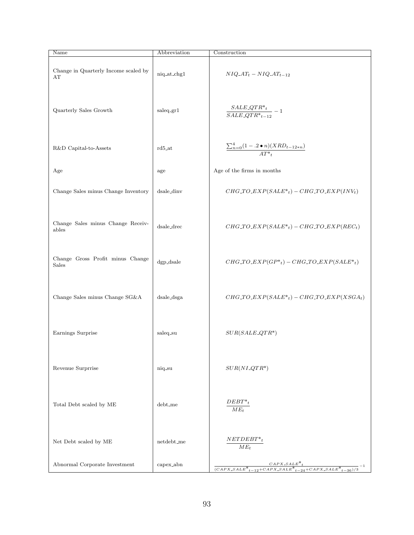| Name                                       | Abbreviation         | Construction                                                                                   |
|--------------------------------------------|----------------------|------------------------------------------------------------------------------------------------|
| Change in Quarterly Income scaled by<br>АΤ | $niq$ -at-chg $1$    | $NIQ.AT_t - NIQ.AT_{t-12}$                                                                     |
| Quarterly Sales Growth                     | saleq.gr1            | $\frac{SALE\_QTR^*_{t}}{SALE\_QTR^*_{t-12}}-1$                                                 |
| R&D Capital-to-Assets                      | $rd5$ <sub>-at</sub> | $\frac{\sum_{n=0}^{4}(1-.2\bullet n)(XRD_{t-12*n})}{AT^*}$                                     |
| Age                                        | age                  | Age of the firms in months                                                                     |
| Change Sales minus Change Inventory        | dsale_dinv           | $CHG\_TO\_EXP(SALE*_t) - CHG\_TO\_EXP(INV_t)$                                                  |
| Change Sales minus Change Receiv-<br>ables | $dsale\_tree$        | $CHG\_TO\_EXP(SALE*_t) - CHG\_TO\_EXP(REC_t)$                                                  |
| Change Gross Profit minus Change<br>Sales  | $dgp$ _dsale         | $CHG\_TO\_EXP(GP*_t) - CHG\_TO\_EXP(SALE*_t)$                                                  |
| Change Sales minus Change SG&A             | dsale_dsga           | $CHG\_TO\_EXP(SALE*_t) - CHG\_TO\_EXP(XSGA_t)$                                                 |
| Earnings Surprise                          | saleq_su             | $SUR(SALE_QTR^*)$                                                                              |
| Revenue Surprrise                          | niq_su               | $SUB(NI\_QTR*)$                                                                                |
| Total Debt scaled by ME                    | $debt$ <sub>me</sub> | $DEBT^*{}_{t}$<br>$ME_t$                                                                       |
| Net Debt scaled by ME                      | $net debt_m$ e       | $NETDEBT\mbox{\ensuremath{^*}}_t$<br>$ME_t$                                                    |
| Abnormal Corporate Investment              | capex_abn            | $\frac{CAPX\_SALE^*_{t}}{(CAPX\_SALE^*_{t-12}+CAPX\_SALE^*_{t-24}+CAPX\_SALE^*_{t-36})/3} - 1$ |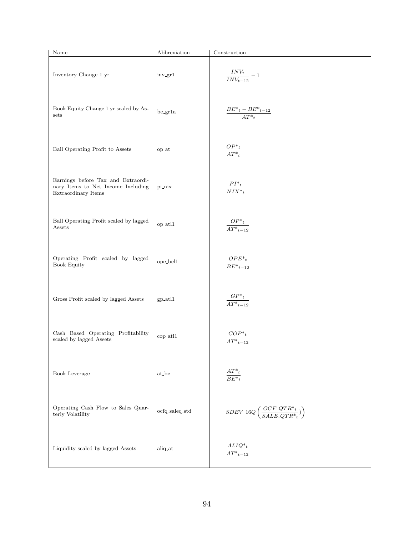| Name                                                                                            | Abbreviation               | Construction                                              |
|-------------------------------------------------------------------------------------------------|----------------------------|-----------------------------------------------------------|
| Inventory Change 1 yr                                                                           | inv_gr1                    | $\frac{INV_{t}}{INV_{t-12}}-1$                            |
| Book Equity Change 1 yr scaled by As-<br>sets                                                   | $\rm be\_gr1a$             | $BE^*{}_{t}-BE^*{}_{t-12}$<br>$AT^*{}_{t}$                |
| Ball Operating Profit to Assets                                                                 | op_at                      | $\frac{OP^*{}_{t}}{AT^*{}_{t}}$                           |
| Earnings before Tax and Extraordi-<br>nary Items to Net Income Including<br>Extraordinary Items | pi_nix                     | $PI^*{}_{t}$<br>$\overline{NIX^*_{t}}$                    |
| Ball Operating Profit scaled by lagged<br>Assets                                                | op_atl1                    | $OP^*_{\underline{t}}$<br>$\overline{AT^*_{t-12}}$        |
| Operating Profit scaled by lagged<br><b>Book Equity</b>                                         | ope_bel1                   | $OPE^*{}_{t}$<br>$\overline{BE^*_{t-12}}$                 |
| Gross Profit scaled by lagged Assets                                                            | $gp$ <sub>-atl</sub> $1$   | $GP*_t$<br>$\overline{AT^*_{t-12}}$                       |
| Cash Based Operating Profitability<br>scaled by lagged Assets                                   | cop_atl1                   |                                                           |
| Book Leverage                                                                                   | $\mathrm{at}\_\mathrm{be}$ | $AT^*{}_{t}$<br>$\overline{BE^*_{t}}$                     |
| Operating Cash Flow to Sales Quar-<br>terly Volatility                                          | $ocfq\_saleq\_std$         | $SDEV\_16Q\left(\frac{OCF\_QTR*_t}{SALE\_QTR*_t})\right)$ |
| Liquidity scaled by lagged Assets                                                               | aliq_at                    | $\frac{ALIQ^*{}_{t}}{AT^*{}_{t-12}}$                      |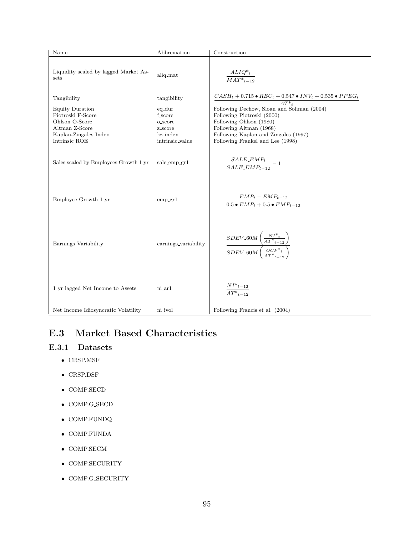| Name                                                                                                                              | Abbreviation                                                                            | Construction                                                                                                                                                                                                                                                                                              |
|-----------------------------------------------------------------------------------------------------------------------------------|-----------------------------------------------------------------------------------------|-----------------------------------------------------------------------------------------------------------------------------------------------------------------------------------------------------------------------------------------------------------------------------------------------------------|
| Liquidity scaled by lagged Market As-<br>sets                                                                                     | aliq_mat                                                                                | $\frac{ALIQ^*{}_{t}}{MAT^*{}_{t-12}}$                                                                                                                                                                                                                                                                     |
| Tangibility<br>Equity Duration<br>Piotroski F-Score<br>Ohlson O-Score<br>Altman Z-Score<br>Kaplan-Zingales Index<br>Intrinsic ROE | tangibility<br>$eq_dur$<br>f_score<br>o_score<br>z_score<br>kz_index<br>intrinsic_value | $CASH_t + 0.715 \bullet REC_t + 0.547 \bullet INV_t + 0.535 \bullet PPEG_t$<br>$AT^*{}_{t}$<br>Following Dechow, Sloan and Soliman (2004)<br>Following Piotroski (2000)<br>Following Ohlson (1980)<br>Following Altman (1968)<br>Following Kaplan and Zingales (1997)<br>Following Frankel and Lee (1998) |
| Sales scaled by Employees Growth 1 yr                                                                                             | sale_emp_gr1                                                                            | $\frac{SALE\_EMP_t}{SALE\_EMP_{t-12}}-1$                                                                                                                                                                                                                                                                  |
| Employee Growth 1 yr                                                                                                              | emp.gr1                                                                                 | $EMP_t - EMP_{t-12}$<br>$0.5 \bullet EMP_t + 0.5 \bullet EMP_{t-12}$                                                                                                                                                                                                                                      |
| Earnings Variability                                                                                                              | earnings_variability                                                                    | $\frac{SDEV\text{-}60M\left(\frac{NI^*}{AT^*_{t-12}}\right)}{SDEV\text{-}60M\left(\frac{OGF^*_{t}}{AT^*_{t-12}}\right)}$                                                                                                                                                                                  |
| 1 yr lagged Net Income to Assets                                                                                                  | ni_ar1                                                                                  | $\frac{NI^*{}_{t-12}}{AT^*{}_{t-12}}$                                                                                                                                                                                                                                                                     |
| Net Income Idiosyncratic Volatility                                                                                               | ni_ivol                                                                                 | Following Francis et al. (2004)                                                                                                                                                                                                                                                                           |

# E.3 Market Based Characteristics

#### E.3.1 Datasets

- $\bullet~$  CRSP.<br>MSF
- $\bullet~$  CRSP.<br>DSF
- COMP.SECD
- COMP.G SECD
- COMP.FUNDQ
- $\bullet~$  COMP.<br>FUNDA
- COMP.SECM
- COMP.SECURITY
- $\bullet$  COMP.G\_SECURITY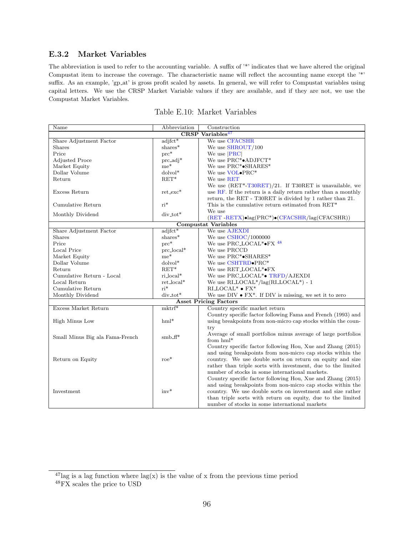#### E.3.2 Market Variables

The abbreviation is used to refer to the accounting variable. A suffix of '\*' indicates that we have altered the original Compustat item to increase the coverage. The characteristic name will reflect the accounting name except the '\*' suffix. As an example, 'gp at' is gross profit scaled by assets. In general, we will refer to Compustat variables using capital letters. We use the CRSP Market Variable values if they are available, and if they are not, we use the Compustat Market Variables.

| Name                            | Abbreviation              | Construction                                                                |  |
|---------------------------------|---------------------------|-----------------------------------------------------------------------------|--|
| $CRSP\ Variables47$             |                           |                                                                             |  |
| Share Adjustment Factor         | $adjft*$                  | We use CFACSHR                                                              |  |
| <b>Shares</b>                   | shares*                   | We use SHROUT/100                                                           |  |
| Price                           | $\text{prc}^*$            | We use $ {\rm PRC} $                                                        |  |
| <b>Adjusted Proce</b>           | $\text{prc}_\text{adj}^*$ | We use $PRC^* \bullet ADJFCT^*$                                             |  |
| Market Equity                   | $me^*$                    | We use PRC*•SHARES*                                                         |  |
| Dollar Volume                   | $dolvol^*$                | We use VOL.PRC*                                                             |  |
| Return                          | $RET^*$                   | We use RET                                                                  |  |
|                                 |                           | We use $(RET^*T30RET)/21$ . If T30RET is unavailable, we                    |  |
| Excess Return                   | $ret\_exc*$               | use $RF$ . If the return is a daily return rather than a monthly            |  |
|                                 |                           | return, the RET - T30RET is divided by 1 rather than 21.                    |  |
| Cumulative Return               | $ri^*$                    | This is the cumulative return estimated from RET*                           |  |
|                                 |                           | We use                                                                      |  |
| Monthly Dividend                | $div\_tot*$               | $(RET - RETX) \bullet lag(PRC^*) \bullet (CFACSHR / lag(CFACSHR))$          |  |
|                                 |                           | <b>Compustat Variables</b>                                                  |  |
| Share Adjustment Factor         | $adifct*$                 | We use AJEXDI                                                               |  |
| Shares                          | shares*                   | We use CSHOC/1000000                                                        |  |
| Price                           | $\operatorname{prc}^*$    | We use PRC_LOCAL*•FX 48                                                     |  |
| Local Price                     | $prc\_local*$             | We use PRCCD                                                                |  |
| Market Equity                   | $\mathrm{me}^*$           | We use PRC*•SHARES*                                                         |  |
| Dollar Volume                   | $dolvol^*$                | We use CSHTRD.PRC*                                                          |  |
| Return                          | $RET^*$                   | We use RET_LOCAL*•FX                                                        |  |
| Cumulative Return - Local       | $ri\_local*$              | We use PRC_LOCAL <sup>*</sup> • TRFD/AJEXDI                                 |  |
| Local Return                    | $ret\_local*$             | We use $\text{RI\_LOCAL*}/\text{lag}(\text{RI\_LOCAL*}) - 1$                |  |
| Cumulative Return               | $ri^*$                    | $RILOCAL*$ • $FX*$                                                          |  |
| Monthly Dividend                | $div\_tot*$               | We use DIV $\bullet$ FX <sup>*</sup> . If DIV is missing, we set it to zero |  |
|                                 |                           | <b>Asset Pricing Factors</b>                                                |  |
| Excess Market Return            | $m$ ktrf*                 | Country specific market return                                              |  |
|                                 |                           | Country specific factor following Fama and French (1993) and                |  |
| High Minus Low                  | $hml*$                    | using breakpoints from non-micro cap stocks within the coun-                |  |
|                                 |                           | try                                                                         |  |
| Small Minus Big ala Fama-French | $smb$ -ff <sup>*</sup>    | Average of small portfolios minus average of large portfolios               |  |
|                                 |                           | from $hml^*$                                                                |  |
|                                 |                           | Country specific factor following Hou, Xue and Zhang (2015)                 |  |
|                                 |                           | and using breakpoints from non-micro cap stocks within the                  |  |
| Return on Equity                | $\mathrm{roe}^*$          | country. We use double sorts on return on equity and size                   |  |
|                                 |                           | rather than triple sorts with investment, due to the limited                |  |
|                                 |                           | number of stocks in some international markets.                             |  |
|                                 |                           | Country specific factor following Hou, Xue and Zhang (2015)                 |  |
|                                 |                           | and using breakpoints from non-micro cap stocks within the                  |  |
| Investment                      | $inv$ <sup>*</sup>        | country. We use double sorts on investment and size rather                  |  |
|                                 |                           | than triple sorts with return on equity, due to the limited                 |  |
|                                 |                           | number of stocks in some international markets                              |  |

<span id="page-96-0"></span> $^{47}$ lag is a lag function where lag(x) is the value of x from the previous time period

 $^{48}{\rm FX}$  scales the price to USD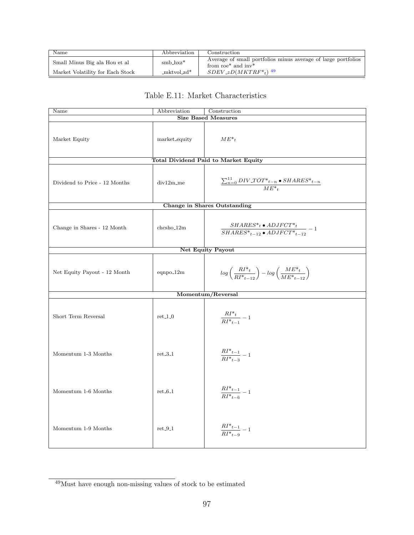| Name                             | Abbreviation   | Construction                                                                                                |
|----------------------------------|----------------|-------------------------------------------------------------------------------------------------------------|
| Small Minus Big ala Hou et al    | $smb_hxz^*$    | Average of small portfolios minus average of large portfolios<br>from roe <sup>*</sup> and inv <sup>*</sup> |
| Market Volatility for Each Stock | $-mktvol_zd^*$ | $SDEV_zD(MKTRF*_t)^{-49}$                                                                                   |

### Table E.11: Market Characteristics

| $\overline{\text{Name}}$      | Abbreviation  | Construction                                                                                    |
|-------------------------------|---------------|-------------------------------------------------------------------------------------------------|
| <b>Size Based Measures</b>    |               |                                                                                                 |
| Market Equity                 | market_equity | $ME^*{}_{t}$                                                                                    |
|                               |               | Total Dividend Paid to Market Equity                                                            |
| Dividend to Price - 12 Months | div12m_me     | $\frac{\sum_{n=0}^{11} DIV\_TOT*_{t-n} \bullet SHARES*_{t-n}}{ME*_{t}}$                         |
|                               |               | <b>Change in Shares Outstanding</b>                                                             |
| Change in Shares - 12 Month   | chcsho_12m    | $\frac{SHARES^*{}_{t} \bullet ADJFCT^*{}_{t}}{SHARES^*{}_{t-12} \bullet ADJFCT^*{}_{t-12}} - 1$ |
|                               |               | <b>Net Equity Payout</b>                                                                        |
| Net Equity Payout - 12 Month  | $eqnpo_12m$   | $log\left(\frac{RI^*_{t}}{RI^*_{t-12}}\right) - log\left(\frac{ME^*_{t}}{ME^*_{t-12}}\right)$   |
|                               |               | Momentum/Reversal                                                                               |
| Short Term Reversal           | $ret_1_0$     | $\frac{RI^*t}{RI^*t_{t-1}} - 1$                                                                 |
| Momentum 1-3 Months           | $ret_3_1$     | $\frac{RI^*_{t-1}}{RI^*_{t-3}} - 1$                                                             |
| Momentum 1-6 Months           | $ret_6_1$     | $\frac{RI^*_{t-1}}{RI^*_{t-6}} - 1$                                                             |
| Momentum 1-9 Months           | $ret_9_1$     | $\frac{RI^*_{t-1}}{RI^*_{t-9}} - 1$                                                             |

 $^{49}{\rm Must}$  have enough non-missing values of stock to be estimated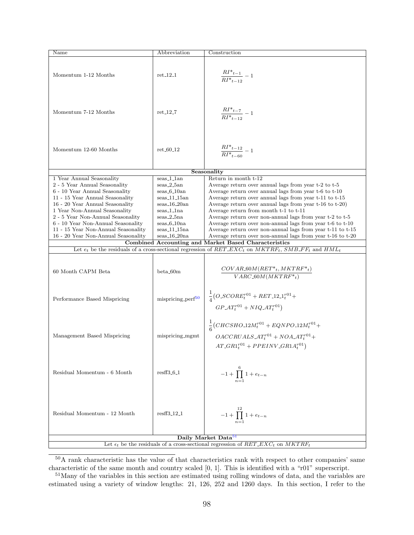| Name                                                                                           | Abbreviation        | Construction                                                                                                      |  |  |
|------------------------------------------------------------------------------------------------|---------------------|-------------------------------------------------------------------------------------------------------------------|--|--|
|                                                                                                |                     |                                                                                                                   |  |  |
|                                                                                                |                     |                                                                                                                   |  |  |
| Momentum 1-12 Months                                                                           | $ret_12_1$          | $\frac{RI^*_{t-1}}{RI^*_{t-12}}-1$                                                                                |  |  |
|                                                                                                |                     |                                                                                                                   |  |  |
|                                                                                                |                     |                                                                                                                   |  |  |
|                                                                                                |                     |                                                                                                                   |  |  |
|                                                                                                |                     |                                                                                                                   |  |  |
|                                                                                                |                     |                                                                                                                   |  |  |
| Momentum 7-12 Months                                                                           | $ret_12_7$          | $\frac{RI^*_{t-7}}{RI^*_{t-12}}-1$                                                                                |  |  |
|                                                                                                |                     |                                                                                                                   |  |  |
|                                                                                                |                     |                                                                                                                   |  |  |
|                                                                                                |                     |                                                                                                                   |  |  |
|                                                                                                |                     |                                                                                                                   |  |  |
| Momentum 12-60 Months                                                                          | $ret_60_12$         | $\frac{RI^*_{t-12}}{RI^*_{t-60}}-1$                                                                               |  |  |
|                                                                                                |                     |                                                                                                                   |  |  |
|                                                                                                |                     |                                                                                                                   |  |  |
|                                                                                                |                     | Seasonality                                                                                                       |  |  |
| 1 Year Annual Seasonality                                                                      | seas_1_1an          | Return in month t-12                                                                                              |  |  |
| 2 - 5 Year Annual Seasonality                                                                  | $seas_2_5an$        | Average return over annual lags from year t-2 to t-5                                                              |  |  |
| 6 - 10 Year Annual Seasonality                                                                 | $seas_6_10an$       | Average return over annual lags from year t-6 to t-10                                                             |  |  |
| 11 - 15 Year Annual Seasonality                                                                | $seas_11_15an$      | Average return over annual lags from year t-11 to t-15                                                            |  |  |
| 16 - 20 Year Annual Seasonality                                                                | $seas_16_20an$      | Average return over annual lags from year t-16 to t-20)                                                           |  |  |
| 1 Year Non-Annual Seasonality                                                                  | seas_1_1na          | Average return from month t-1 to t-11                                                                             |  |  |
| 2 - 5 Year Non-Annual Seasonality                                                              | $seas_2_5na$        | Average return over non-annual lags from year t-2 to t-5                                                          |  |  |
| 6 - 10 Year Non-Annual Seasonality                                                             | $seas_6_10na$       | Average return over non-annual lags from year t-6 to t-10                                                         |  |  |
| 11 - 15 Year Non-Annual Seasonality                                                            | $seas_11_15na$      | Average return over non-annual lags from year t-11 to t-15                                                        |  |  |
| 16 - 20 Year Non-Annual Seasonality                                                            | $seas_16_20na$      | Average return over non-annual lags from year t-16 to t-20                                                        |  |  |
|                                                                                                |                     | Combined Accounting and Market Based Characteristics                                                              |  |  |
|                                                                                                |                     | Let $e_t$ be the residuals of a cross-sectional regression of $RET\_EXC_t$ on $MKTRF_t$ , $SMB\_FF_t$ and $HML_t$ |  |  |
|                                                                                                |                     |                                                                                                                   |  |  |
|                                                                                                |                     |                                                                                                                   |  |  |
| 60 Month CAPM Beta                                                                             | $beta_0$ 60m        | $COVAR\_60M(RET*_{t}, MKTRF*_{t})$                                                                                |  |  |
|                                                                                                |                     | $VARC_60M(MKTRF*_{t})$                                                                                            |  |  |
|                                                                                                |                     |                                                                                                                   |  |  |
|                                                                                                |                     |                                                                                                                   |  |  |
| Performance Based Mispricing                                                                   | $mispricing-perf50$ | $\frac{1}{4}(O\_SCORE^{r01}_t + RET\_12\_1_t^{r01} +$                                                             |  |  |
|                                                                                                |                     |                                                                                                                   |  |  |
|                                                                                                |                     | $GP \_\mathit{AT}^{r01} + NIQ \_\mathit{AT}^{r01})$                                                               |  |  |
|                                                                                                |                     |                                                                                                                   |  |  |
|                                                                                                |                     | $\frac{1}{6}(CHCSHO.12M_t^{r01} + EQNPO.12M_t^{r01} +$                                                            |  |  |
|                                                                                                |                     |                                                                                                                   |  |  |
| Management Based Mispricing                                                                    | mispricing_mgmt     | $OACCRUALS \_AT_t^{r01} + NOA \_AT_t^{r01} +$                                                                     |  |  |
|                                                                                                |                     | $AT\_GR1^{r01}_t + PPEINV\_GR1A^{r01}_t)$                                                                         |  |  |
|                                                                                                |                     |                                                                                                                   |  |  |
|                                                                                                |                     |                                                                                                                   |  |  |
|                                                                                                |                     |                                                                                                                   |  |  |
| Residual Momentum - 6 Month                                                                    | $resff3_6_1$        | $-1 + \prod_{1}^{6} 1 + e_{t-n}$                                                                                  |  |  |
|                                                                                                |                     |                                                                                                                   |  |  |
|                                                                                                |                     |                                                                                                                   |  |  |
|                                                                                                |                     |                                                                                                                   |  |  |
|                                                                                                |                     |                                                                                                                   |  |  |
|                                                                                                |                     |                                                                                                                   |  |  |
| Residual Momentum - 12 Month                                                                   | $resff3_12_1$       | $-1 + \prod_{n=1}^{12} 1 + e_{t-n}$                                                                               |  |  |
|                                                                                                |                     |                                                                                                                   |  |  |
|                                                                                                |                     |                                                                                                                   |  |  |
|                                                                                                |                     | Daily Market Data <sup>51</sup>                                                                                   |  |  |
|                                                                                                |                     |                                                                                                                   |  |  |
| Let $\epsilon_t$ be the residuals of a cross-sectional regression of $RET\_EXC_t$ on $MKTRF_t$ |                     |                                                                                                                   |  |  |

<span id="page-98-0"></span><sup>&</sup>lt;sup>50</sup>A rank characteristic has the value of that characteristics rank with respect to other companies' same characteristic of the same month and country scaled [0, 1]. This is identified with a "r01" superscript.

<span id="page-98-1"></span><sup>51</sup>Many of the variables in this section are estimated using rolling windows of data, and the variables are estimated using a variety of window lengths: 21, 126, 252 and 1260 days. In this section, I refer to the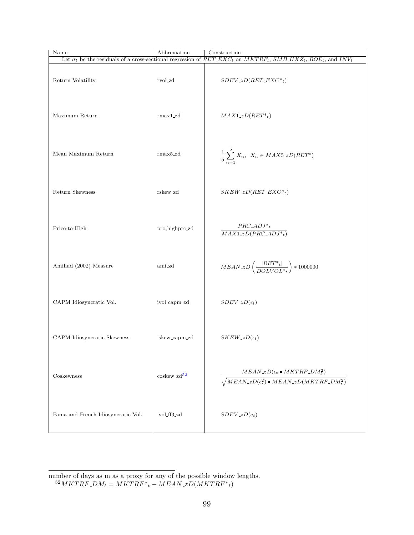| Name                               | Abbreviation            | Construction                                                                                                                                                                   |
|------------------------------------|-------------------------|--------------------------------------------------------------------------------------------------------------------------------------------------------------------------------|
|                                    |                         | Let $\sigma_t$ be the residuals of a cross-sectional regression of RET_EXC <sub>t</sub> on MKTRF <sub>t</sub> , SMB_HXZ <sub>t</sub> , ROE <sub>t</sub> , and INV <sub>t</sub> |
| Return Volatility                  | rvol_zd                 | $SDEV_zD(RET\_EXC*_t)$                                                                                                                                                         |
| Maximum Return                     | $rmax1_zd$              | $MAX1_zD(RET*_t)$                                                                                                                                                              |
| Mean Maximum Return                | $rmax5_zd$              | $\frac{1}{5}\sum_{n=1}^{5}X_n, X_n \in MAX5\_zD(RET^*)$                                                                                                                        |
| Return Skewness                    | rskew_zd                | $SKEW_zD(RET\_EXC*_t)$                                                                                                                                                         |
| Price-to-High                      | prc_highprc_zd          | $PRC\_\mathit{ADJ*_t}$<br>$\overline{MAX1_zD(PRC_ADJ^*_{t})}$                                                                                                                  |
| Amihud (2002) Measure              | ami_zd                  | $MEAN\_zD\left(\frac{ RET^*_{t} }{DOLVOL^*_{t}}\right) * 1000000$                                                                                                              |
| CAPM Idiosyncratic Vol.            | ivol_capm_zd            | $SDEV_zD(\epsilon_t)$                                                                                                                                                          |
| CAPM Idiosyncratic Skewness        | iskew_capm_zd           | $SKEW_zD(\epsilon_t)$                                                                                                                                                          |
| Coskewness                         | ${\rm coskew\_zd}^{52}$ | $MEAN_zD(\epsilon_t \bullet MKTRF\_DM_t^2)$<br>$\sqrt{M EAN\_zD(\epsilon_t^2)}\bullet MEAN\_zD(MKTRF\_DM_t^2)$                                                                 |
| Fama and French Idiosyncratic Vol. | ivol_ff3_zd             | $SDEV_zD(e_t)$                                                                                                                                                                 |

number of days as m as a proxy for any of the possible window lengths.

<span id="page-99-0"></span> $^{52}MKTRF\_DM_t = MKTRF*_{t} - MEAN\_zD(MKTRF*_{t})$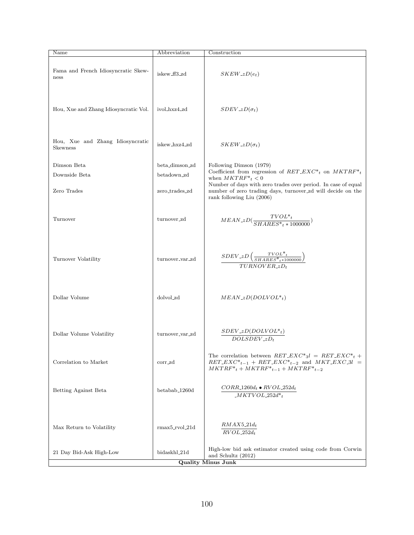| Name                                                | Abbreviation              | Construction                                                                                                                                                              |
|-----------------------------------------------------|---------------------------|---------------------------------------------------------------------------------------------------------------------------------------------------------------------------|
| Fama and French Idiosyncratic Skew-<br>ness         | iskew_ff3_zd              | $SKEW_zD(e_t)$                                                                                                                                                            |
| Hou, Xue and Zhang Idiosyncratic Vol.               | ivol_hxz4_zd              | $SDEV_zD(\sigma_t)$                                                                                                                                                       |
| Hou, Xue and Zhang Idiosyncratic<br><b>Skewness</b> | iskew_hxz4_zd             | $SKEW_zD(\sigma_t)$                                                                                                                                                       |
| Dimson Beta                                         | beta_dimson_zd            | Following Dimson (1979)                                                                                                                                                   |
| Downside Beta                                       | betadown_zd               | Coefficient from regression of $RET\_EXC*_{t}$ on $MKTRF*_{t}$<br>when $MKTRF*_{t} < 0$                                                                                   |
| Zero Trades                                         | zero_trades_zd            | Number of days with zero trades over period. In case of equal<br>number of zero trading days, turnover_zd will decide on the<br>rank following Liu (2006)                 |
| Turnover                                            | turnover_zd               | $MEAN\_zD(\frac{TVOL*_{t}}{SHARES*_{t}*1000000})$                                                                                                                         |
| Turnover Volatility                                 | turnover_var_zd           | $\frac{SDEV\_zD\left(\frac{TVOL^*t}{SHARES^*t^{*1000000}}\right)}{$<br>$TURN OVER_zD_t$                                                                                   |
| Dollar Volume                                       | dolvol_zd                 | $MEAN_zD(DOLVOL*_{t})$                                                                                                                                                    |
| Dollar Volume Volatility                            | turnover_var_zd           | $SDEV_zD(DOLVOL*_{t})$<br>$DOLSDEV_zD_t$                                                                                                                                  |
| Correlation to Market                               | corr_zd                   | The correlation between $RET\_EXC^*_{3}l = RET\_EXC^*_{t}$ +<br>$RET\_EXC^*_{t-1}$ + $RET\_EXC^*_{t-2}$ and $MKT\_EXC_3l$ =<br>$MKTRF*_{t} + MKTRF*_{t-1} + MKTRF*_{t-2}$ |
| Betting Against Beta                                | betabab <sub>-1260d</sub> | $CORR_1260d_t \bullet RVOL_252d_t$<br>$\_MKTVOL\_252d^*{}_{t}$                                                                                                            |
| Max Return to Volatility                            | $rmax5_rvol_21d$          | $RMAX5.21d_t$<br>$RVOL_252d_t$                                                                                                                                            |
| 21 Day Bid-Ask High-Low                             | bidaskhl_21d              | High-low bid ask estimator created using code from Corwin<br>and Schultz (2012)<br><b>Quality Minus Junk</b>                                                              |